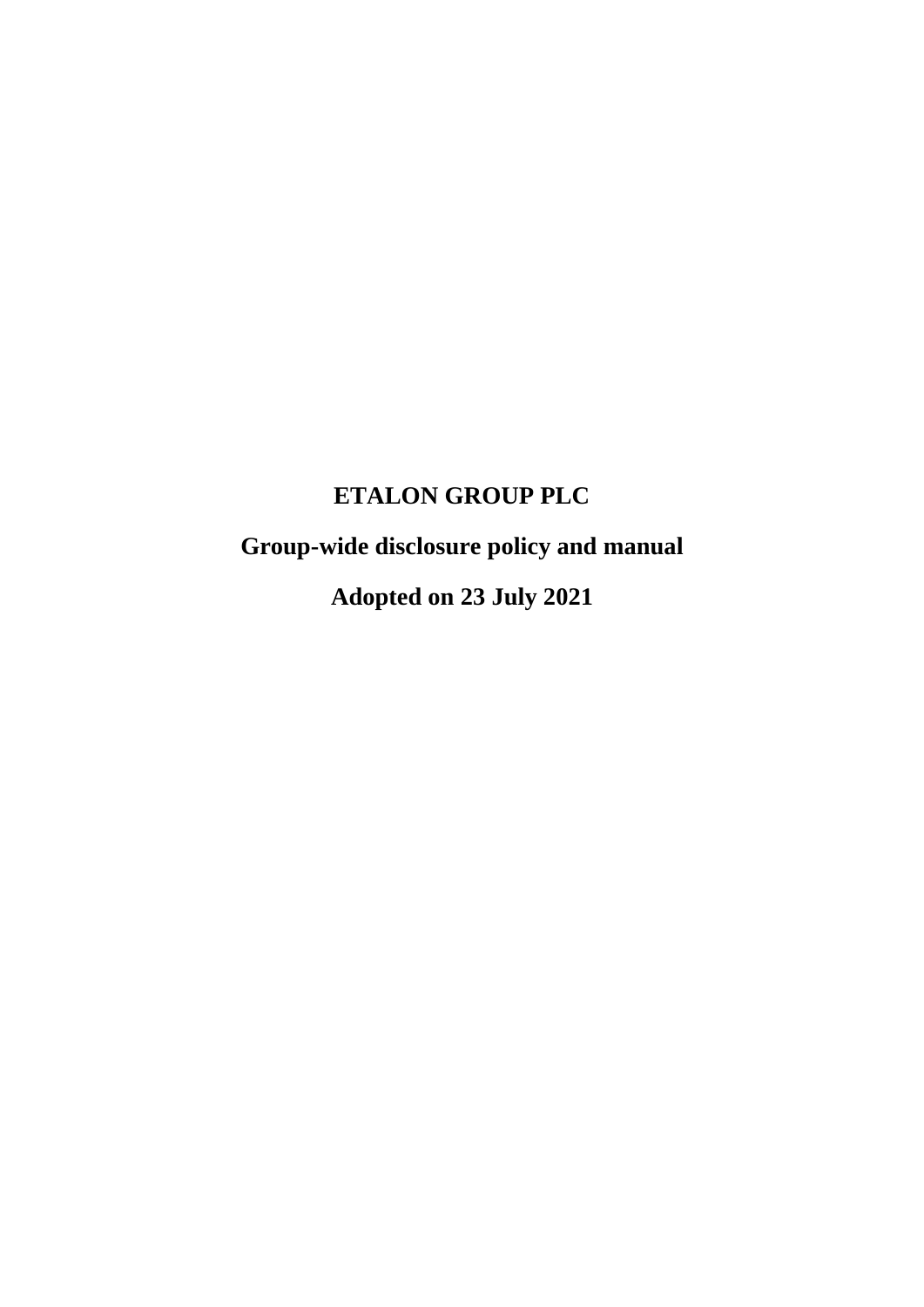# **ETALON GROUP PLC**

**Group-wide disclosure policy and manual**

**Adopted on 23 July 2021**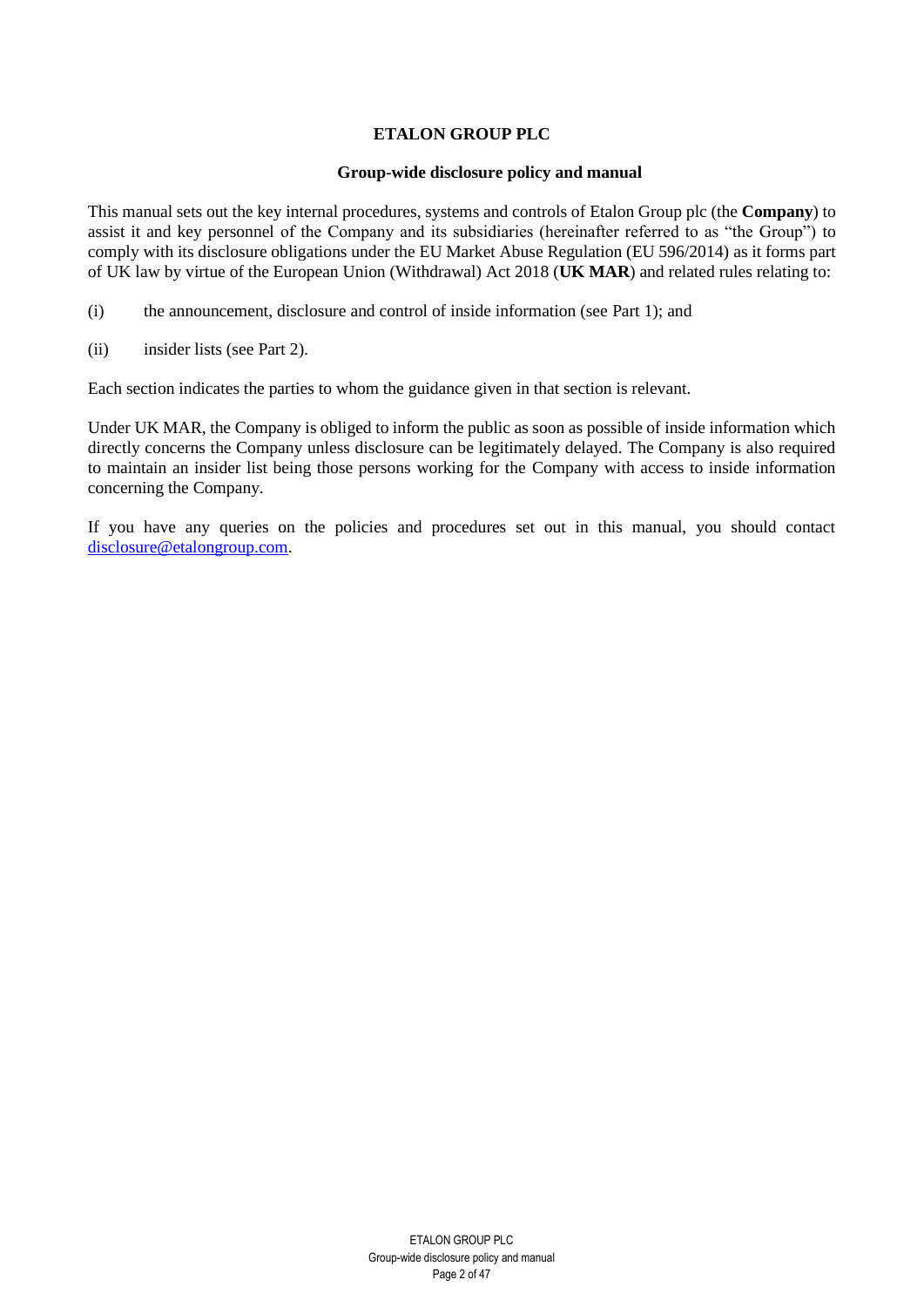# **ETALON GROUP PLC**

#### **Group-wide disclosure policy and manual**

This manual sets out the key internal procedures, systems and controls of Etalon Group plc (the **Company**) to assist it and key personnel of the Company and its subsidiaries (hereinafter referred to as "the Group") to comply with its disclosure obligations under the EU Market Abuse Regulation (EU 596/2014) as it forms part of UK law by virtue of the European Union (Withdrawal) Act 2018 (**UK MAR**) and related rules relating to:

- (i) the announcement, disclosure and control of inside information (see Part 1); and
- (ii) insider lists (see Part 2).

Each section indicates the parties to whom the guidance given in that section is relevant.

Under UK MAR, the Company is obliged to inform the public as soon as possible of inside information which directly concerns the Company unless disclosure can be legitimately delayed. The Company is also required to maintain an insider list being those persons working for the Company with access to inside information concerning the Company.

If you have any queries on the policies and procedures set out in this manual, you should contact [disclosure@etalongroup.com.](mailto:disclosure@etalongroup.com)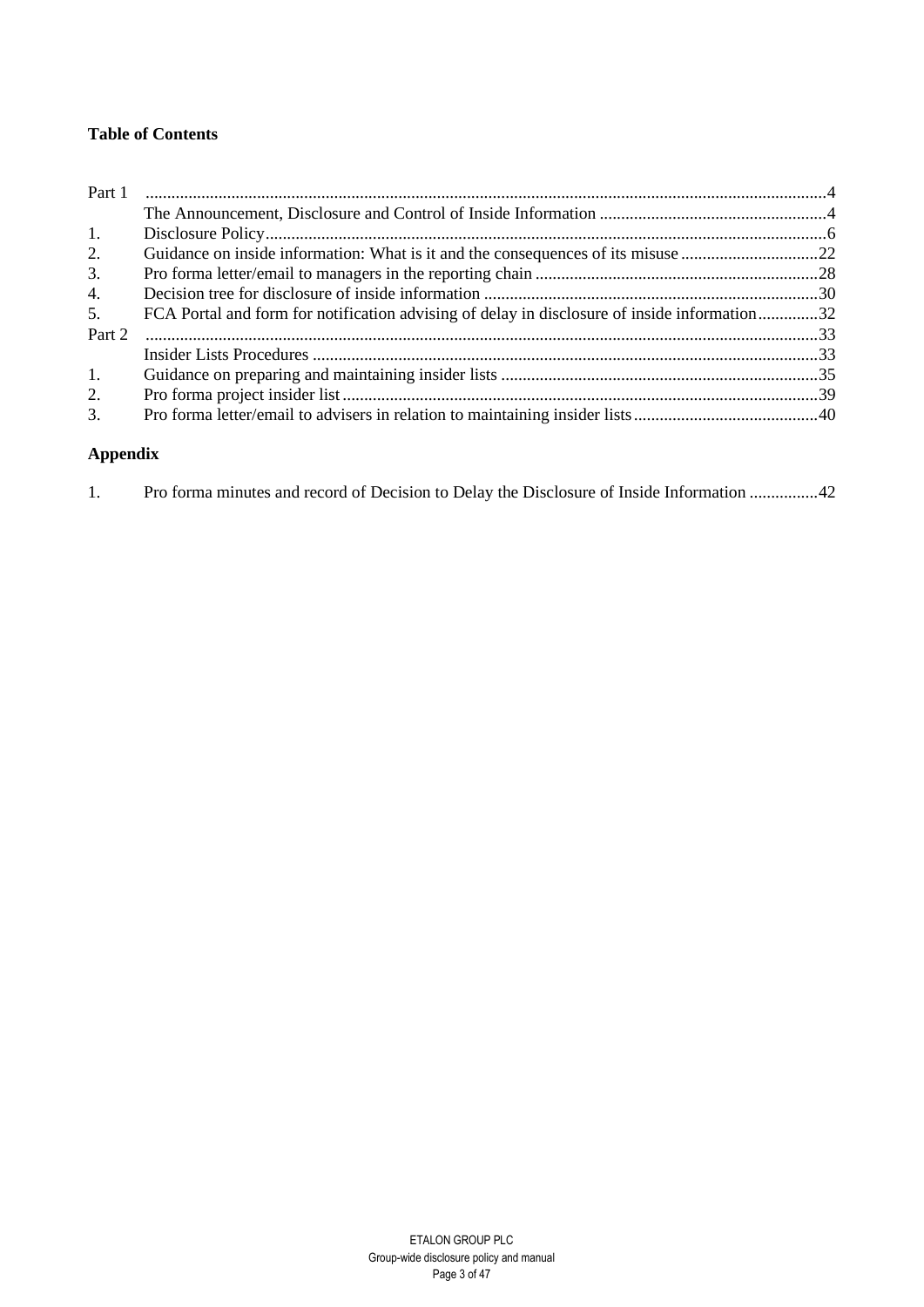# **Table of Contents**

| Part 1 |                                                                                              |  |
|--------|----------------------------------------------------------------------------------------------|--|
|        |                                                                                              |  |
| 1.     |                                                                                              |  |
| 2.     |                                                                                              |  |
| 3.     |                                                                                              |  |
| 4.     |                                                                                              |  |
| 5.     | FCA Portal and form for notification advising of delay in disclosure of inside information32 |  |
| Part 2 |                                                                                              |  |
|        |                                                                                              |  |
| 1.     |                                                                                              |  |
| 2.     |                                                                                              |  |
| 3.     |                                                                                              |  |

# **Appendix**

|  |  |  |  |  | Pro forma minutes and record of Decision to Delay the Disclosure of Inside Information 42 |
|--|--|--|--|--|-------------------------------------------------------------------------------------------|
|  |  |  |  |  |                                                                                           |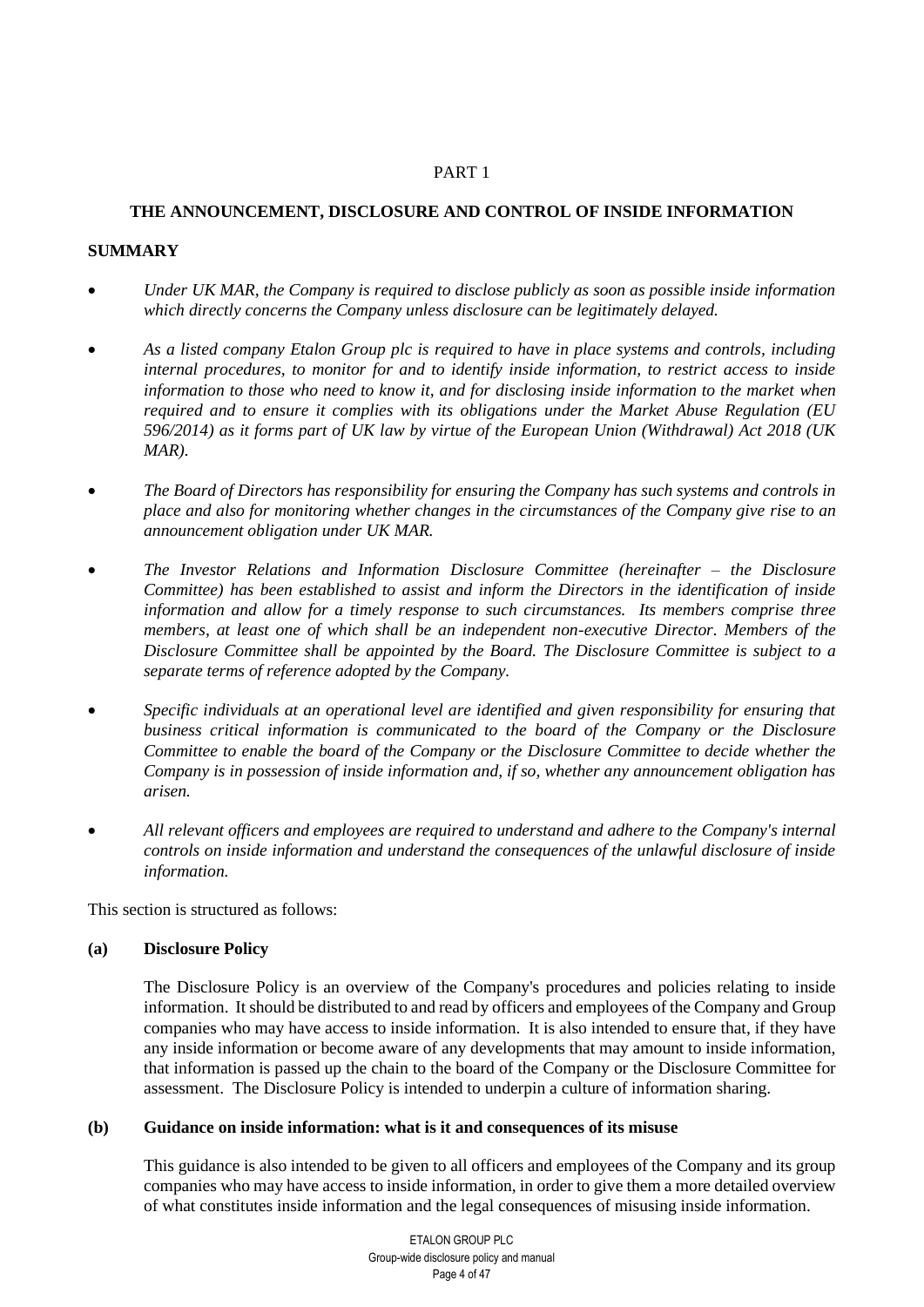## PART 1

# <span id="page-3-1"></span><span id="page-3-0"></span>**THE ANNOUNCEMENT, DISCLOSURE AND CONTROL OF INSIDE INFORMATION**

# **SUMMARY**

- *Under UK MAR, the Company is required to disclose publicly as soon as possible inside information which directly concerns the Company unless disclosure can be legitimately delayed.*
- *As a listed company Etalon Group plc is required to have in place systems and controls, including internal procedures, to monitor for and to identify inside information, to restrict access to inside information to those who need to know it, and for disclosing inside information to the market when required and to ensure it complies with its obligations under the Market Abuse Regulation (EU 596/2014) as it forms part of UK law by virtue of the European Union (Withdrawal) Act 2018 (UK MAR).*
- *The Board of Directors has responsibility for ensuring the Company has such systems and controls in place and also for monitoring whether changes in the circumstances of the Company give rise to an announcement obligation under UK MAR.*
- *The Investor Relations and Information Disclosure Committee (hereinafter – the Disclosure Committee) has been established to assist and inform the Directors in the identification of inside information and allow for a timely response to such circumstances. Its members comprise three members, at least one of which shall be an independent non-executive Director. Members of the Disclosure Committee shall be appointed by the Board. The Disclosure Committee is subject to a separate terms of reference adopted by the Company.*
- *Specific individuals at an operational level are identified and given responsibility for ensuring that business critical information is communicated to the board of the Company or the Disclosure Committee to enable the board of the Company or the Disclosure Committee to decide whether the Company is in possession of inside information and, if so, whether any announcement obligation has arisen.*
- *All relevant officers and employees are required to understand and adhere to the Company's internal controls on inside information and understand the consequences of the unlawful disclosure of inside information.*

This section is structured as follows:

## **(a) Disclosure Policy**

The Disclosure Policy is an overview of the Company's procedures and policies relating to inside information. It should be distributed to and read by officers and employees of the Company and Group companies who may have access to inside information. It is also intended to ensure that, if they have any inside information or become aware of any developments that may amount to inside information, that information is passed up the chain to the board of the Company or the Disclosure Committee for assessment. The Disclosure Policy is intended to underpin a culture of information sharing.

## **(b) Guidance on inside information: what is it and consequences of its misuse**

This guidance is also intended to be given to all officers and employees of the Company and its group companies who may have access to inside information, in order to give them a more detailed overview of what constitutes inside information and the legal consequences of misusing inside information.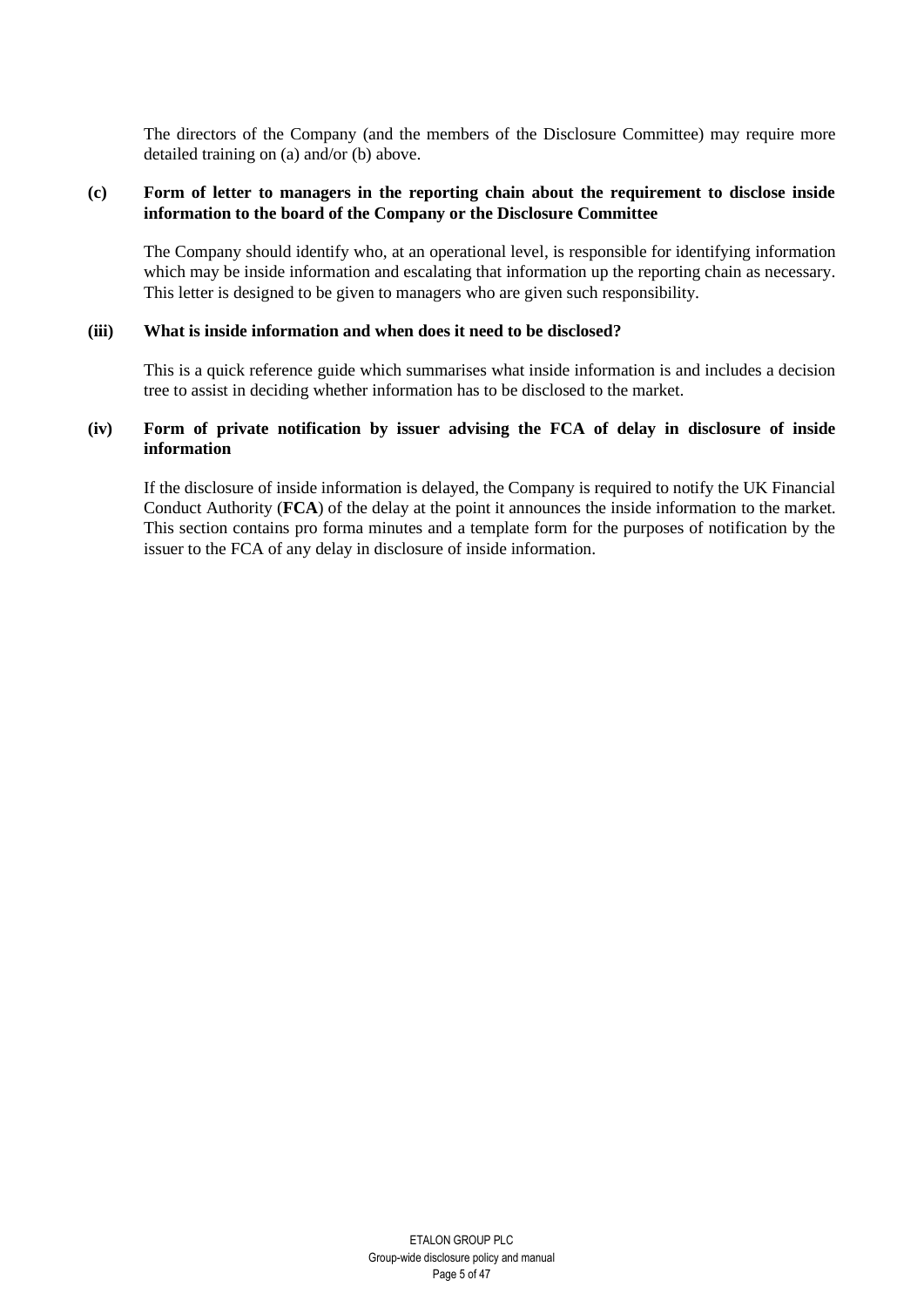The directors of the Company (and the members of the Disclosure Committee) may require more detailed training on (a) and/or (b) above.

## **(c) Form of letter to managers in the reporting chain about the requirement to disclose inside information to the board of the Company or the Disclosure Committee**

The Company should identify who, at an operational level, is responsible for identifying information which may be inside information and escalating that information up the reporting chain as necessary. This letter is designed to be given to managers who are given such responsibility.

#### **(iii) What is inside information and when does it need to be disclosed?**

This is a quick reference guide which summarises what inside information is and includes a decision tree to assist in deciding whether information has to be disclosed to the market.

# **(iv) Form of private notification by issuer advising the FCA of delay in disclosure of inside information**

If the disclosure of inside information is delayed, the Company is required to notify the UK Financial Conduct Authority (**FCA**) of the delay at the point it announces the inside information to the market. This section contains pro forma minutes and a template form for the purposes of notification by the issuer to the FCA of any delay in disclosure of inside information.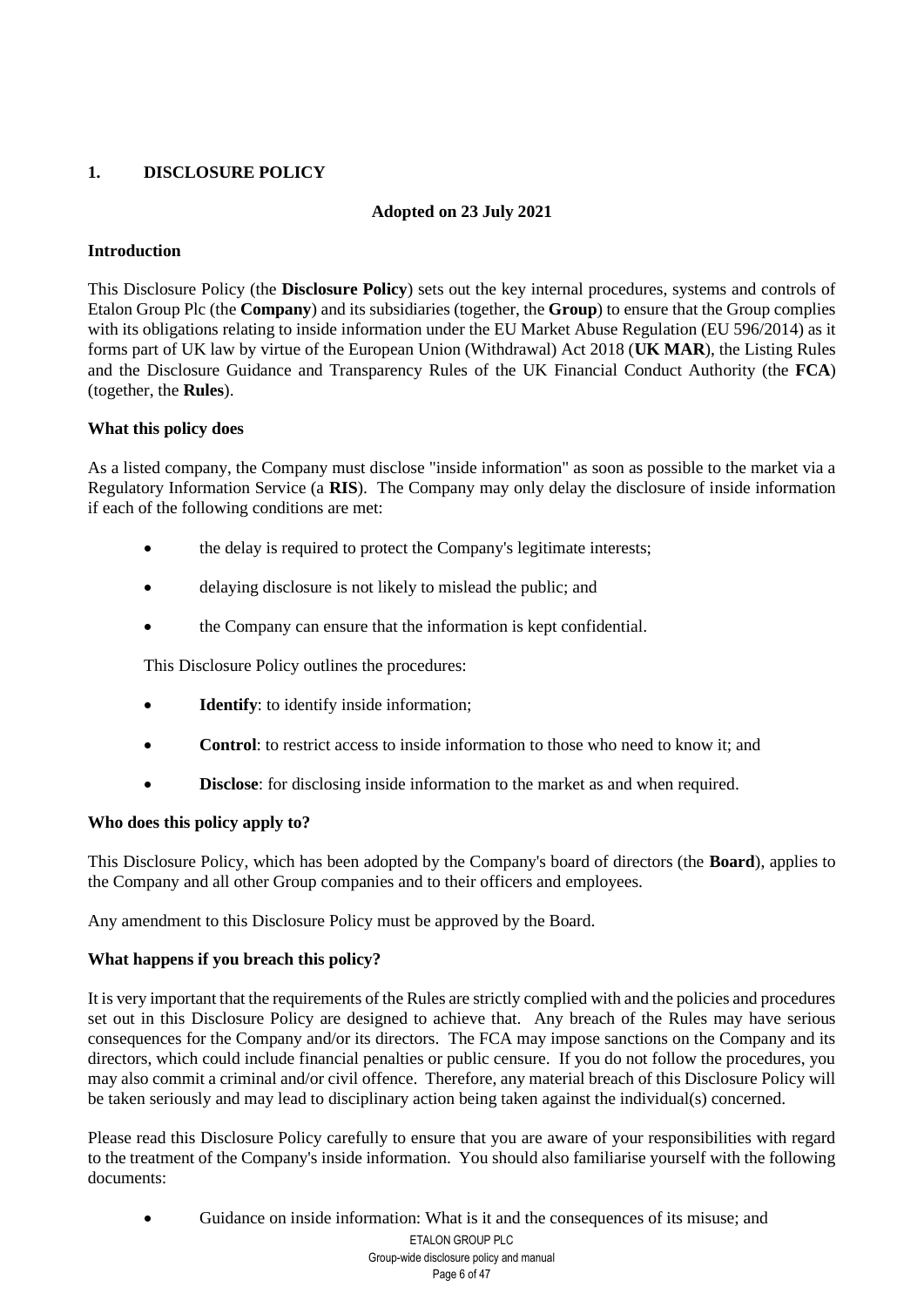# <span id="page-5-0"></span>**1. DISCLOSURE POLICY**

# **Adopted on 23 July 2021**

# **Introduction**

This Disclosure Policy (the **Disclosure Policy**) sets out the key internal procedures, systems and controls of Etalon Group Plc (the **Company**) and its subsidiaries (together, the **Group**) to ensure that the Group complies with its obligations relating to inside information under the EU Market Abuse Regulation (EU 596/2014) as it forms part of UK law by virtue of the European Union (Withdrawal) Act 2018 (**UK MAR**), the Listing Rules and the Disclosure Guidance and Transparency Rules of the UK Financial Conduct Authority (the **FCA**) (together, the **Rules**).

# **What this policy does**

As a listed company, the Company must disclose "inside information" as soon as possible to the market via a Regulatory Information Service (a **RIS**). The Company may only delay the disclosure of inside information if each of the following conditions are met:

- the delay is required to protect the Company's legitimate interests;
- delaying disclosure is not likely to mislead the public; and
- the Company can ensure that the information is kept confidential.

This Disclosure Policy outlines the procedures:

- **Identify**: to identify inside information;
- **Control**: to restrict access to inside information to those who need to know it; and
- **Disclose:** for disclosing inside information to the market as and when required.

## **Who does this policy apply to?**

This Disclosure Policy, which has been adopted by the Company's board of directors (the **Board**), applies to the Company and all other Group companies and to their officers and employees.

Any amendment to this Disclosure Policy must be approved by the Board.

## **What happens if you breach this policy?**

It is very important that the requirements of the Rules are strictly complied with and the policies and procedures set out in this Disclosure Policy are designed to achieve that. Any breach of the Rules may have serious consequences for the Company and/or its directors. The FCA may impose sanctions on the Company and its directors, which could include financial penalties or public censure. If you do not follow the procedures, you may also commit a criminal and/or civil offence. Therefore, any material breach of this Disclosure Policy will be taken seriously and may lead to disciplinary action being taken against the individual(s) concerned.

Please read this Disclosure Policy carefully to ensure that you are aware of your responsibilities with regard to the treatment of the Company's inside information. You should also familiarise yourself with the following documents:

• Guidance on inside information: What is it and the consequences of its misuse; and

ETALON GROUP PLC Group-wide disclosure policy and manual Page 6 of 47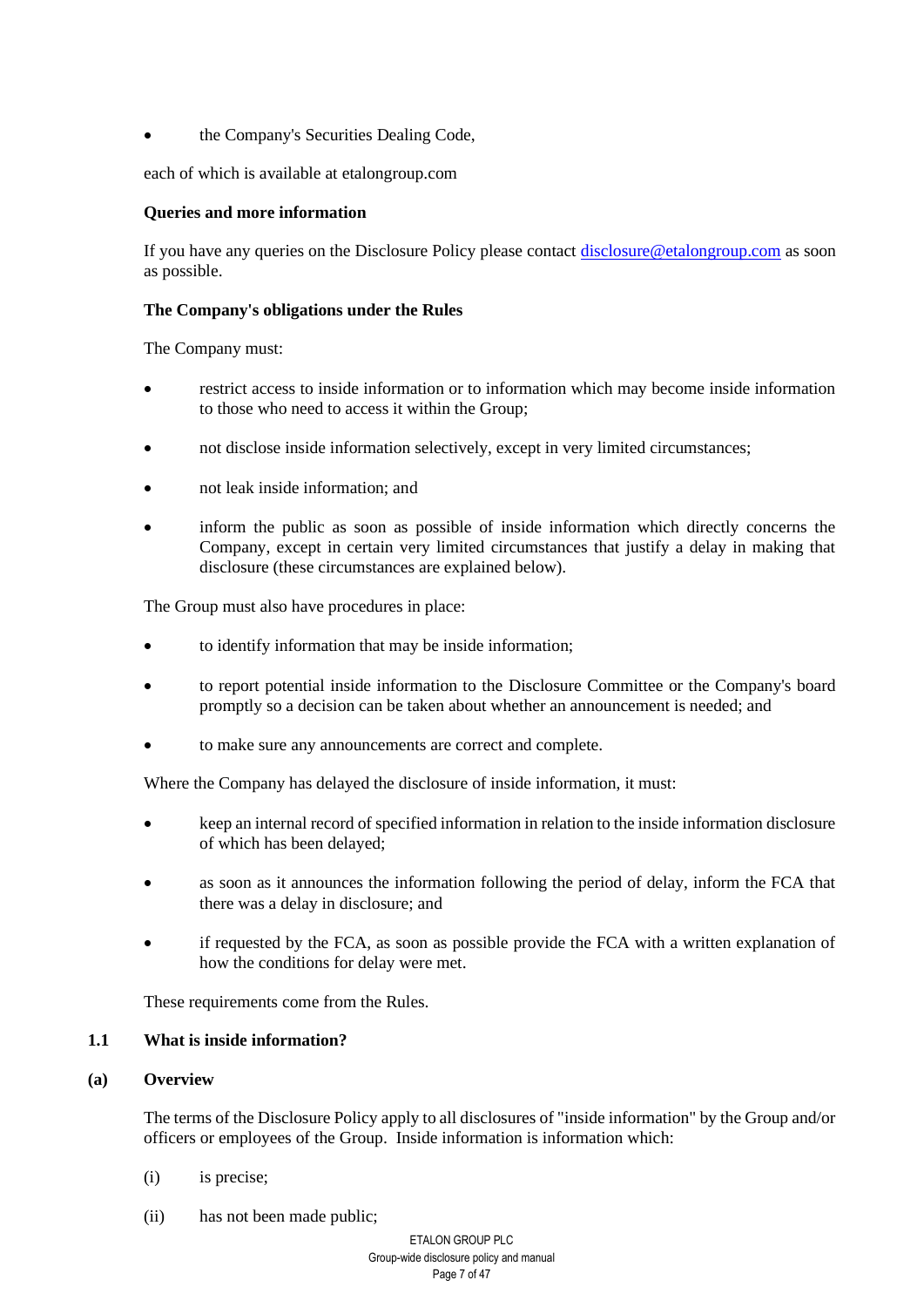• the Company's Securities Dealing Code,

each of which is available at etalongroup.com

## **Queries and more information**

If you have any queries on the Disclosure Policy please contact [disclosure@etalongroup.com](mailto:disclosure@etalongroup.com) as soon as possible.

#### **The Company's obligations under the Rules**

The Company must:

- restrict access to inside information or to information which may become inside information to those who need to access it within the Group;
- not disclose inside information selectively, except in very limited circumstances;
- not leak inside information; and
- inform the public as soon as possible of inside information which directly concerns the Company, except in certain very limited circumstances that justify a delay in making that disclosure (these circumstances are explained below).

The Group must also have procedures in place:

- to identify information that may be inside information;
- to report potential inside information to the Disclosure Committee or the Company's board promptly so a decision can be taken about whether an announcement is needed; and
- to make sure any announcements are correct and complete.

Where the Company has delayed the disclosure of inside information, it must:

- keep an internal record of specified information in relation to the inside information disclosure of which has been delayed;
- as soon as it announces the information following the period of delay, inform the FCA that there was a delay in disclosure; and
- if requested by the FCA, as soon as possible provide the FCA with a written explanation of how the conditions for delay were met.

These requirements come from the Rules.

## **1.1 What is inside information?**

#### **(a) Overview**

The terms of the Disclosure Policy apply to all disclosures of "inside information" by the Group and/or officers or employees of the Group. Inside information is information which:

- (i) is precise;
- (ii) has not been made public;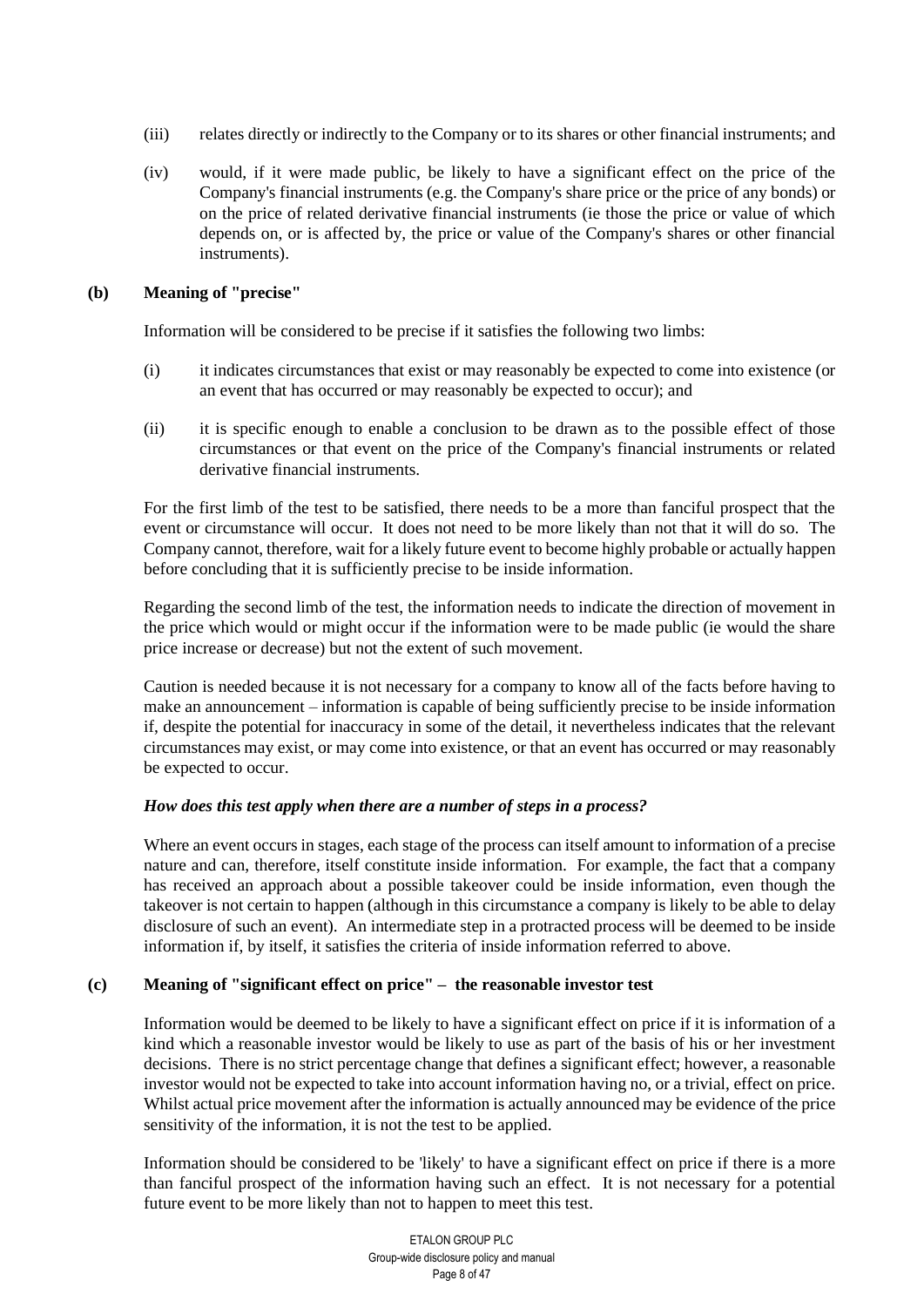- (iii) relates directly or indirectly to the Company or to its shares or other financial instruments; and
- (iv) would, if it were made public, be likely to have a significant effect on the price of the Company's financial instruments (e.g. the Company's share price or the price of any bonds) or on the price of related derivative financial instruments (ie those the price or value of which depends on, or is affected by, the price or value of the Company's shares or other financial instruments).

## **(b) Meaning of "precise"**

Information will be considered to be precise if it satisfies the following two limbs:

- (i) it indicates circumstances that exist or may reasonably be expected to come into existence (or an event that has occurred or may reasonably be expected to occur); and
- (ii) it is specific enough to enable a conclusion to be drawn as to the possible effect of those circumstances or that event on the price of the Company's financial instruments or related derivative financial instruments.

For the first limb of the test to be satisfied, there needs to be a more than fanciful prospect that the event or circumstance will occur. It does not need to be more likely than not that it will do so. The Company cannot, therefore, wait for a likely future event to become highly probable or actually happen before concluding that it is sufficiently precise to be inside information.

Regarding the second limb of the test, the information needs to indicate the direction of movement in the price which would or might occur if the information were to be made public (ie would the share price increase or decrease) but not the extent of such movement.

Caution is needed because it is not necessary for a company to know all of the facts before having to make an announcement – information is capable of being sufficiently precise to be inside information if, despite the potential for inaccuracy in some of the detail, it nevertheless indicates that the relevant circumstances may exist, or may come into existence, or that an event has occurred or may reasonably be expected to occur.

## *How does this test apply when there are a number of steps in a process?*

Where an event occurs in stages, each stage of the process can itself amount to information of a precise nature and can, therefore, itself constitute inside information. For example, the fact that a company has received an approach about a possible takeover could be inside information, even though the takeover is not certain to happen (although in this circumstance a company is likely to be able to delay disclosure of such an event). An intermediate step in a protracted process will be deemed to be inside information if, by itself, it satisfies the criteria of inside information referred to above.

# **(c) Meaning of "significant effect on price" – the reasonable investor test**

Information would be deemed to be likely to have a significant effect on price if it is information of a kind which a reasonable investor would be likely to use as part of the basis of his or her investment decisions. There is no strict percentage change that defines a significant effect; however, a reasonable investor would not be expected to take into account information having no, or a trivial, effect on price. Whilst actual price movement after the information is actually announced may be evidence of the price sensitivity of the information, it is not the test to be applied.

Information should be considered to be 'likely' to have a significant effect on price if there is a more than fanciful prospect of the information having such an effect. It is not necessary for a potential future event to be more likely than not to happen to meet this test.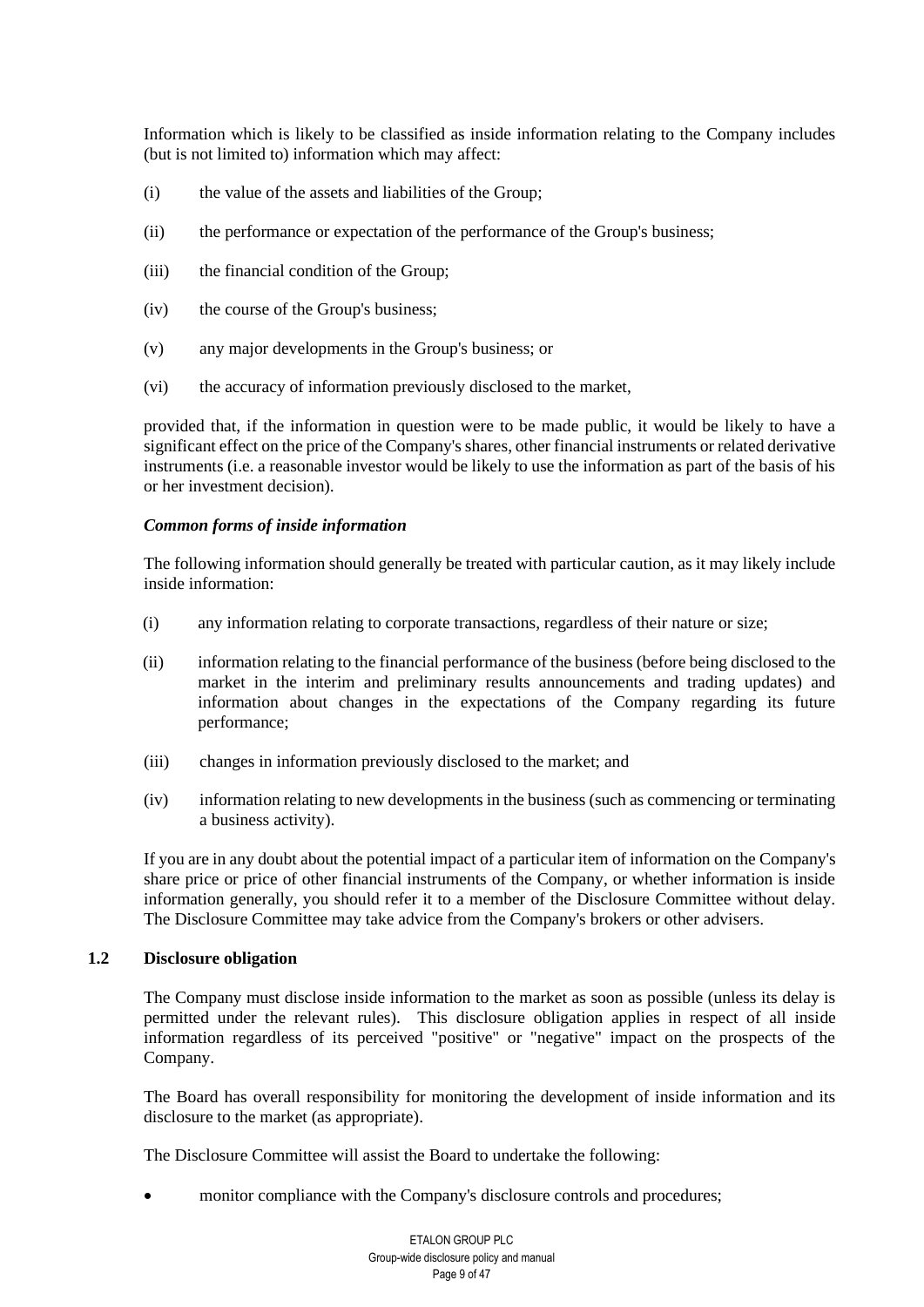Information which is likely to be classified as inside information relating to the Company includes (but is not limited to) information which may affect:

- (i) the value of the assets and liabilities of the Group;
- (ii) the performance or expectation of the performance of the Group's business;
- (iii) the financial condition of the Group;
- (iv) the course of the Group's business;
- (v) any major developments in the Group's business; or
- (vi) the accuracy of information previously disclosed to the market,

provided that, if the information in question were to be made public, it would be likely to have a significant effect on the price of the Company's shares, other financial instruments or related derivative instruments (i.e. a reasonable investor would be likely to use the information as part of the basis of his or her investment decision).

#### *Common forms of inside information*

The following information should generally be treated with particular caution, as it may likely include inside information:

- (i) any information relating to corporate transactions, regardless of their nature or size;
- (ii) information relating to the financial performance of the business (before being disclosed to the market in the interim and preliminary results announcements and trading updates) and information about changes in the expectations of the Company regarding its future performance;
- (iii) changes in information previously disclosed to the market; and
- (iv) information relating to new developments in the business (such as commencing or terminating a business activity).

If you are in any doubt about the potential impact of a particular item of information on the Company's share price or price of other financial instruments of the Company, or whether information is inside information generally, you should refer it to a member of the Disclosure Committee without delay. The Disclosure Committee may take advice from the Company's brokers or other advisers.

#### **1.2 Disclosure obligation**

The Company must disclose inside information to the market as soon as possible (unless its delay is permitted under the relevant rules). This disclosure obligation applies in respect of all inside information regardless of its perceived "positive" or "negative" impact on the prospects of the Company.

The Board has overall responsibility for monitoring the development of inside information and its disclosure to the market (as appropriate).

The Disclosure Committee will assist the Board to undertake the following:

monitor compliance with the Company's disclosure controls and procedures;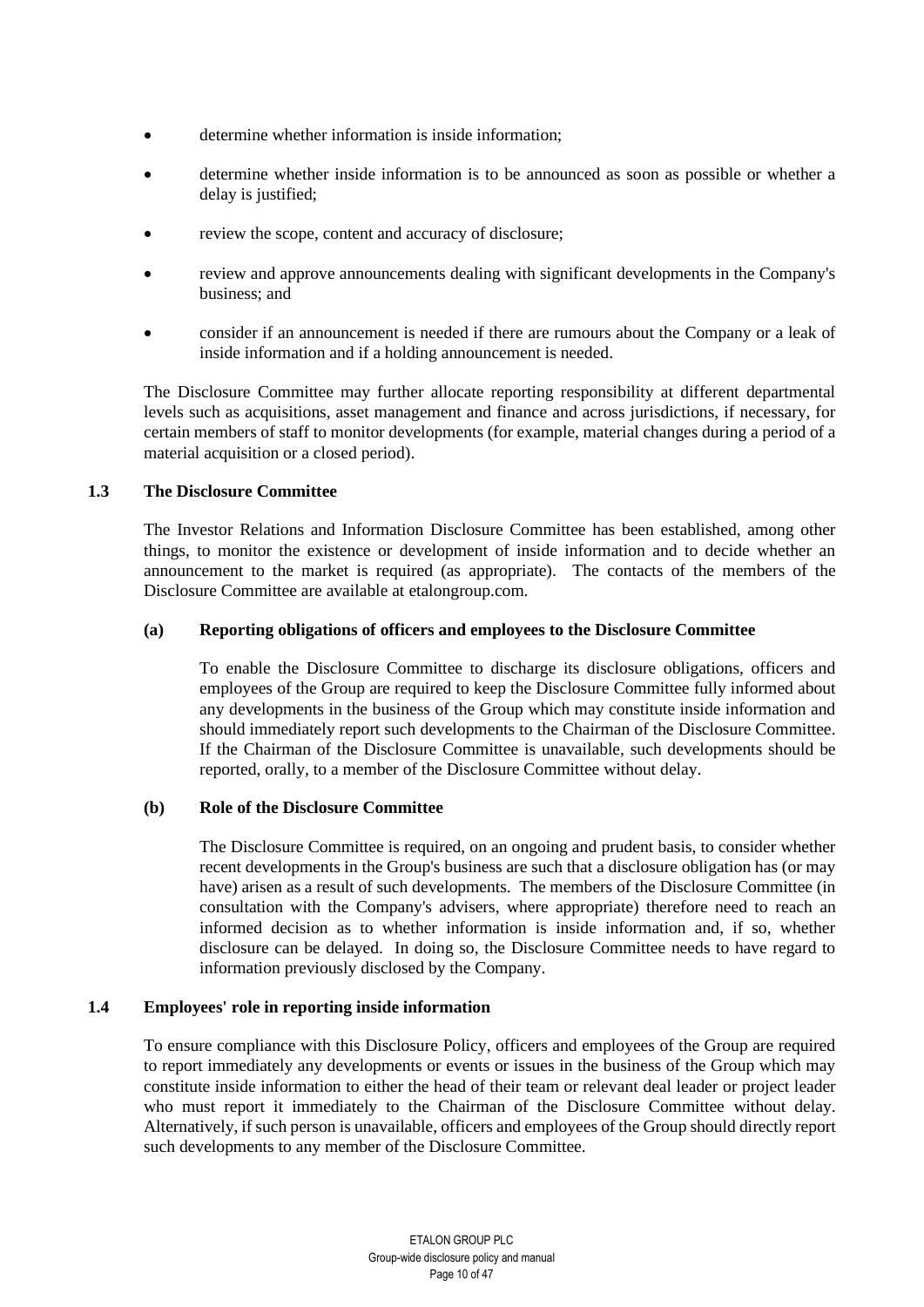- determine whether information is inside information:
- determine whether inside information is to be announced as soon as possible or whether a delay is justified;
- review the scope, content and accuracy of disclosure;
- review and approve announcements dealing with significant developments in the Company's business; and
- consider if an announcement is needed if there are rumours about the Company or a leak of inside information and if a holding announcement is needed.

The Disclosure Committee may further allocate reporting responsibility at different departmental levels such as acquisitions, asset management and finance and across jurisdictions, if necessary, for certain members of staff to monitor developments (for example, material changes during a period of a material acquisition or a closed period).

## **1.3 The Disclosure Committee**

The Investor Relations and Information Disclosure Committee has been established, among other things, to monitor the existence or development of inside information and to decide whether an announcement to the market is required (as appropriate). The contacts of the members of the Disclosure Committee are available at etalongroup.com.

# **(a) Reporting obligations of officers and employees to the Disclosure Committee**

To enable the Disclosure Committee to discharge its disclosure obligations, officers and employees of the Group are required to keep the Disclosure Committee fully informed about any developments in the business of the Group which may constitute inside information and should immediately report such developments to the Chairman of the Disclosure Committee. If the Chairman of the Disclosure Committee is unavailable, such developments should be reported, orally, to a member of the Disclosure Committee without delay.

## **(b) Role of the Disclosure Committee**

The Disclosure Committee is required, on an ongoing and prudent basis, to consider whether recent developments in the Group's business are such that a disclosure obligation has (or may have) arisen as a result of such developments. The members of the Disclosure Committee (in consultation with the Company's advisers, where appropriate) therefore need to reach an informed decision as to whether information is inside information and, if so, whether disclosure can be delayed. In doing so, the Disclosure Committee needs to have regard to information previously disclosed by the Company.

## **1.4 Employees' role in reporting inside information**

To ensure compliance with this Disclosure Policy, officers and employees of the Group are required to report immediately any developments or events or issues in the business of the Group which may constitute inside information to either the head of their team or relevant deal leader or project leader who must report it immediately to the Chairman of the Disclosure Committee without delay. Alternatively, if such person is unavailable, officers and employees of the Group should directly report such developments to any member of the Disclosure Committee.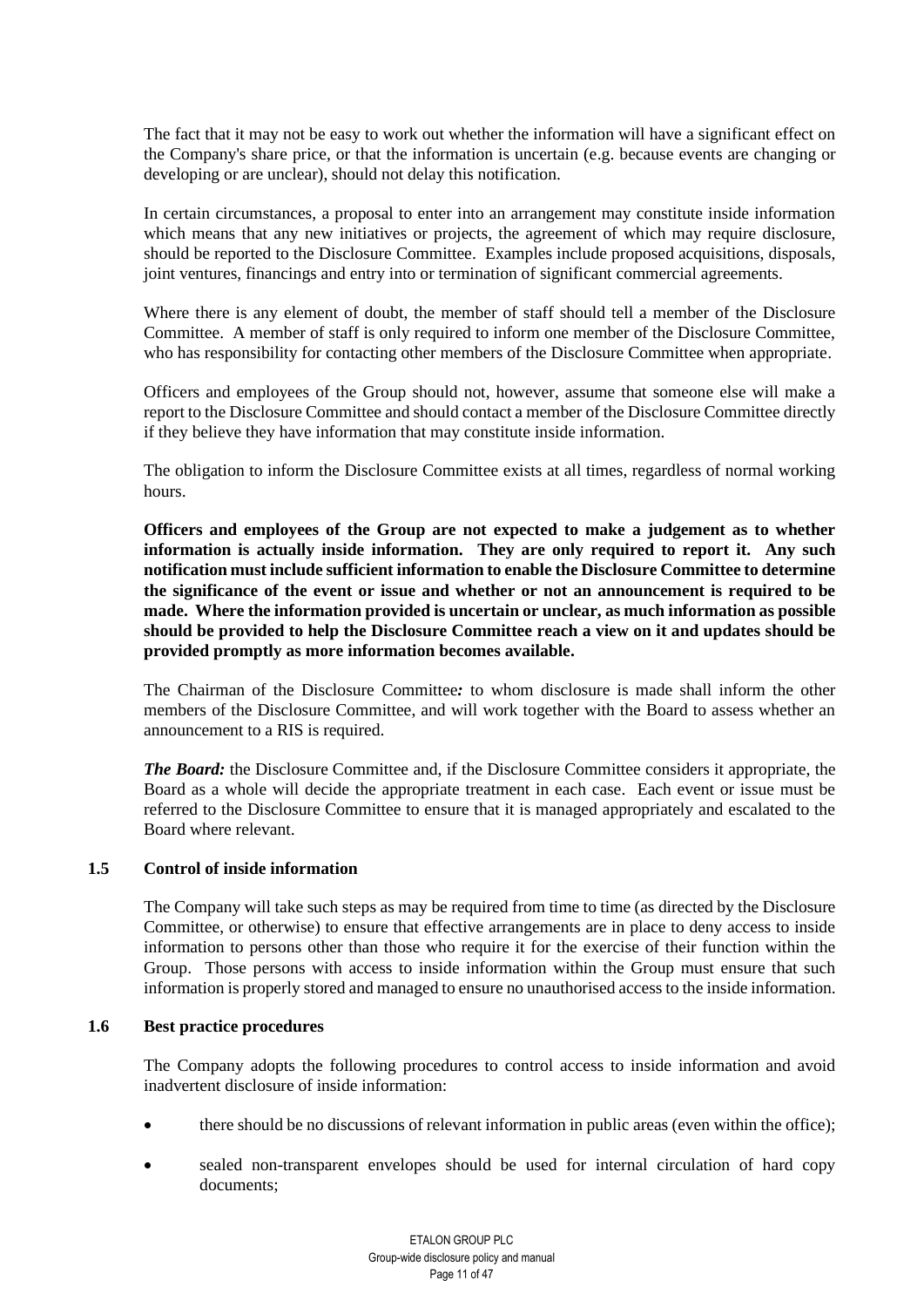The fact that it may not be easy to work out whether the information will have a significant effect on the Company's share price, or that the information is uncertain (e.g. because events are changing or developing or are unclear), should not delay this notification.

In certain circumstances, a proposal to enter into an arrangement may constitute inside information which means that any new initiatives or projects, the agreement of which may require disclosure, should be reported to the Disclosure Committee. Examples include proposed acquisitions, disposals, joint ventures, financings and entry into or termination of significant commercial agreements.

Where there is any element of doubt, the member of staff should tell a member of the Disclosure Committee. A member of staff is only required to inform one member of the Disclosure Committee, who has responsibility for contacting other members of the Disclosure Committee when appropriate.

Officers and employees of the Group should not, however, assume that someone else will make a report to the Disclosure Committee and should contact a member of the Disclosure Committee directly if they believe they have information that may constitute inside information.

The obligation to inform the Disclosure Committee exists at all times, regardless of normal working hours.

**Officers and employees of the Group are not expected to make a judgement as to whether information is actually inside information. They are only required to report it. Any such notification must include sufficient information to enable the Disclosure Committee to determine the significance of the event or issue and whether or not an announcement is required to be made. Where the information provided is uncertain or unclear, as much information as possible should be provided to help the Disclosure Committee reach a view on it and updates should be provided promptly as more information becomes available.**

The Chairman of the Disclosure Committee*:* to whom disclosure is made shall inform the other members of the Disclosure Committee, and will work together with the Board to assess whether an announcement to a RIS is required.

*The Board:* the Disclosure Committee and, if the Disclosure Committee considers it appropriate, the Board as a whole will decide the appropriate treatment in each case. Each event or issue must be referred to the Disclosure Committee to ensure that it is managed appropriately and escalated to the Board where relevant.

## **1.5 Control of inside information**

The Company will take such steps as may be required from time to time (as directed by the Disclosure Committee, or otherwise) to ensure that effective arrangements are in place to deny access to inside information to persons other than those who require it for the exercise of their function within the Group. Those persons with access to inside information within the Group must ensure that such information is properly stored and managed to ensure no unauthorised access to the inside information.

#### **1.6 Best practice procedures**

The Company adopts the following procedures to control access to inside information and avoid inadvertent disclosure of inside information:

- there should be no discussions of relevant information in public areas (even within the office);
- sealed non-transparent envelopes should be used for internal circulation of hard copy documents;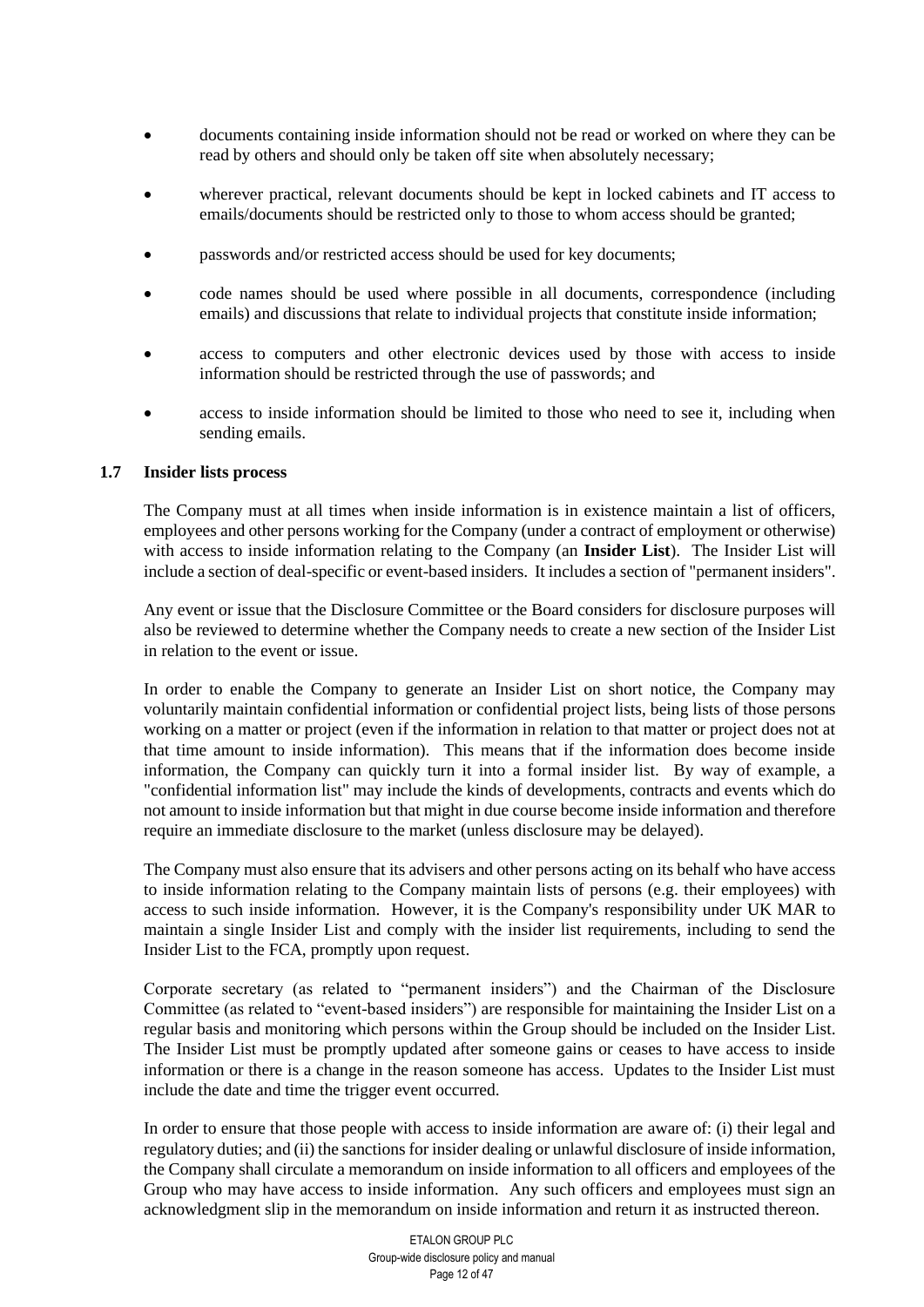- documents containing inside information should not be read or worked on where they can be read by others and should only be taken off site when absolutely necessary;
- wherever practical, relevant documents should be kept in locked cabinets and IT access to emails/documents should be restricted only to those to whom access should be granted;
- passwords and/or restricted access should be used for key documents;
- code names should be used where possible in all documents, correspondence (including emails) and discussions that relate to individual projects that constitute inside information;
- access to computers and other electronic devices used by those with access to inside information should be restricted through the use of passwords; and
- access to inside information should be limited to those who need to see it, including when sending emails.

## **1.7 Insider lists process**

The Company must at all times when inside information is in existence maintain a list of officers, employees and other persons working for the Company (under a contract of employment or otherwise) with access to inside information relating to the Company (an **Insider List**). The Insider List will include a section of deal-specific or event-based insiders. It includes a section of "permanent insiders".

Any event or issue that the Disclosure Committee or the Board considers for disclosure purposes will also be reviewed to determine whether the Company needs to create a new section of the Insider List in relation to the event or issue.

In order to enable the Company to generate an Insider List on short notice, the Company may voluntarily maintain confidential information or confidential project lists, being lists of those persons working on a matter or project (even if the information in relation to that matter or project does not at that time amount to inside information). This means that if the information does become inside information, the Company can quickly turn it into a formal insider list. By way of example, a "confidential information list" may include the kinds of developments, contracts and events which do not amount to inside information but that might in due course become inside information and therefore require an immediate disclosure to the market (unless disclosure may be delayed).

The Company must also ensure that its advisers and other persons acting on its behalf who have access to inside information relating to the Company maintain lists of persons (e.g. their employees) with access to such inside information. However, it is the Company's responsibility under UK MAR to maintain a single Insider List and comply with the insider list requirements, including to send the Insider List to the FCA, promptly upon request.

Corporate secretary (as related to "permanent insiders") and the Chairman of the Disclosure Committee (as related to "event-based insiders") are responsible for maintaining the Insider List on a regular basis and monitoring which persons within the Group should be included on the Insider List. The Insider List must be promptly updated after someone gains or ceases to have access to inside information or there is a change in the reason someone has access. Updates to the Insider List must include the date and time the trigger event occurred.

In order to ensure that those people with access to inside information are aware of: (i) their legal and regulatory duties; and (ii) the sanctions for insider dealing or unlawful disclosure of inside information, the Company shall circulate a memorandum on inside information to all officers and employees of the Group who may have access to inside information. Any such officers and employees must sign an acknowledgment slip in the memorandum on inside information and return it as instructed thereon.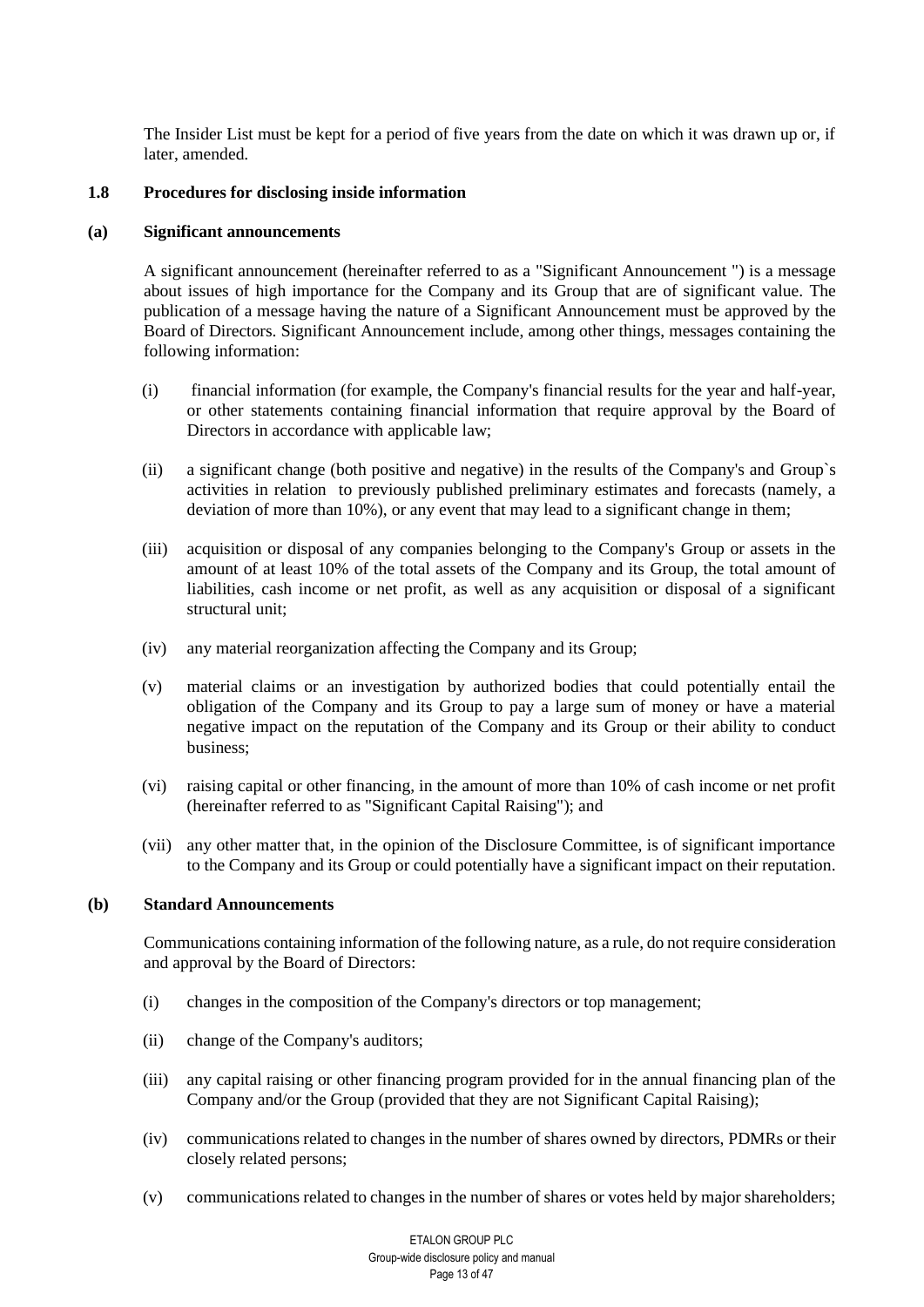The Insider List must be kept for a period of five years from the date on which it was drawn up or, if later, amended.

#### <span id="page-12-0"></span>**1.8 Procedures for disclosing inside information**

#### **(a) Significant announcements**

A significant announcement (hereinafter referred to as a "Significant Announcement ") is a message about issues of high importance for the Company and its Group that are of significant value. The publication of a message having the nature of a Significant Announcement must be approved by the Board of Directors. Significant Announcement include, among other things, messages containing the following information:

- (i) financial information (for example, the Company's financial results for the year and half-year, or other statements containing financial information that require approval by the Board of Directors in accordance with applicable law;
- (ii) a significant change (both positive and negative) in the results of the Company's and Group`s activities in relation to previously published preliminary estimates and forecasts (namely, a deviation of more than 10%), or any event that may lead to a significant change in them;
- (iii) acquisition or disposal of any companies belonging to the Company's Group or assets in the amount of at least 10% of the total assets of the Company and its Group, the total amount of liabilities, cash income or net profit, as well as any acquisition or disposal of a significant structural unit;
- (iv) any material reorganization affecting the Company and its Group;
- (v) material claims or an investigation by authorized bodies that could potentially entail the obligation of the Company and its Group to pay a large sum of money or have a material negative impact on the reputation of the Company and its Group or their ability to conduct business;
- (vi) raising capital or other financing, in the amount of more than 10% of cash income or net profit (hereinafter referred to as "Significant Capital Raising"); and
- (vii) any other matter that, in the opinion of the Disclosure Committee, is of significant importance to the Company and its Group or could potentially have a significant impact on their reputation.

# **(b) Standard Announcements**

Communications containing information of the following nature, as a rule, do not require consideration and approval by the Board of Directors:

- (i) changes in the composition of the Company's directors or top management;
- (ii) change of the Company's auditors;
- (iii) any capital raising or other financing program provided for in the annual financing plan of the Company and/or the Group (provided that they are not Significant Capital Raising);
- (iv) communications related to changes in the number of shares owned by directors, PDMRs or their closely related persons;
- (v) communications related to changes in the number of shares or votes held by major shareholders;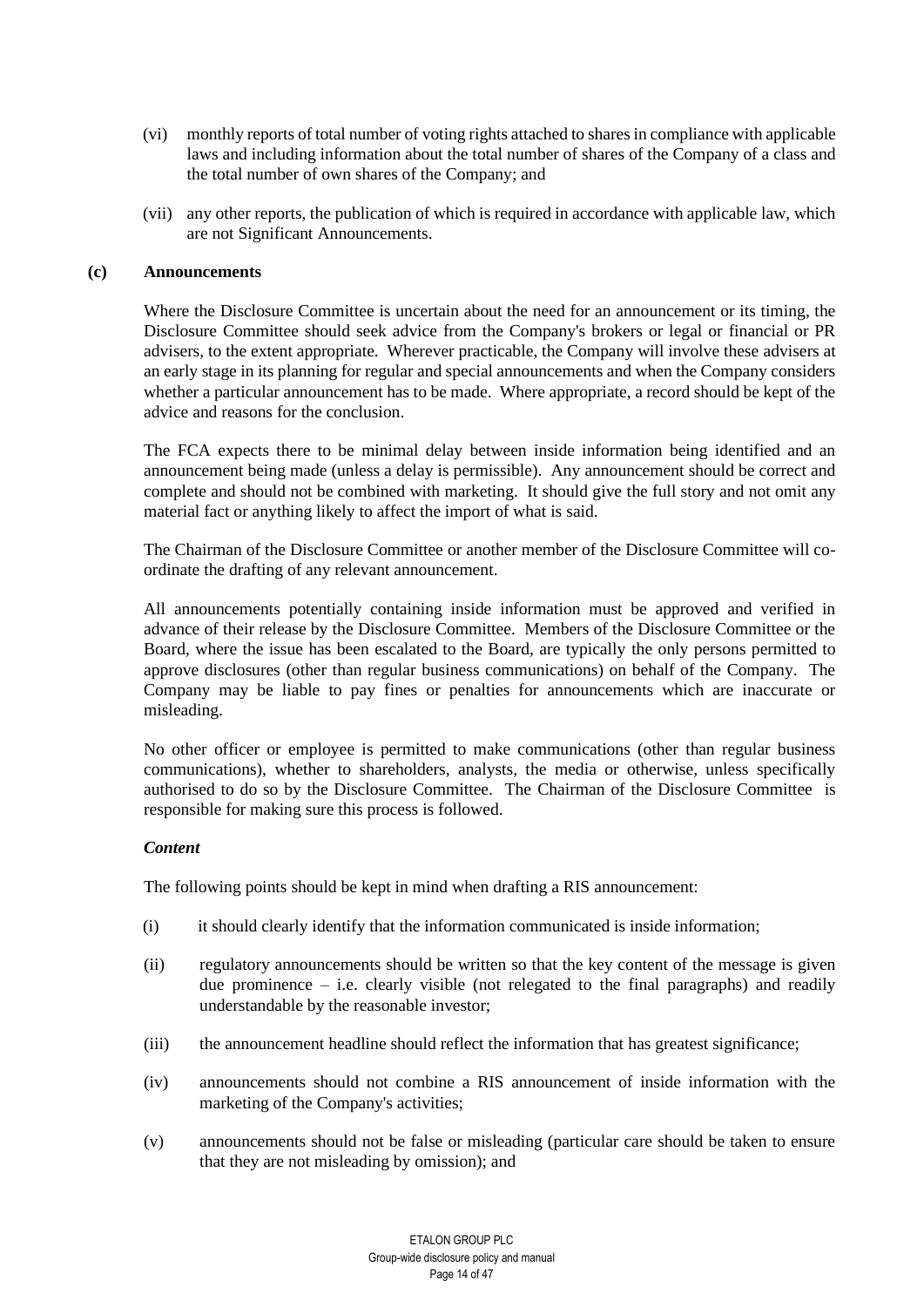- (vi) monthly reports of total number of voting rights attached to shares in compliance with applicable laws and including information about the total number of shares of the Company of a class and the total number of own shares of the Company; and
- (vii) any other reports, the publication of which is required in accordance with applicable law, which are not Significant Announcements.

#### **(c) Announcements**

Where the Disclosure Committee is uncertain about the need for an announcement or its timing, the Disclosure Committee should seek advice from the Company's brokers or legal or financial or PR advisers, to the extent appropriate. Wherever practicable, the Company will involve these advisers at an early stage in its planning for regular and special announcements and when the Company considers whether a particular announcement has to be made. Where appropriate, a record should be kept of the advice and reasons for the conclusion.

The FCA expects there to be minimal delay between inside information being identified and an announcement being made (unless a delay is permissible). Any announcement should be correct and complete and should not be combined with marketing. It should give the full story and not omit any material fact or anything likely to affect the import of what is said.

The Chairman of the Disclosure Committee or another member of the Disclosure Committee will coordinate the drafting of any relevant announcement.

All announcements potentially containing inside information must be approved and verified in advance of their release by the Disclosure Committee. Members of the Disclosure Committee or the Board, where the issue has been escalated to the Board, are typically the only persons permitted to approve disclosures (other than regular business communications) on behalf of the Company. The Company may be liable to pay fines or penalties for announcements which are inaccurate or misleading.

No other officer or employee is permitted to make communications (other than regular business communications), whether to shareholders, analysts, the media or otherwise, unless specifically authorised to do so by the Disclosure Committee. The Chairman of the Disclosure Committee is responsible for making sure this process is followed.

## *Content*

The following points should be kept in mind when drafting a RIS announcement:

- (i) it should clearly identify that the information communicated is inside information;
- (ii) regulatory announcements should be written so that the key content of the message is given due prominence  $-$  i.e. clearly visible (not relegated to the final paragraphs) and readily understandable by the reasonable investor;
- (iii) the announcement headline should reflect the information that has greatest significance;
- (iv) announcements should not combine a RIS announcement of inside information with the marketing of the Company's activities;
- (v) announcements should not be false or misleading (particular care should be taken to ensure that they are not misleading by omission); and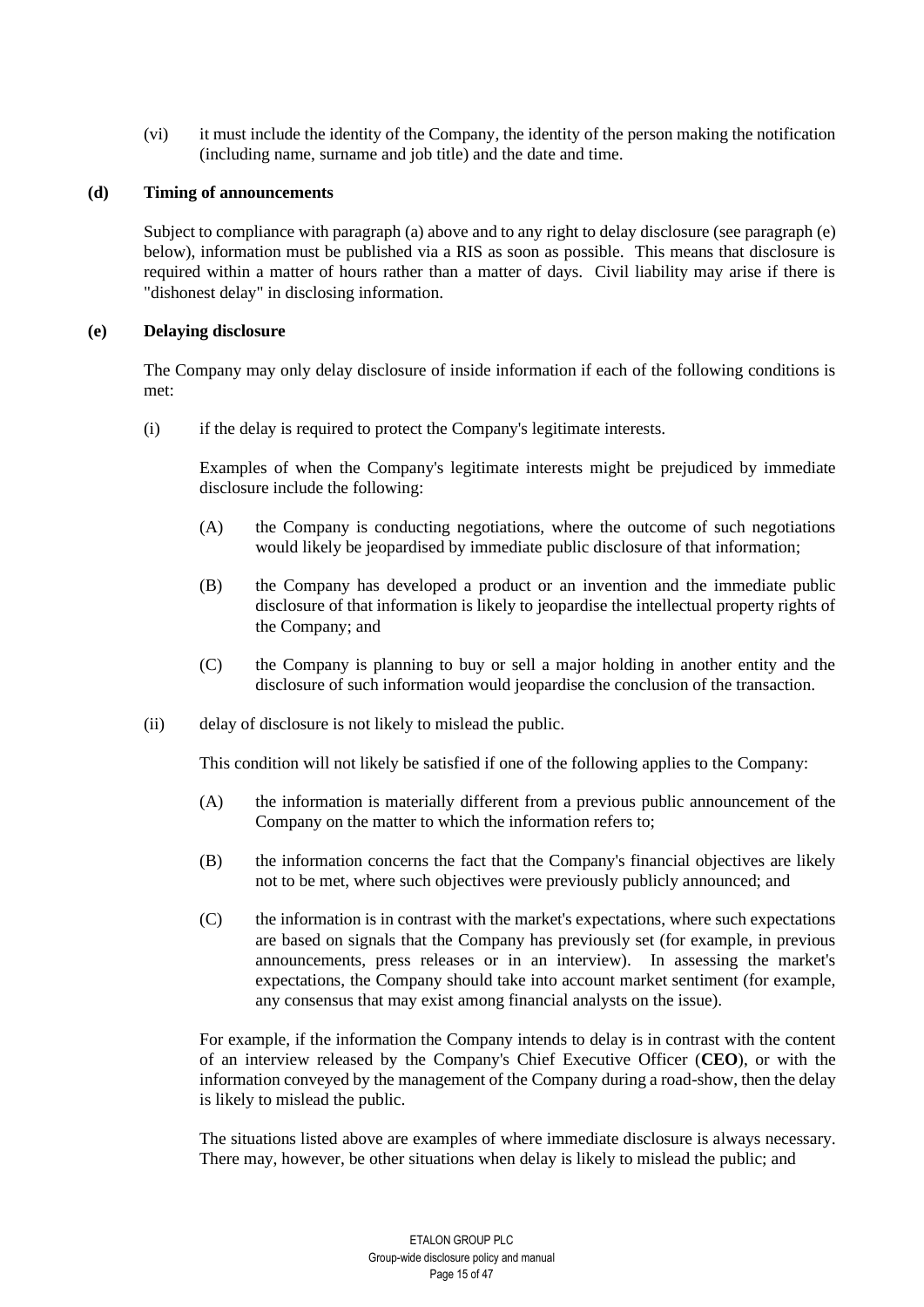(vi) it must include the identity of the Company, the identity of the person making the notification (including name, surname and job title) and the date and time.

#### **(d) Timing of announcements**

Subject to compliance with paragraph [\(a\) above](#page-12-0) and to any right to delay disclosure (see paragraph [\(e\)](#page-14-0)  [below\)](#page-14-0), information must be published via a RIS as soon as possible. This means that disclosure is required within a matter of hours rather than a matter of days. Civil liability may arise if there is "dishonest delay" in disclosing information.

#### <span id="page-14-0"></span>**(e) Delaying disclosure**

The Company may only delay disclosure of inside information if each of the following conditions is met:

(i) if the delay is required to protect the Company's legitimate interests.

Examples of when the Company's legitimate interests might be prejudiced by immediate disclosure include the following:

- (A) the Company is conducting negotiations, where the outcome of such negotiations would likely be jeopardised by immediate public disclosure of that information;
- (B) the Company has developed a product or an invention and the immediate public disclosure of that information is likely to jeopardise the intellectual property rights of the Company; and
- (C) the Company is planning to buy or sell a major holding in another entity and the disclosure of such information would jeopardise the conclusion of the transaction.
- <span id="page-14-1"></span>(ii) delay of disclosure is not likely to mislead the public.

This condition will not likely be satisfied if one of the following applies to the Company:

- (A) the information is materially different from a previous public announcement of the Company on the matter to which the information refers to;
- (B) the information concerns the fact that the Company's financial objectives are likely not to be met, where such objectives were previously publicly announced; and
- (C) the information is in contrast with the market's expectations, where such expectations are based on signals that the Company has previously set (for example, in previous announcements, press releases or in an interview). In assessing the market's expectations, the Company should take into account market sentiment (for example, any consensus that may exist among financial analysts on the issue).

For example, if the information the Company intends to delay is in contrast with the content of an interview released by the Company's Chief Executive Officer (**CEO**), or with the information conveyed by the management of the Company during a road-show, then the delay is likely to mislead the public.

The situations listed above are examples of where immediate disclosure is always necessary. There may, however, be other situations when delay is likely to mislead the public; and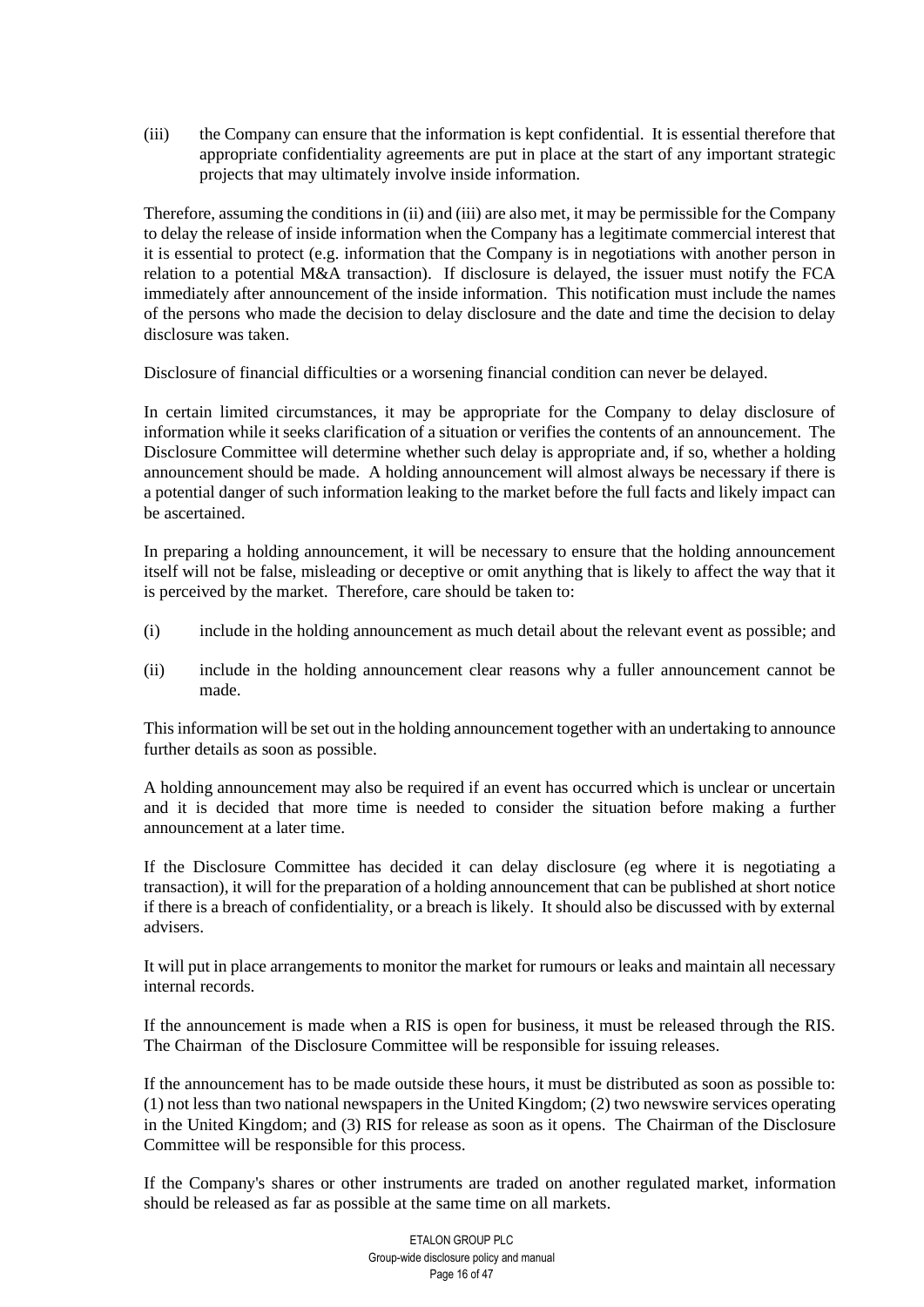<span id="page-15-0"></span>(iii) the Company can ensure that the information is kept confidential. It is essential therefore that appropriate confidentiality agreements are put in place at the start of any important strategic projects that may ultimately involve inside information.

Therefore, assuming the conditions i[n \(ii\)](#page-14-1) an[d \(iii\)](#page-15-0) are also met, it may be permissible for the Company to delay the release of inside information when the Company has a legitimate commercial interest that it is essential to protect (e.g. information that the Company is in negotiations with another person in relation to a potential M&A transaction). If disclosure is delayed, the issuer must notify the FCA immediately after announcement of the inside information. This notification must include the names of the persons who made the decision to delay disclosure and the date and time the decision to delay disclosure was taken.

Disclosure of financial difficulties or a worsening financial condition can never be delayed.

In certain limited circumstances, it may be appropriate for the Company to delay disclosure of information while it seeks clarification of a situation or verifies the contents of an announcement. The Disclosure Committee will determine whether such delay is appropriate and, if so, whether a holding announcement should be made. A holding announcement will almost always be necessary if there is a potential danger of such information leaking to the market before the full facts and likely impact can be ascertained.

In preparing a holding announcement, it will be necessary to ensure that the holding announcement itself will not be false, misleading or deceptive or omit anything that is likely to affect the way that it is perceived by the market. Therefore, care should be taken to:

- (i) include in the holding announcement as much detail about the relevant event as possible; and
- (ii) include in the holding announcement clear reasons why a fuller announcement cannot be made.

This information will be set out in the holding announcement together with an undertaking to announce further details as soon as possible.

A holding announcement may also be required if an event has occurred which is unclear or uncertain and it is decided that more time is needed to consider the situation before making a further announcement at a later time.

If the Disclosure Committee has decided it can delay disclosure (eg where it is negotiating a transaction), it will for the preparation of a holding announcement that can be published at short notice if there is a breach of confidentiality, or a breach is likely. It should also be discussed with by external advisers.

It will put in place arrangements to monitor the market for rumours or leaks and maintain all necessary internal records.

If the announcement is made when a RIS is open for business, it must be released through the RIS. The Chairman of the Disclosure Committee will be responsible for issuing releases.

If the announcement has to be made outside these hours, it must be distributed as soon as possible to: (1) not less than two national newspapers in the United Kingdom; (2) two newswire services operating in the United Kingdom; and (3) RIS for release as soon as it opens. The Chairman of the Disclosure Committee will be responsible for this process.

If the Company's shares or other instruments are traded on another regulated market, information should be released as far as possible at the same time on all markets.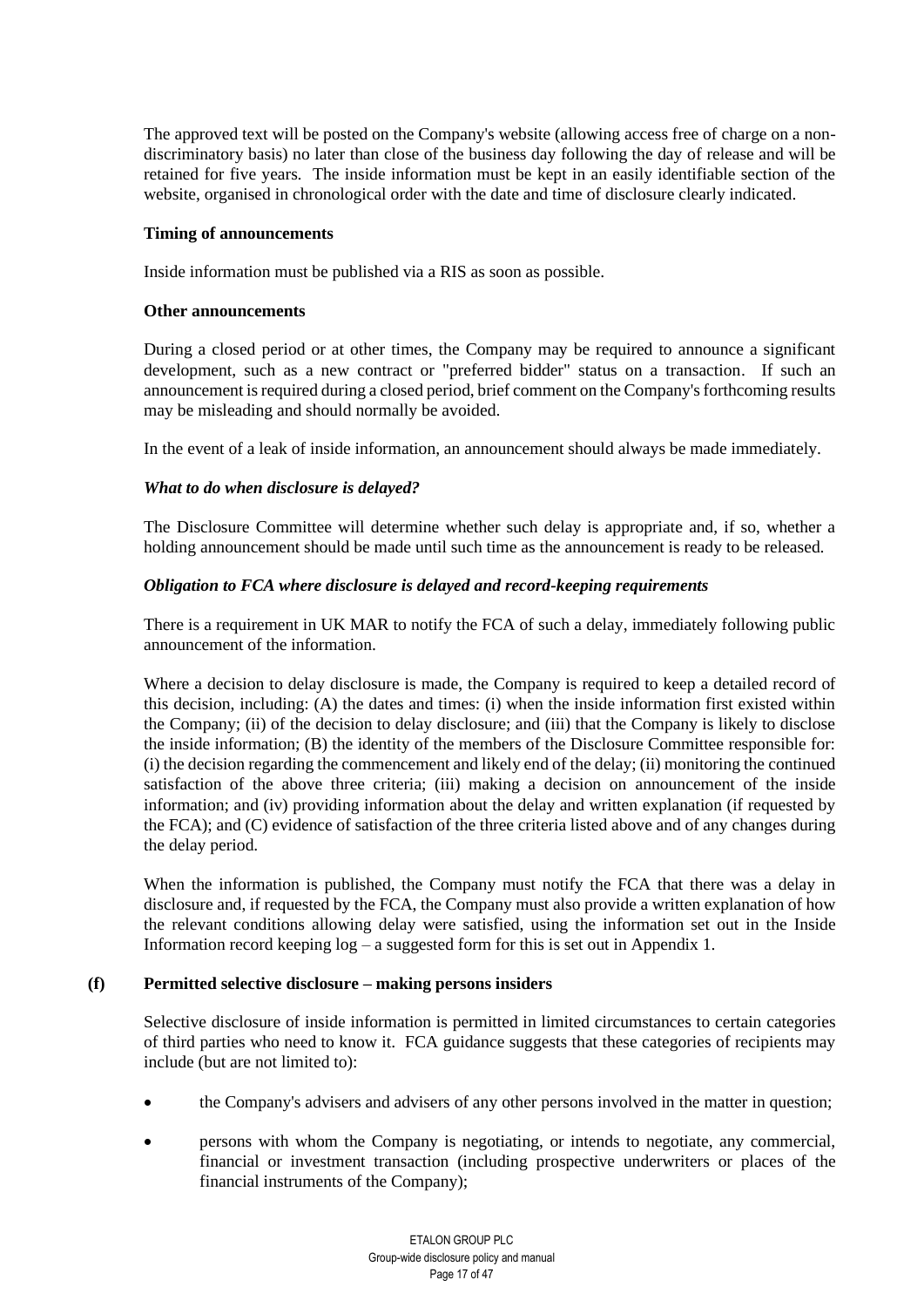The approved text will be posted on the Company's website (allowing access free of charge on a nondiscriminatory basis) no later than close of the business day following the day of release and will be retained for five years. The inside information must be kept in an easily identifiable section of the website, organised in chronological order with the date and time of disclosure clearly indicated.

#### **Timing of announcements**

Inside information must be published via a RIS as soon as possible.

#### **Other announcements**

During a closed period or at other times, the Company may be required to announce a significant development, such as a new contract or "preferred bidder" status on a transaction. If such an announcement is required during a closed period, brief comment on the Company's forthcoming results may be misleading and should normally be avoided.

In the event of a leak of inside information, an announcement should always be made immediately.

## *What to do when disclosure is delayed?*

The Disclosure Committee will determine whether such delay is appropriate and, if so, whether a holding announcement should be made until such time as the announcement is ready to be released.

#### *Obligation to FCA where disclosure is delayed and record-keeping requirements*

There is a requirement in UK MAR to notify the FCA of such a delay, immediately following public announcement of the information.

Where a decision to delay disclosure is made, the Company is required to keep a detailed record of this decision, including: (A) the dates and times: (i) when the inside information first existed within the Company; (ii) of the decision to delay disclosure; and (iii) that the Company is likely to disclose the inside information; (B) the identity of the members of the Disclosure Committee responsible for: (i) the decision regarding the commencement and likely end of the delay; (ii) monitoring the continued satisfaction of the above three criteria; (iii) making a decision on announcement of the inside information; and (iv) providing information about the delay and written explanation (if requested by the FCA); and (C) evidence of satisfaction of the three criteria listed above and of any changes during the delay period.

When the information is published, the Company must notify the FCA that there was a delay in disclosure and, if requested by the FCA, the Company must also provide a written explanation of how the relevant conditions allowing delay were satisfied, using the information set out in the Inside Information record keeping  $log - a$  suggested form for this is set out in Appendix 1.

## **(f) Permitted selective disclosure – making persons insiders**

Selective disclosure of inside information is permitted in limited circumstances to certain categories of third parties who need to know it. FCA guidance suggests that these categories of recipients may include (but are not limited to):

- the Company's advisers and advisers of any other persons involved in the matter in question;
- persons with whom the Company is negotiating, or intends to negotiate, any commercial, financial or investment transaction (including prospective underwriters or places of the financial instruments of the Company);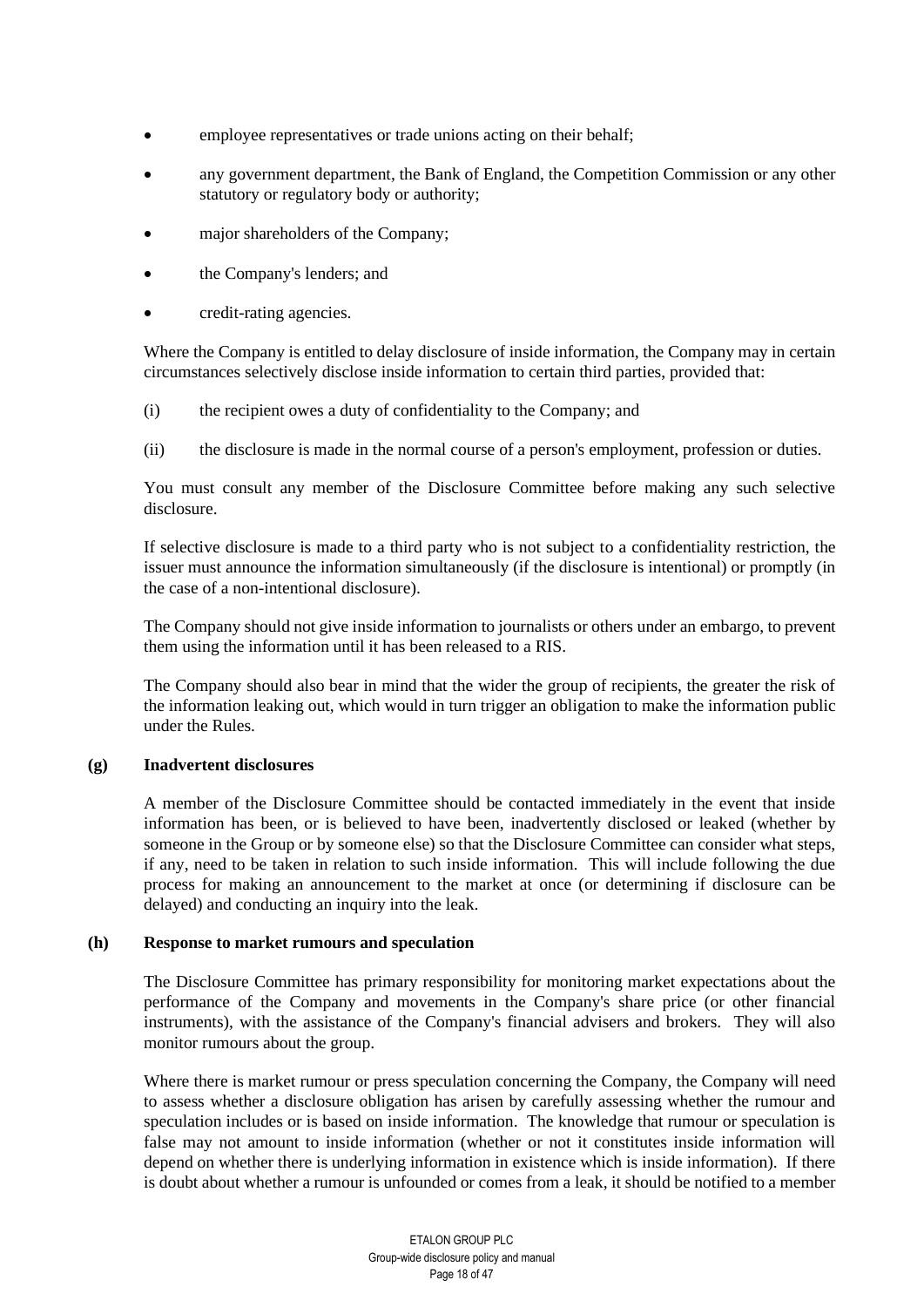- employee representatives or trade unions acting on their behalf;
- any government department, the Bank of England, the Competition Commission or any other statutory or regulatory body or authority;
- major shareholders of the Company;
- the Company's lenders; and
- credit-rating agencies.

Where the Company is entitled to delay disclosure of inside information, the Company may in certain circumstances selectively disclose inside information to certain third parties, provided that:

- (i) the recipient owes a duty of confidentiality to the Company; and
- (ii) the disclosure is made in the normal course of a person's employment, profession or duties.

You must consult any member of the Disclosure Committee before making any such selective disclosure.

If selective disclosure is made to a third party who is not subject to a confidentiality restriction, the issuer must announce the information simultaneously (if the disclosure is intentional) or promptly (in the case of a non-intentional disclosure).

The Company should not give inside information to journalists or others under an embargo, to prevent them using the information until it has been released to a RIS.

The Company should also bear in mind that the wider the group of recipients, the greater the risk of the information leaking out, which would in turn trigger an obligation to make the information public under the Rules.

## **(g) Inadvertent disclosures**

A member of the Disclosure Committee should be contacted immediately in the event that inside information has been, or is believed to have been, inadvertently disclosed or leaked (whether by someone in the Group or by someone else) so that the Disclosure Committee can consider what steps, if any, need to be taken in relation to such inside information. This will include following the due process for making an announcement to the market at once (or determining if disclosure can be delayed) and conducting an inquiry into the leak.

## **(h) Response to market rumours and speculation**

The Disclosure Committee has primary responsibility for monitoring market expectations about the performance of the Company and movements in the Company's share price (or other financial instruments), with the assistance of the Company's financial advisers and brokers. They will also monitor rumours about the group.

Where there is market rumour or press speculation concerning the Company, the Company will need to assess whether a disclosure obligation has arisen by carefully assessing whether the rumour and speculation includes or is based on inside information. The knowledge that rumour or speculation is false may not amount to inside information (whether or not it constitutes inside information will depend on whether there is underlying information in existence which is inside information). If there is doubt about whether a rumour is unfounded or comes from a leak, it should be notified to a member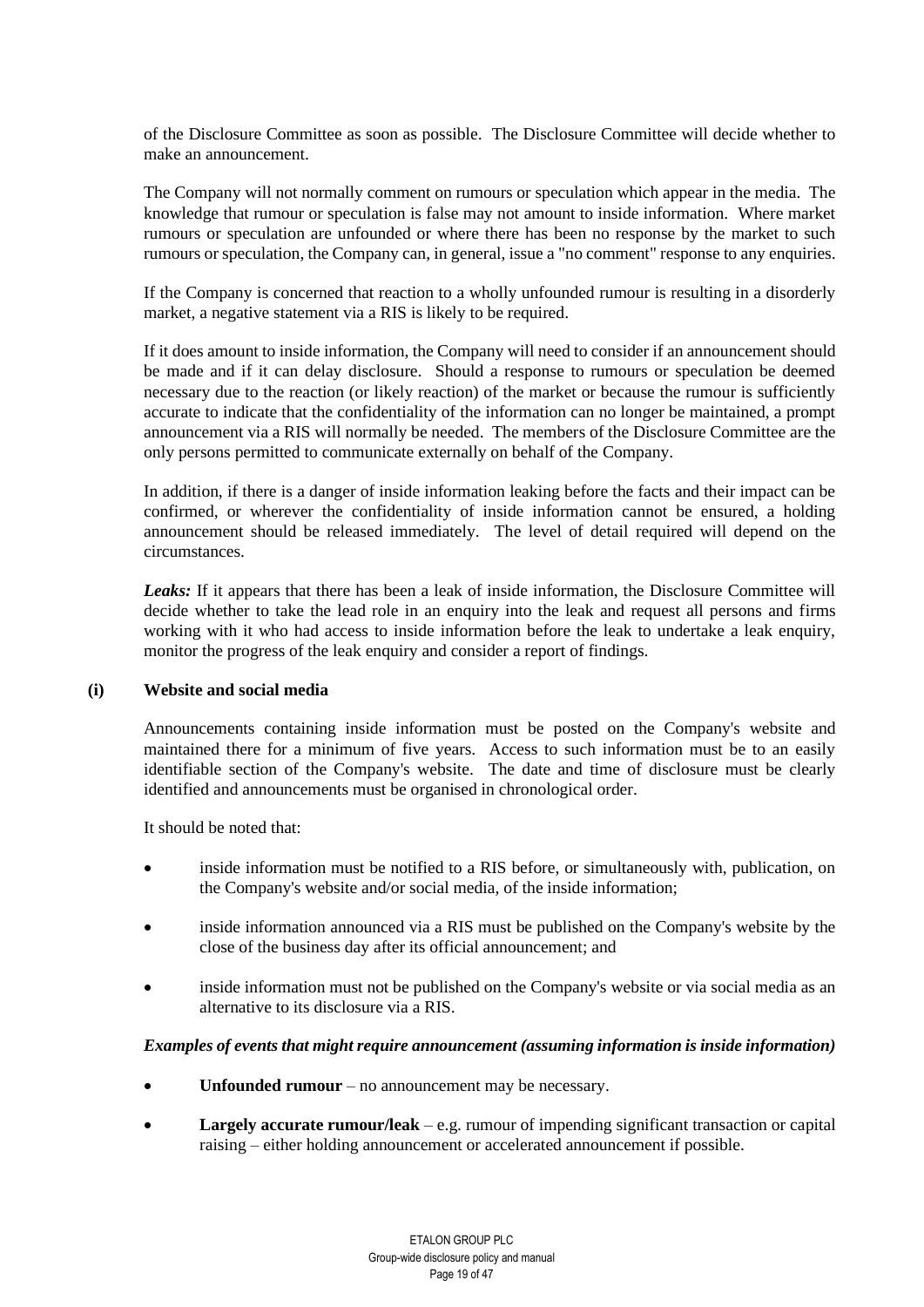of the Disclosure Committee as soon as possible. The Disclosure Committee will decide whether to make an announcement.

The Company will not normally comment on rumours or speculation which appear in the media. The knowledge that rumour or speculation is false may not amount to inside information. Where market rumours or speculation are unfounded or where there has been no response by the market to such rumours or speculation, the Company can, in general, issue a "no comment" response to any enquiries.

If the Company is concerned that reaction to a wholly unfounded rumour is resulting in a disorderly market, a negative statement via a RIS is likely to be required.

If it does amount to inside information, the Company will need to consider if an announcement should be made and if it can delay disclosure. Should a response to rumours or speculation be deemed necessary due to the reaction (or likely reaction) of the market or because the rumour is sufficiently accurate to indicate that the confidentiality of the information can no longer be maintained, a prompt announcement via a RIS will normally be needed. The members of the Disclosure Committee are the only persons permitted to communicate externally on behalf of the Company.

In addition, if there is a danger of inside information leaking before the facts and their impact can be confirmed, or wherever the confidentiality of inside information cannot be ensured, a holding announcement should be released immediately. The level of detail required will depend on the circumstances.

*Leaks:* If it appears that there has been a leak of inside information, the Disclosure Committee will decide whether to take the lead role in an enquiry into the leak and request all persons and firms working with it who had access to inside information before the leak to undertake a leak enquiry, monitor the progress of the leak enquiry and consider a report of findings.

#### **(i) Website and social media**

Announcements containing inside information must be posted on the Company's website and maintained there for a minimum of five years. Access to such information must be to an easily identifiable section of the Company's website. The date and time of disclosure must be clearly identified and announcements must be organised in chronological order.

It should be noted that:

- inside information must be notified to a RIS before, or simultaneously with, publication, on the Company's website and/or social media, of the inside information;
- inside information announced via a RIS must be published on the Company's website by the close of the business day after its official announcement; and
- inside information must not be published on the Company's website or via social media as an alternative to its disclosure via a RIS.

#### *Examples of events that might require announcement (assuming information is inside information)*

- **Unfounded rumour** no announcement may be necessary.
- **Largely accurate rumour/leak**  e.g. rumour of impending significant transaction or capital raising – either holding announcement or accelerated announcement if possible.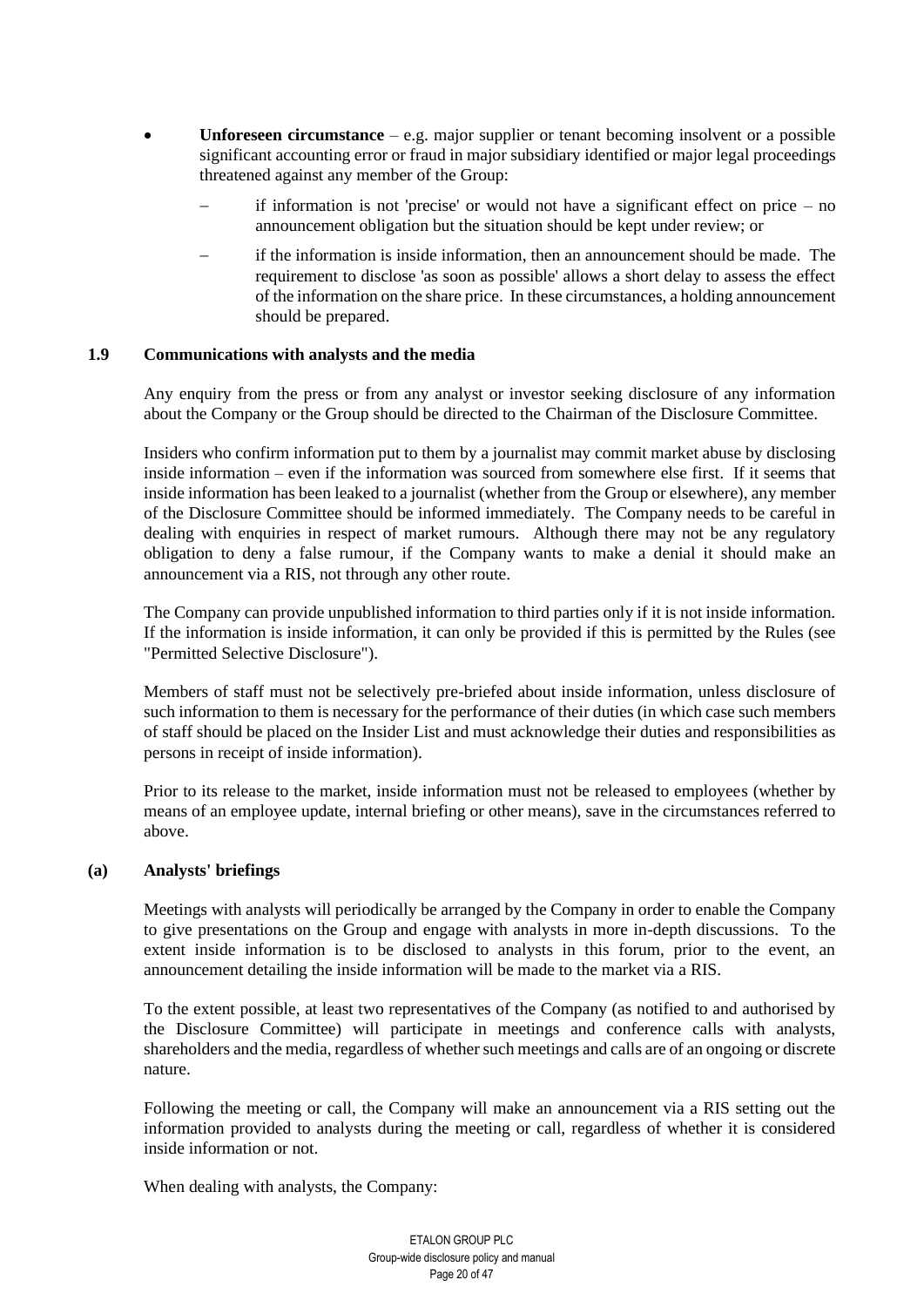- **Unforeseen circumstance**  $-$  e.g. major supplier or tenant becoming insolvent or a possible significant accounting error or fraud in major subsidiary identified or major legal proceedings threatened against any member of the Group:
	- if information is not 'precise' or would not have a significant effect on price  $-$  no announcement obligation but the situation should be kept under review; or
	- if the information is inside information, then an announcement should be made. The requirement to disclose 'as soon as possible' allows a short delay to assess the effect of the information on the share price. In these circumstances, a holding announcement should be prepared.

# **1.9 Communications with analysts and the media**

Any enquiry from the press or from any analyst or investor seeking disclosure of any information about the Company or the Group should be directed to the Chairman of the Disclosure Committee.

Insiders who confirm information put to them by a journalist may commit market abuse by disclosing inside information – even if the information was sourced from somewhere else first. If it seems that inside information has been leaked to a journalist (whether from the Group or elsewhere), any member of the Disclosure Committee should be informed immediately. The Company needs to be careful in dealing with enquiries in respect of market rumours. Although there may not be any regulatory obligation to deny a false rumour, if the Company wants to make a denial it should make an announcement via a RIS, not through any other route.

The Company can provide unpublished information to third parties only if it is not inside information. If the information is inside information, it can only be provided if this is permitted by the Rules (see "Permitted Selective Disclosure").

Members of staff must not be selectively pre-briefed about inside information, unless disclosure of such information to them is necessary for the performance of their duties (in which case such members of staff should be placed on the Insider List and must acknowledge their duties and responsibilities as persons in receipt of inside information).

Prior to its release to the market, inside information must not be released to employees (whether by means of an employee update, internal briefing or other means), save in the circumstances referred to above.

## **(a) Analysts' briefings**

Meetings with analysts will periodically be arranged by the Company in order to enable the Company to give presentations on the Group and engage with analysts in more in-depth discussions. To the extent inside information is to be disclosed to analysts in this forum, prior to the event, an announcement detailing the inside information will be made to the market via a RIS.

To the extent possible, at least two representatives of the Company (as notified to and authorised by the Disclosure Committee) will participate in meetings and conference calls with analysts, shareholders and the media, regardless of whether such meetings and calls are of an ongoing or discrete nature.

Following the meeting or call, the Company will make an announcement via a RIS setting out the information provided to analysts during the meeting or call, regardless of whether it is considered inside information or not.

When dealing with analysts, the Company: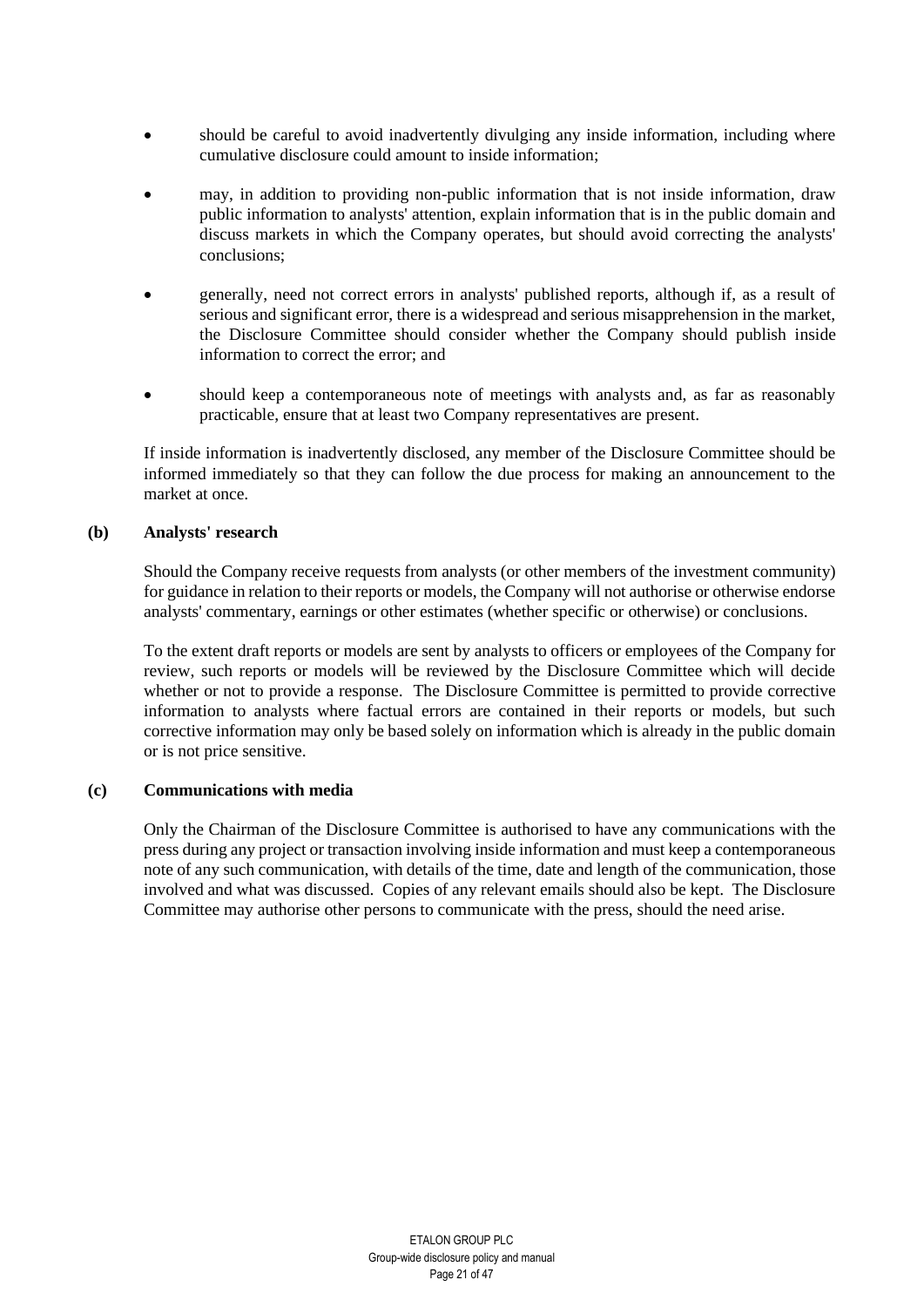- should be careful to avoid inadvertently divulging any inside information, including where cumulative disclosure could amount to inside information;
- may, in addition to providing non-public information that is not inside information, draw public information to analysts' attention, explain information that is in the public domain and discuss markets in which the Company operates, but should avoid correcting the analysts' conclusions;
- generally, need not correct errors in analysts' published reports, although if, as a result of serious and significant error, there is a widespread and serious misapprehension in the market, the Disclosure Committee should consider whether the Company should publish inside information to correct the error; and
- should keep a contemporaneous note of meetings with analysts and, as far as reasonably practicable, ensure that at least two Company representatives are present.

If inside information is inadvertently disclosed, any member of the Disclosure Committee should be informed immediately so that they can follow the due process for making an announcement to the market at once.

#### **(b) Analysts' research**

Should the Company receive requests from analysts (or other members of the investment community) for guidance in relation to their reports or models, the Company will not authorise or otherwise endorse analysts' commentary, earnings or other estimates (whether specific or otherwise) or conclusions.

To the extent draft reports or models are sent by analysts to officers or employees of the Company for review, such reports or models will be reviewed by the Disclosure Committee which will decide whether or not to provide a response. The Disclosure Committee is permitted to provide corrective information to analysts where factual errors are contained in their reports or models, but such corrective information may only be based solely on information which is already in the public domain or is not price sensitive.

## **(c) Communications with media**

Only the Chairman of the Disclosure Committee is authorised to have any communications with the press during any project or transaction involving inside information and must keep a contemporaneous note of any such communication, with details of the time, date and length of the communication, those involved and what was discussed. Copies of any relevant emails should also be kept. The Disclosure Committee may authorise other persons to communicate with the press, should the need arise.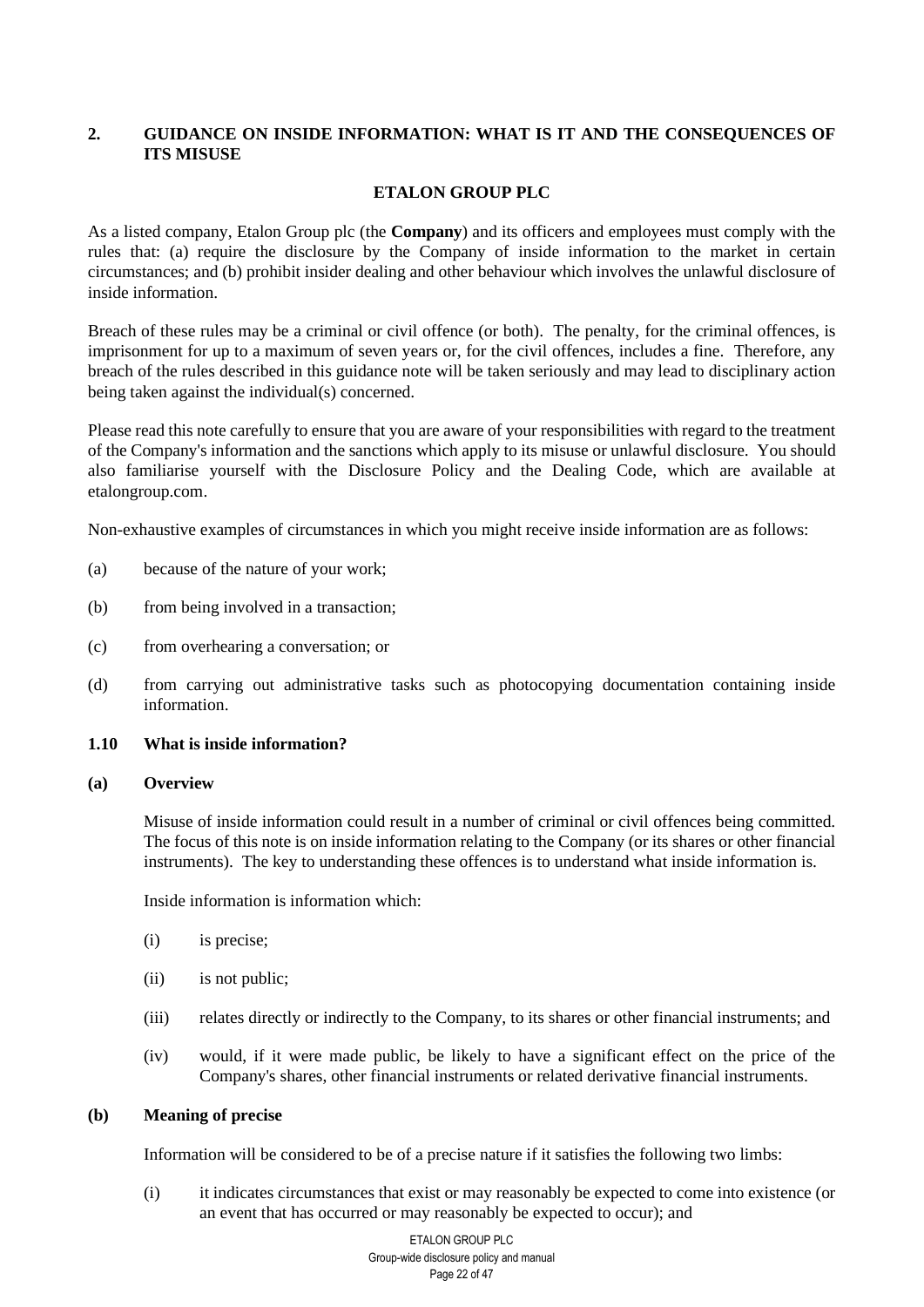# <span id="page-21-0"></span>**2. GUIDANCE ON INSIDE INFORMATION: WHAT IS IT AND THE CONSEQUENCES OF ITS MISUSE**

# **ETALON GROUP PLC**

As a listed company, Etalon Group plc (the **Company**) and its officers and employees must comply with the rules that: (a) require the disclosure by the Company of inside information to the market in certain circumstances; and (b) prohibit insider dealing and other behaviour which involves the unlawful disclosure of inside information.

Breach of these rules may be a criminal or civil offence (or both). The penalty, for the criminal offences, is imprisonment for up to a maximum of seven years or, for the civil offences, includes a fine. Therefore, any breach of the rules described in this guidance note will be taken seriously and may lead to disciplinary action being taken against the individual(s) concerned.

Please read this note carefully to ensure that you are aware of your responsibilities with regard to the treatment of the Company's information and the sanctions which apply to its misuse or unlawful disclosure. You should also familiarise yourself with the Disclosure Policy and the Dealing Code, which are available at etalongroup.com.

Non-exhaustive examples of circumstances in which you might receive inside information are as follows:

- (a) because of the nature of your work;
- (b) from being involved in a transaction;
- (c) from overhearing a conversation; or
- (d) from carrying out administrative tasks such as photocopying documentation containing inside information.

# **1.10 What is inside information?**

#### **(a) Overview**

Misuse of inside information could result in a number of criminal or civil offences being committed. The focus of this note is on inside information relating to the Company (or its shares or other financial instruments). The key to understanding these offences is to understand what inside information is.

Inside information is information which:

- (i) is precise;
- (ii) is not public;
- (iii) relates directly or indirectly to the Company, to its shares or other financial instruments; and
- (iv) would, if it were made public, be likely to have a significant effect on the price of the Company's shares, other financial instruments or related derivative financial instruments.

## **(b) Meaning of precise**

Information will be considered to be of a precise nature if it satisfies the following two limbs:

(i) it indicates circumstances that exist or may reasonably be expected to come into existence (or an event that has occurred or may reasonably be expected to occur); and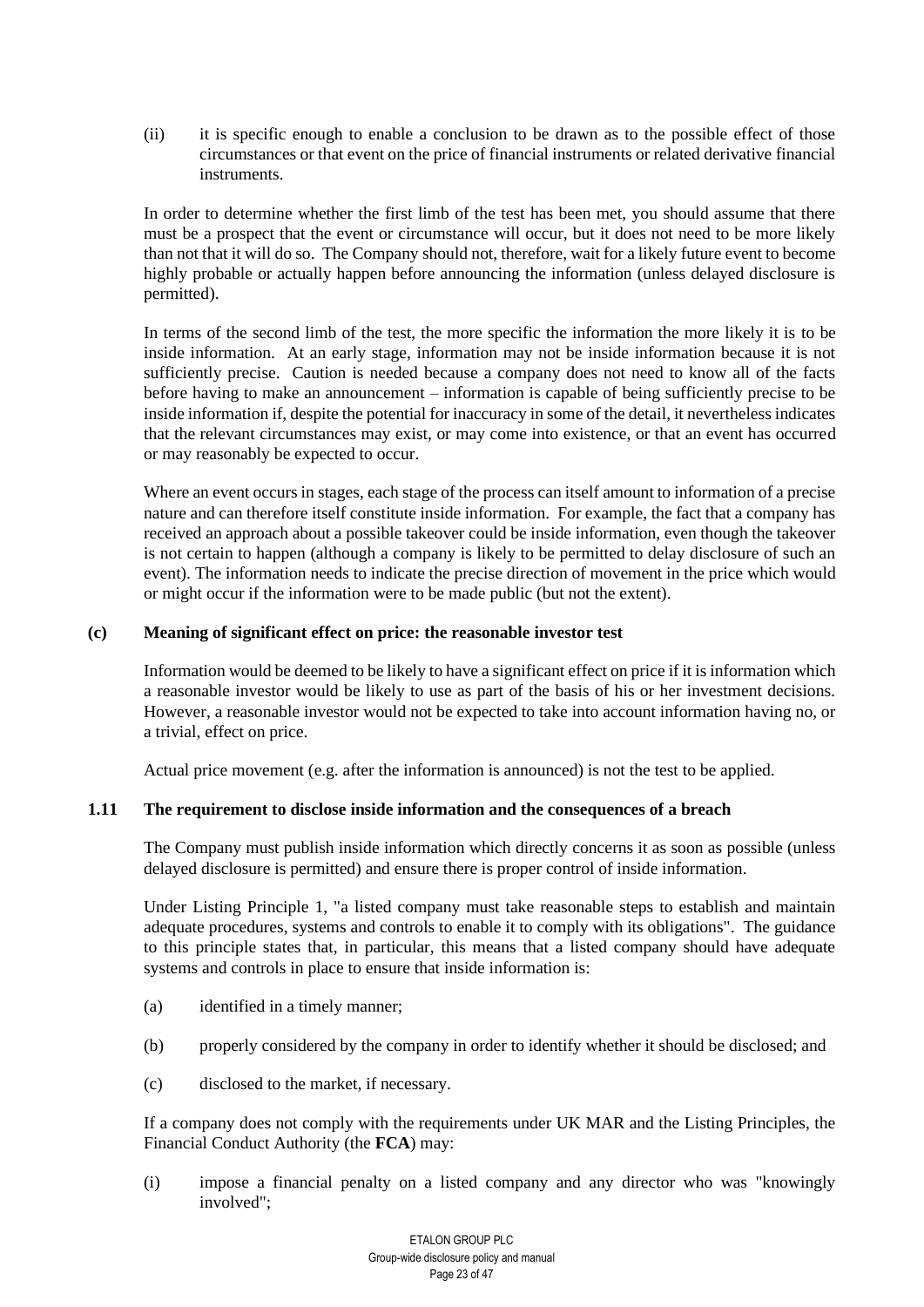(ii) it is specific enough to enable a conclusion to be drawn as to the possible effect of those circumstances or that event on the price of financial instruments or related derivative financial instruments.

In order to determine whether the first limb of the test has been met, you should assume that there must be a prospect that the event or circumstance will occur, but it does not need to be more likely than not that it will do so. The Company should not, therefore, wait for a likely future event to become highly probable or actually happen before announcing the information (unless delayed disclosure is permitted).

In terms of the second limb of the test, the more specific the information the more likely it is to be inside information. At an early stage, information may not be inside information because it is not sufficiently precise. Caution is needed because a company does not need to know all of the facts before having to make an announcement – information is capable of being sufficiently precise to be inside information if, despite the potential for inaccuracy in some of the detail, it nevertheless indicates that the relevant circumstances may exist, or may come into existence, or that an event has occurred or may reasonably be expected to occur.

Where an event occurs in stages, each stage of the process can itself amount to information of a precise nature and can therefore itself constitute inside information. For example, the fact that a company has received an approach about a possible takeover could be inside information, even though the takeover is not certain to happen (although a company is likely to be permitted to delay disclosure of such an event). The information needs to indicate the precise direction of movement in the price which would or might occur if the information were to be made public (but not the extent).

# **(c) Meaning of significant effect on price: the reasonable investor test**

Information would be deemed to be likely to have a significant effect on price if it is information which a reasonable investor would be likely to use as part of the basis of his or her investment decisions. However, a reasonable investor would not be expected to take into account information having no, or a trivial, effect on price.

Actual price movement (e.g. after the information is announced) is not the test to be applied.

# **1.11 The requirement to disclose inside information and the consequences of a breach**

The Company must publish inside information which directly concerns it as soon as possible (unless delayed disclosure is permitted) and ensure there is proper control of inside information.

Under Listing Principle 1, "a listed company must take reasonable steps to establish and maintain adequate procedures, systems and controls to enable it to comply with its obligations". The guidance to this principle states that, in particular, this means that a listed company should have adequate systems and controls in place to ensure that inside information is:

- (a) identified in a timely manner;
- (b) properly considered by the company in order to identify whether it should be disclosed; and
- (c) disclosed to the market, if necessary.

If a company does not comply with the requirements under UK MAR and the Listing Principles, the Financial Conduct Authority (the **FCA**) may:

(i) impose a financial penalty on a listed company and any director who was "knowingly involved";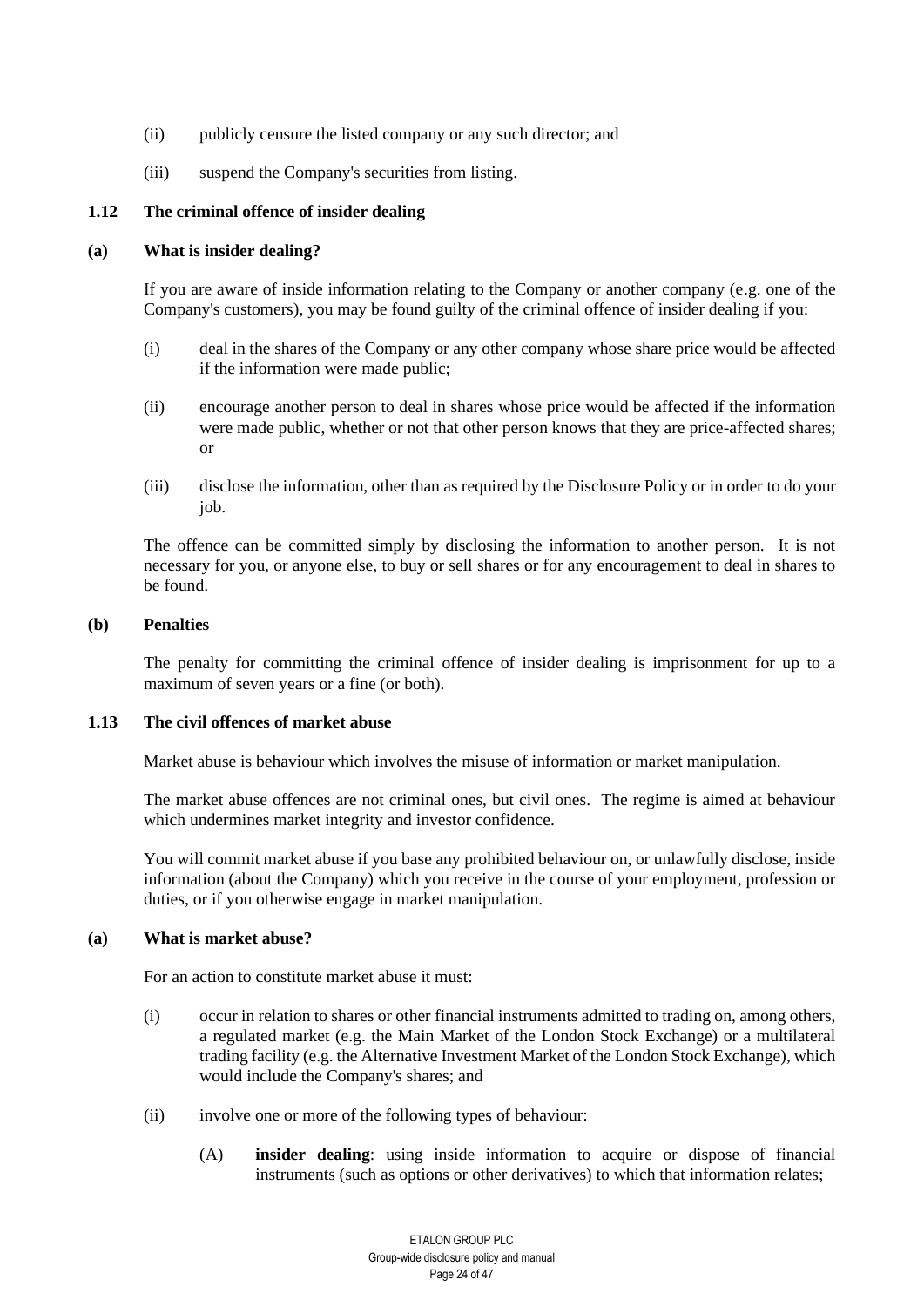- (ii) publicly censure the listed company or any such director; and
- (iii) suspend the Company's securities from listing.

# **1.12 The criminal offence of insider dealing**

## **(a) What is insider dealing?**

If you are aware of inside information relating to the Company or another company (e.g. one of the Company's customers), you may be found guilty of the criminal offence of insider dealing if you:

- (i) deal in the shares of the Company or any other company whose share price would be affected if the information were made public;
- (ii) encourage another person to deal in shares whose price would be affected if the information were made public, whether or not that other person knows that they are price-affected shares; or
- (iii) disclose the information, other than as required by the Disclosure Policy or in order to do your job.

The offence can be committed simply by disclosing the information to another person. It is not necessary for you, or anyone else, to buy or sell shares or for any encouragement to deal in shares to be found.

## **(b) Penalties**

The penalty for committing the criminal offence of insider dealing is imprisonment for up to a maximum of seven years or a fine (or both).

## **1.13 The civil offences of market abuse**

Market abuse is behaviour which involves the misuse of information or market manipulation.

The market abuse offences are not criminal ones, but civil ones. The regime is aimed at behaviour which undermines market integrity and investor confidence.

You will commit market abuse if you base any prohibited behaviour on, or unlawfully disclose, inside information (about the Company) which you receive in the course of your employment, profession or duties, or if you otherwise engage in market manipulation.

## **(a) What is market abuse?**

For an action to constitute market abuse it must:

- (i) occur in relation to shares or other financial instruments admitted to trading on, among others, a regulated market (e.g. the Main Market of the London Stock Exchange) or a multilateral trading facility (e.g. the Alternative Investment Market of the London Stock Exchange), which would include the Company's shares; and
- <span id="page-23-1"></span><span id="page-23-0"></span>(ii) involve one or more of the following types of behaviour:
	- (A) **insider dealing**: using inside information to acquire or dispose of financial instruments (such as options or other derivatives) to which that information relates;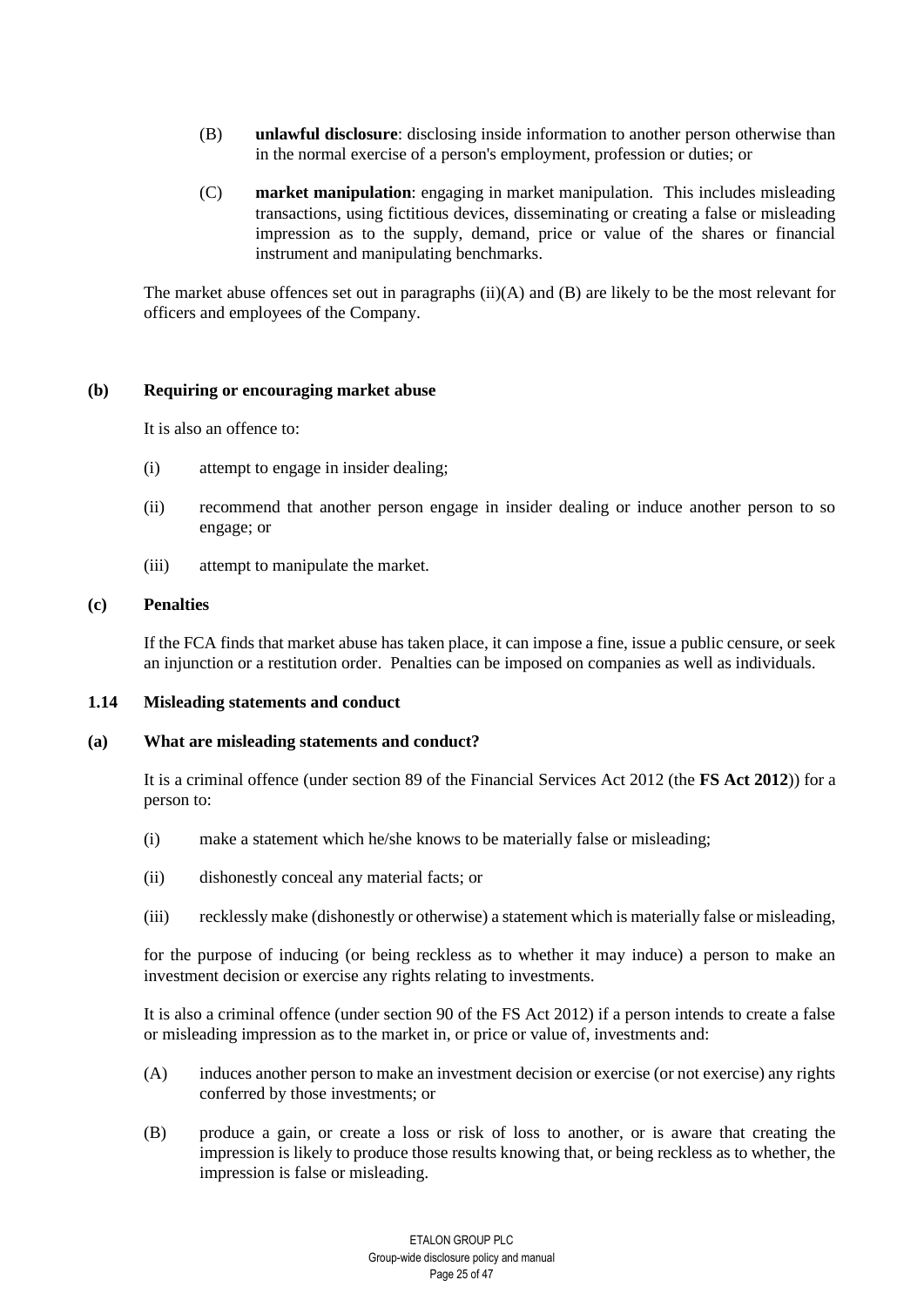- <span id="page-24-0"></span>(B) **unlawful disclosure**: disclosing inside information to another person otherwise than in the normal exercise of a person's employment, profession or duties; or
- (C) **market manipulation**: engaging in market manipulation. This includes misleading transactions, using fictitious devices, disseminating or creating a false or misleading impression as to the supply, demand, price or value of the shares or financial instrument and manipulating benchmarks.

The market abuse offences set out in paragraphs  $(ii)(A)$  $(ii)(A)$  and  $(B)$  are likely to be the most relevant for officers and employees of the Company.

#### **(b) Requiring or encouraging market abuse**

It is also an offence to:

- (i) attempt to engage in insider dealing;
- (ii) recommend that another person engage in insider dealing or induce another person to so engage; or
- (iii) attempt to manipulate the market.

# **(c) Penalties**

If the FCA finds that market abuse has taken place, it can impose a fine, issue a public censure, or seek an injunction or a restitution order. Penalties can be imposed on companies as well as individuals.

#### **1.14 Misleading statements and conduct**

## **(a) What are misleading statements and conduct?**

It is a criminal offence (under section 89 of the Financial Services Act 2012 (the **FS Act 2012**)) for a person to:

- (i) make a statement which he/she knows to be materially false or misleading;
- (ii) dishonestly conceal any material facts; or
- (iii) recklessly make (dishonestly or otherwise) a statement which is materially false or misleading,

for the purpose of inducing (or being reckless as to whether it may induce) a person to make an investment decision or exercise any rights relating to investments.

It is also a criminal offence (under section 90 of the FS Act 2012) if a person intends to create a false or misleading impression as to the market in, or price or value of, investments and:

- (A) induces another person to make an investment decision or exercise (or not exercise) any rights conferred by those investments; or
- (B) produce a gain, or create a loss or risk of loss to another, or is aware that creating the impression is likely to produce those results knowing that, or being reckless as to whether, the impression is false or misleading.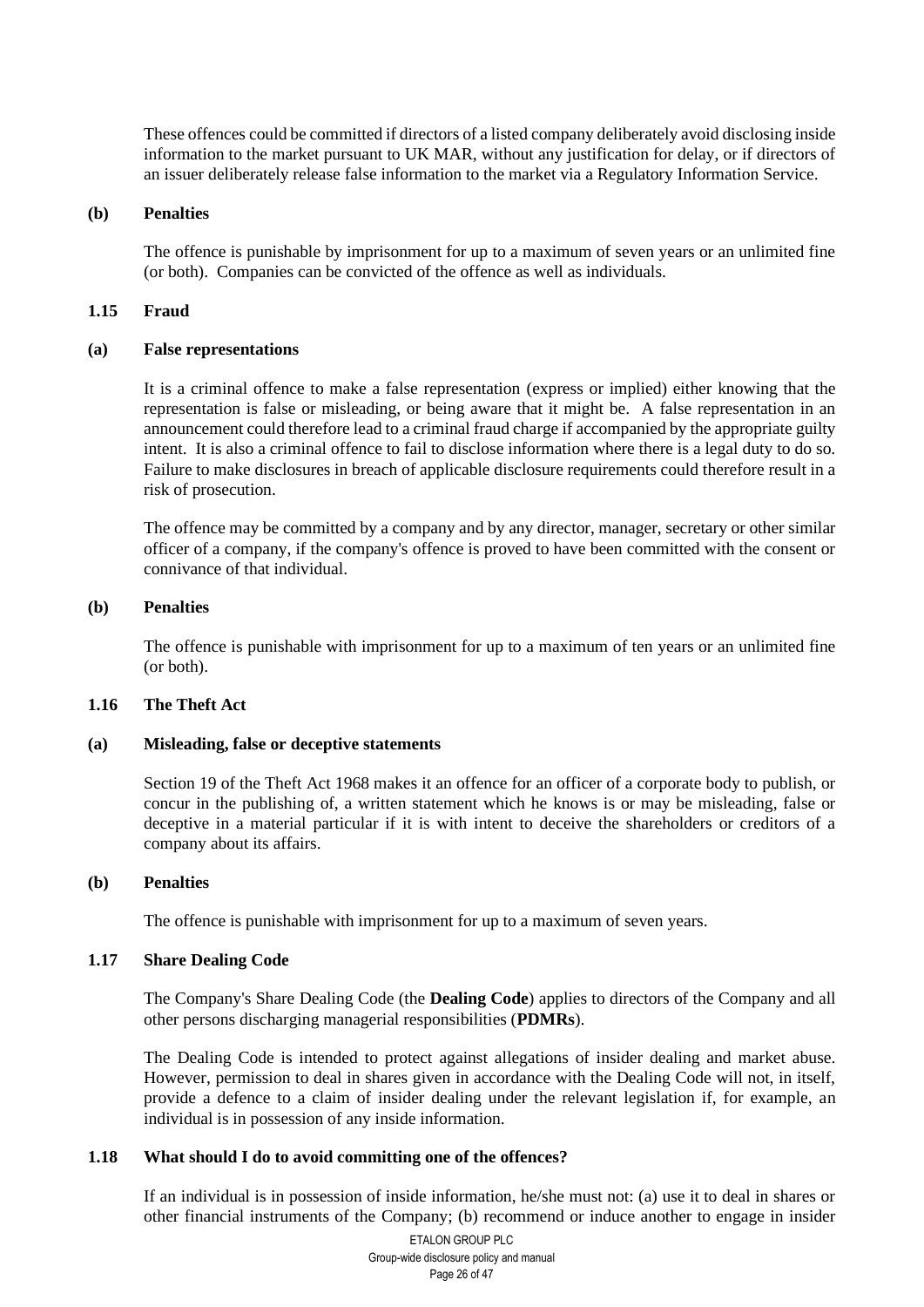These offences could be committed if directors of a listed company deliberately avoid disclosing inside information to the market pursuant to UK MAR, without any justification for delay, or if directors of an issuer deliberately release false information to the market via a Regulatory Information Service.

#### **(b) Penalties**

The offence is punishable by imprisonment for up to a maximum of seven years or an unlimited fine (or both). Companies can be convicted of the offence as well as individuals.

#### **1.15 Fraud**

#### **(a) False representations**

It is a criminal offence to make a false representation (express or implied) either knowing that the representation is false or misleading, or being aware that it might be. A false representation in an announcement could therefore lead to a criminal fraud charge if accompanied by the appropriate guilty intent. It is also a criminal offence to fail to disclose information where there is a legal duty to do so. Failure to make disclosures in breach of applicable disclosure requirements could therefore result in a risk of prosecution.

The offence may be committed by a company and by any director, manager, secretary or other similar officer of a company, if the company's offence is proved to have been committed with the consent or connivance of that individual.

#### **(b) Penalties**

The offence is punishable with imprisonment for up to a maximum of ten years or an unlimited fine (or both).

## **1.16 The Theft Act**

## **(a) Misleading, false or deceptive statements**

Section 19 of the Theft Act 1968 makes it an offence for an officer of a corporate body to publish, or concur in the publishing of, a written statement which he knows is or may be misleading, false or deceptive in a material particular if it is with intent to deceive the shareholders or creditors of a company about its affairs.

#### **(b) Penalties**

The offence is punishable with imprisonment for up to a maximum of seven years.

#### **1.17 Share Dealing Code**

The Company's Share Dealing Code (the **Dealing Code**) applies to directors of the Company and all other persons discharging managerial responsibilities (**PDMRs**).

The Dealing Code is intended to protect against allegations of insider dealing and market abuse. However, permission to deal in shares given in accordance with the Dealing Code will not, in itself, provide a defence to a claim of insider dealing under the relevant legislation if, for example, an individual is in possession of any inside information.

## **1.18 What should I do to avoid committing one of the offences?**

If an individual is in possession of inside information, he/she must not: (a) use it to deal in shares or other financial instruments of the Company; (b) recommend or induce another to engage in insider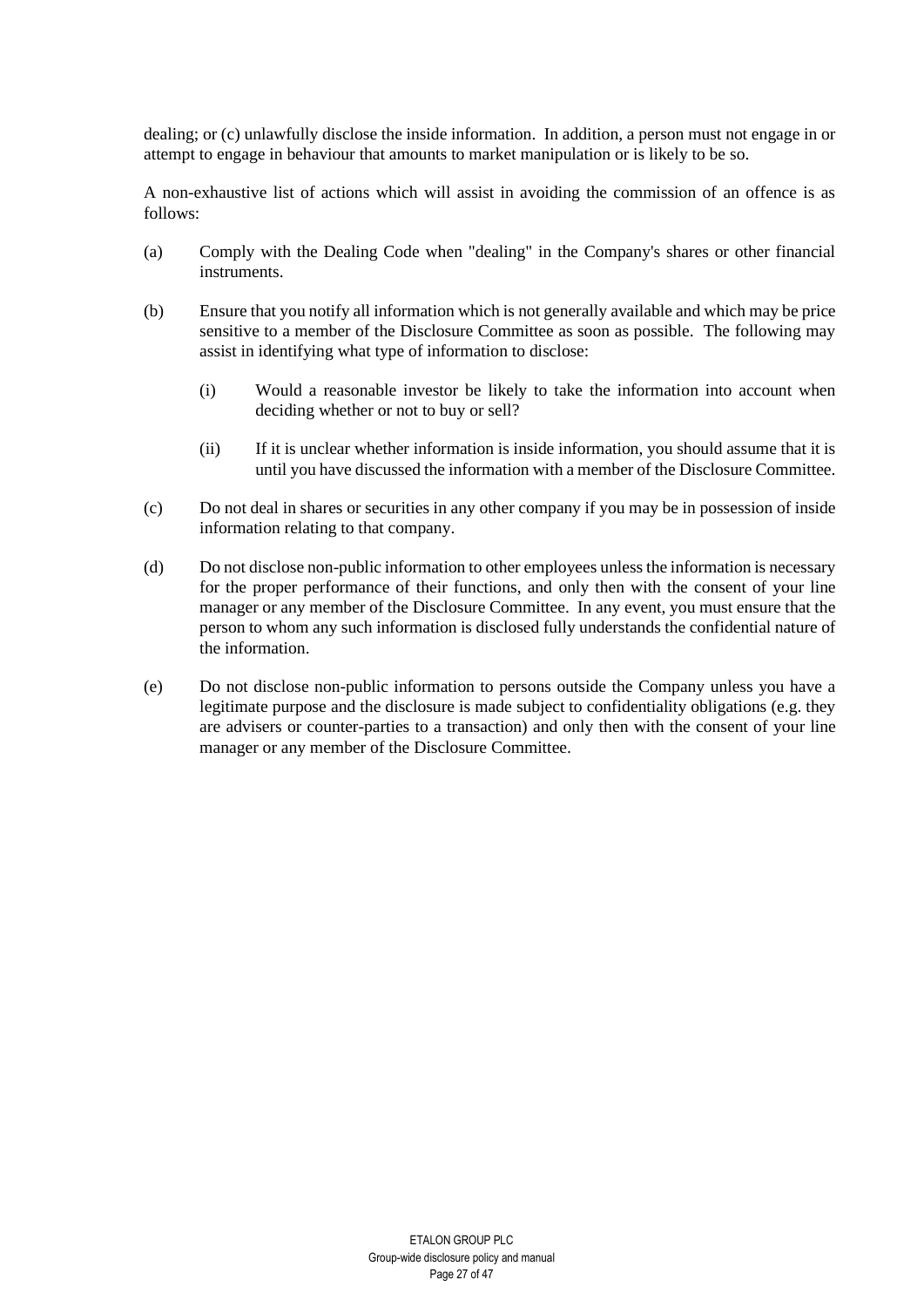dealing; or (c) unlawfully disclose the inside information. In addition, a person must not engage in or attempt to engage in behaviour that amounts to market manipulation or is likely to be so.

A non-exhaustive list of actions which will assist in avoiding the commission of an offence is as follows:

- (a) Comply with the Dealing Code when "dealing" in the Company's shares or other financial instruments.
- (b) Ensure that you notify all information which is not generally available and which may be price sensitive to a member of the Disclosure Committee as soon as possible. The following may assist in identifying what type of information to disclose:
	- (i) Would a reasonable investor be likely to take the information into account when deciding whether or not to buy or sell?
	- (ii) If it is unclear whether information is inside information, you should assume that it is until you have discussed the information with a member of the Disclosure Committee.
- (c) Do not deal in shares or securities in any other company if you may be in possession of inside information relating to that company.
- (d) Do not disclose non-public information to other employees unless the information is necessary for the proper performance of their functions, and only then with the consent of your line manager or any member of the Disclosure Committee. In any event, you must ensure that the person to whom any such information is disclosed fully understands the confidential nature of the information.
- (e) Do not disclose non-public information to persons outside the Company unless you have a legitimate purpose and the disclosure is made subject to confidentiality obligations (e.g. they are advisers or counter-parties to a transaction) and only then with the consent of your line manager or any member of the Disclosure Committee.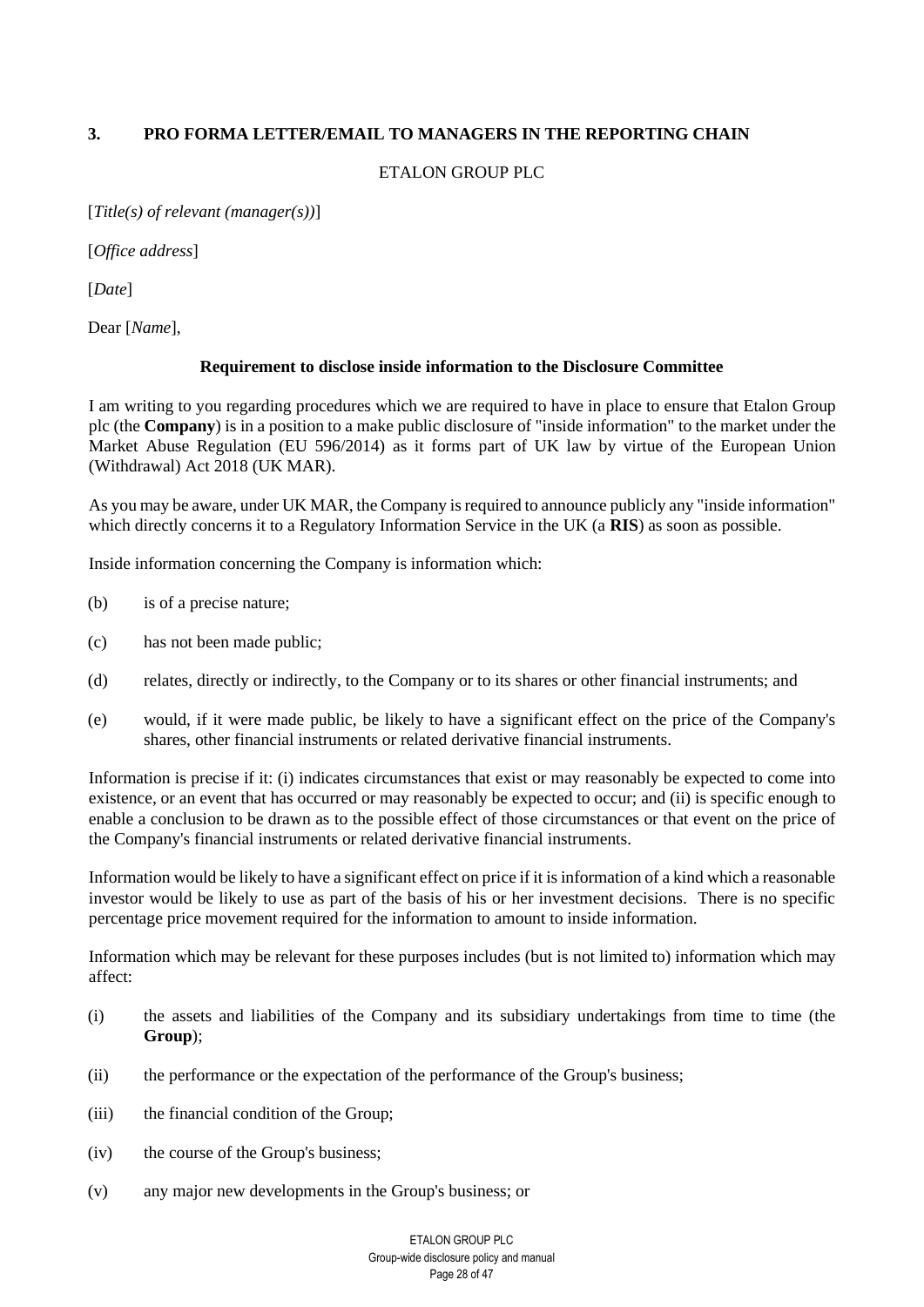# <span id="page-27-0"></span>**3. PRO FORMA LETTER/EMAIL TO MANAGERS IN THE REPORTING CHAIN**

## ETALON GROUP PLC

[*Title(s) of relevant (manager(s))*]

[*Office address*]

[*Date*]

Dear [*Name*],

# **Requirement to disclose inside information to the Disclosure Committee**

I am writing to you regarding procedures which we are required to have in place to ensure that Etalon Group plc (the **Company**) is in a position to a make public disclosure of "inside information" to the market under the Market Abuse Regulation (EU 596/2014) as it forms part of UK law by virtue of the European Union (Withdrawal) Act 2018 (UK MAR).

As you may be aware, under UK MAR, the Company is required to announce publicly any "inside information" which directly concerns it to a Regulatory Information Service in the UK (a **RIS**) as soon as possible.

Inside information concerning the Company is information which:

- (b) is of a precise nature;
- (c) has not been made public;
- (d) relates, directly or indirectly, to the Company or to its shares or other financial instruments; and
- (e) would, if it were made public, be likely to have a significant effect on the price of the Company's shares, other financial instruments or related derivative financial instruments.

Information is precise if it: (i) indicates circumstances that exist or may reasonably be expected to come into existence, or an event that has occurred or may reasonably be expected to occur; and (ii) is specific enough to enable a conclusion to be drawn as to the possible effect of those circumstances or that event on the price of the Company's financial instruments or related derivative financial instruments.

Information would be likely to have a significant effect on price if it is information of a kind which a reasonable investor would be likely to use as part of the basis of his or her investment decisions. There is no specific percentage price movement required for the information to amount to inside information.

Information which may be relevant for these purposes includes (but is not limited to) information which may affect:

- (i) the assets and liabilities of the Company and its subsidiary undertakings from time to time (the **Group**);
- (ii) the performance or the expectation of the performance of the Group's business;
- (iii) the financial condition of the Group;
- (iv) the course of the Group's business;
- (v) any major new developments in the Group's business; or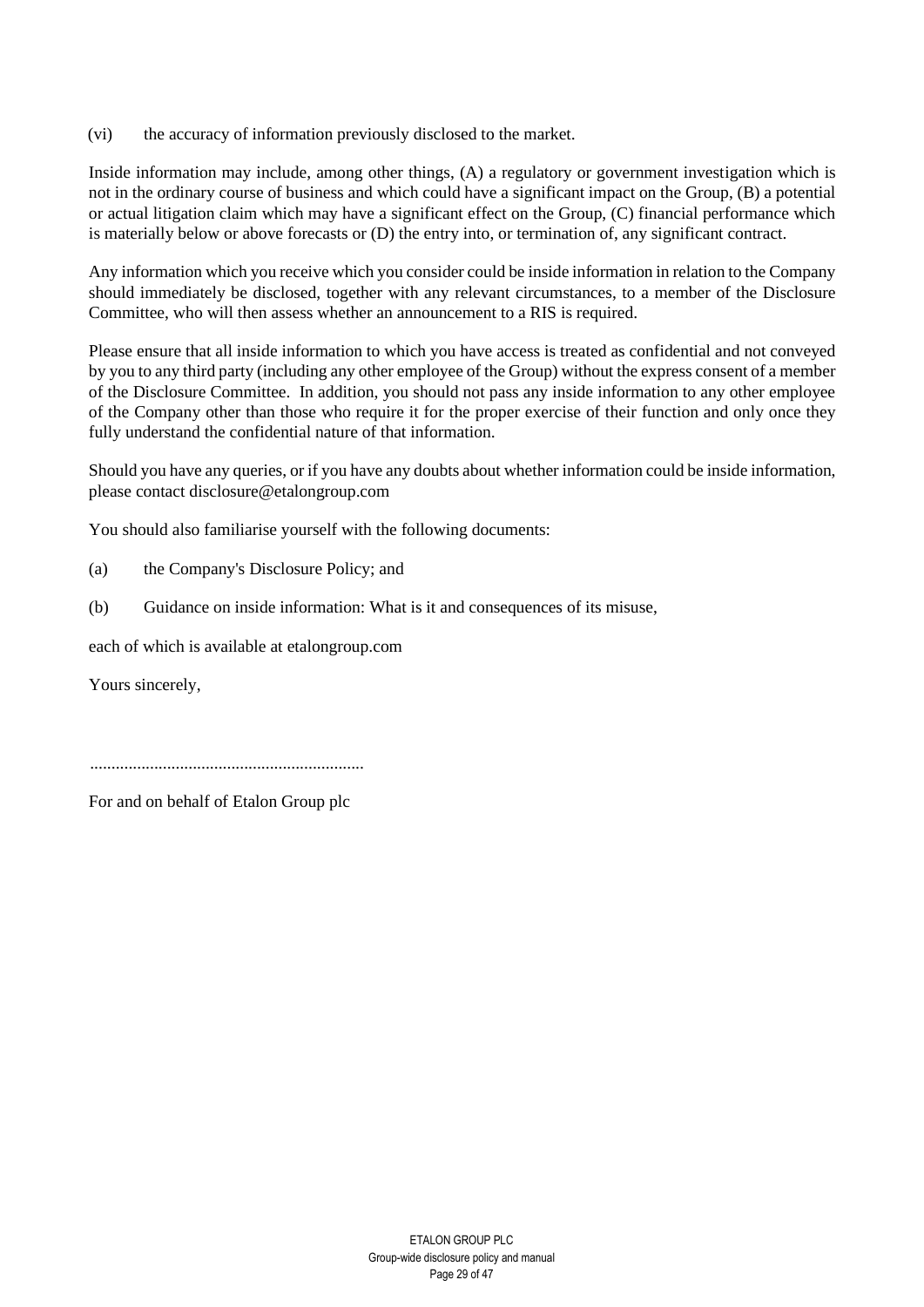(vi) the accuracy of information previously disclosed to the market.

Inside information may include, among other things, (A) a regulatory or government investigation which is not in the ordinary course of business and which could have a significant impact on the Group, (B) a potential or actual litigation claim which may have a significant effect on the Group, (C) financial performance which is materially below or above forecasts or (D) the entry into, or termination of, any significant contract.

Any information which you receive which you consider could be inside information in relation to the Company should immediately be disclosed, together with any relevant circumstances, to a member of the Disclosure Committee, who will then assess whether an announcement to a RIS is required.

Please ensure that all inside information to which you have access is treated as confidential and not conveyed by you to any third party (including any other employee of the Group) without the express consent of a member of the Disclosure Committee. In addition, you should not pass any inside information to any other employee of the Company other than those who require it for the proper exercise of their function and only once they fully understand the confidential nature of that information.

Should you have any queries, or if you have any doubts about whether information could be inside information, please contact disclosure@etalongroup.com

You should also familiarise yourself with the following documents:

- (a) the Company's Disclosure Policy; and
- (b) Guidance on inside information: What is it and consequences of its misuse,

each of which is available at etalongroup.com

Yours sincerely,

................................................................

For and on behalf of Etalon Group plc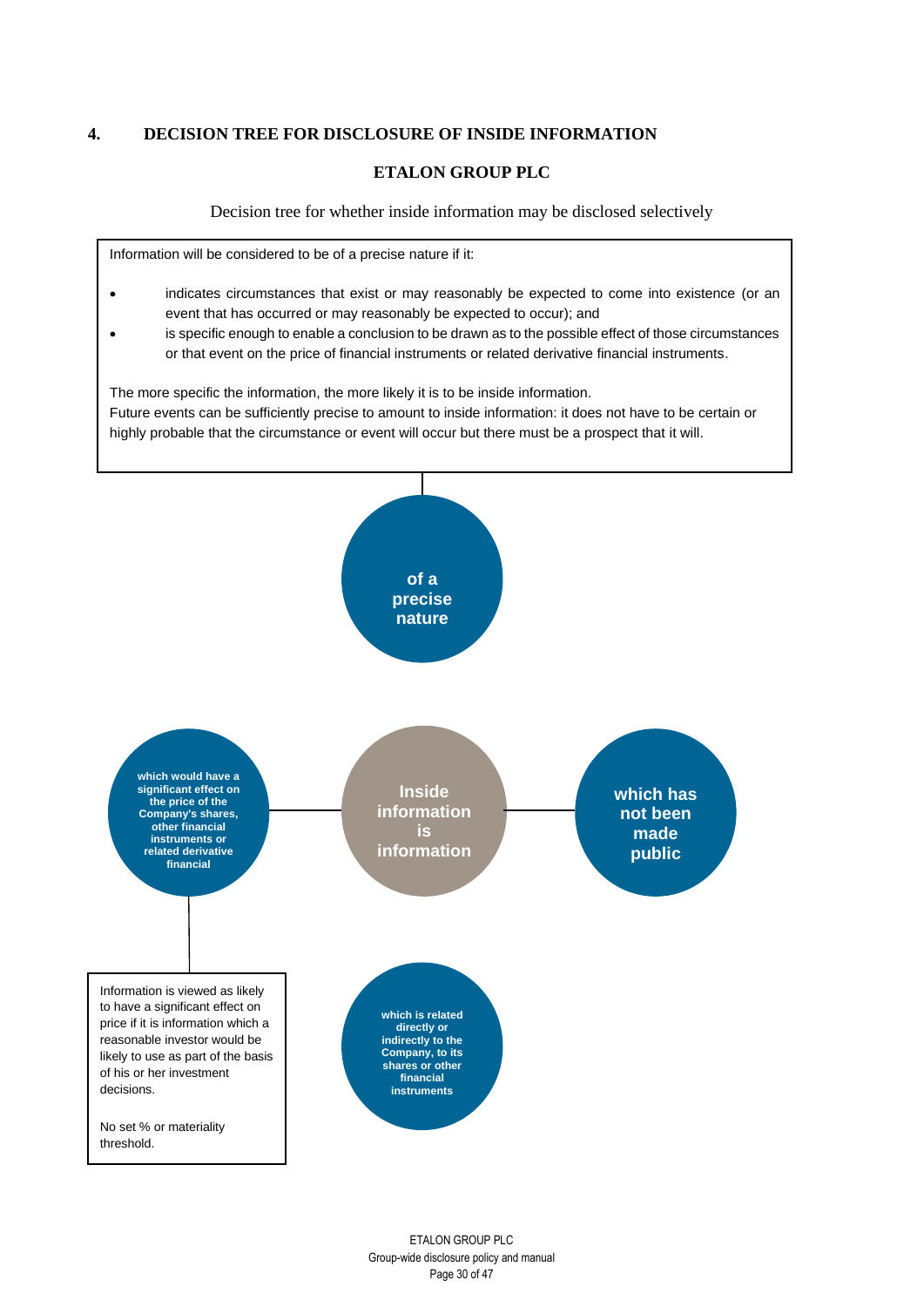# <span id="page-29-0"></span>**4. DECISION TREE FOR DISCLOSURE OF INSIDE INFORMATION**

## **ETALON GROUP PLC**

Decision tree for whether inside information may be disclosed selectively

Information will be considered to be of a precise nature if it:

- indicates circumstances that exist or may reasonably be expected to come into existence (or an event that has occurred or may reasonably be expected to occur); and
- is specific enough to enable a conclusion to be drawn as to the possible effect of those circumstances or that event on the price of financial instruments or related derivative financial instruments.

The more specific the information, the more likely it is to be inside information.

Future events can be sufficiently precise to amount to inside information: it does not have to be certain or highly probable that the circumstance or event will occur but there must be a prospect that it will.

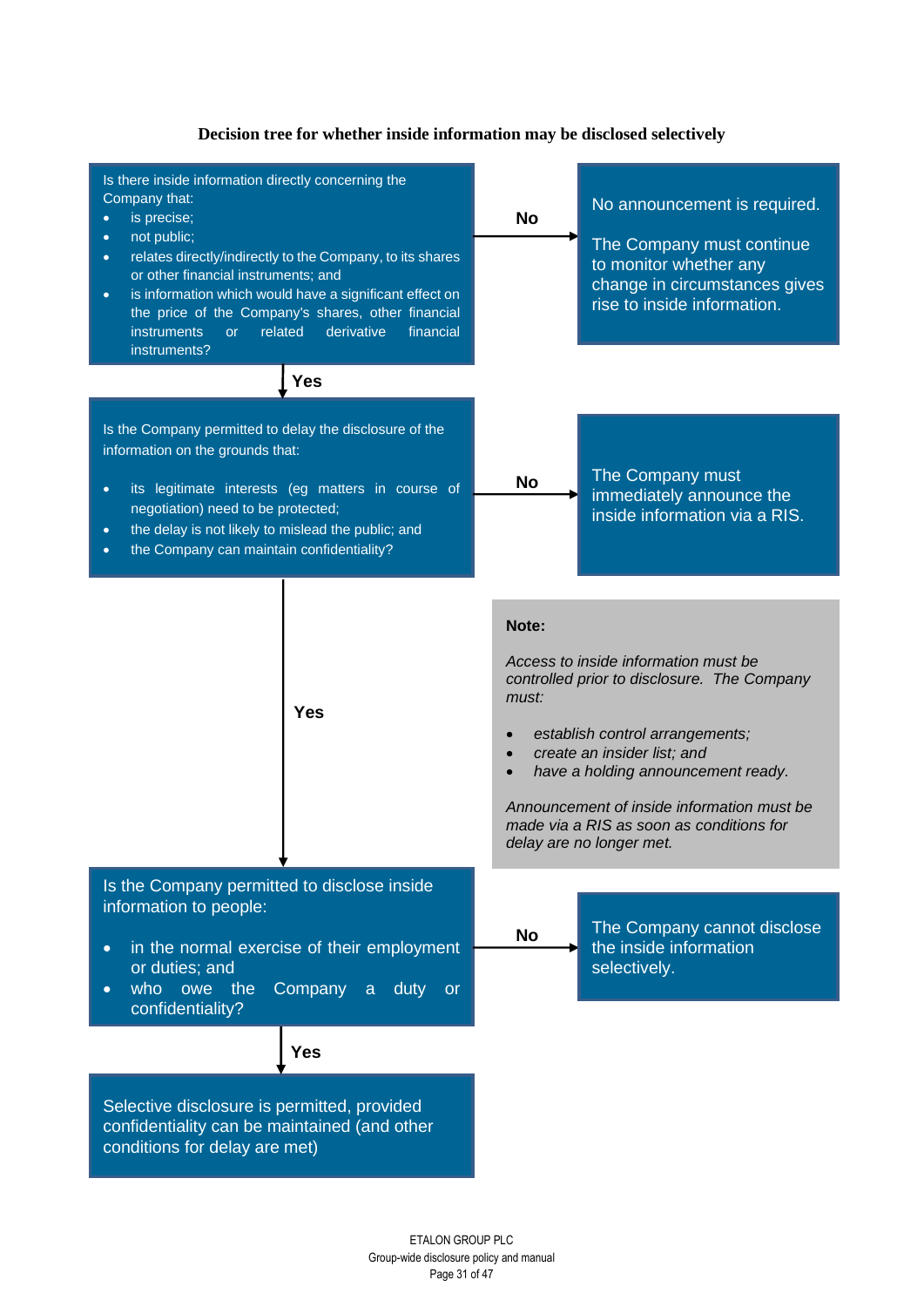

## **Decision tree for whether inside information may be disclosed selectively**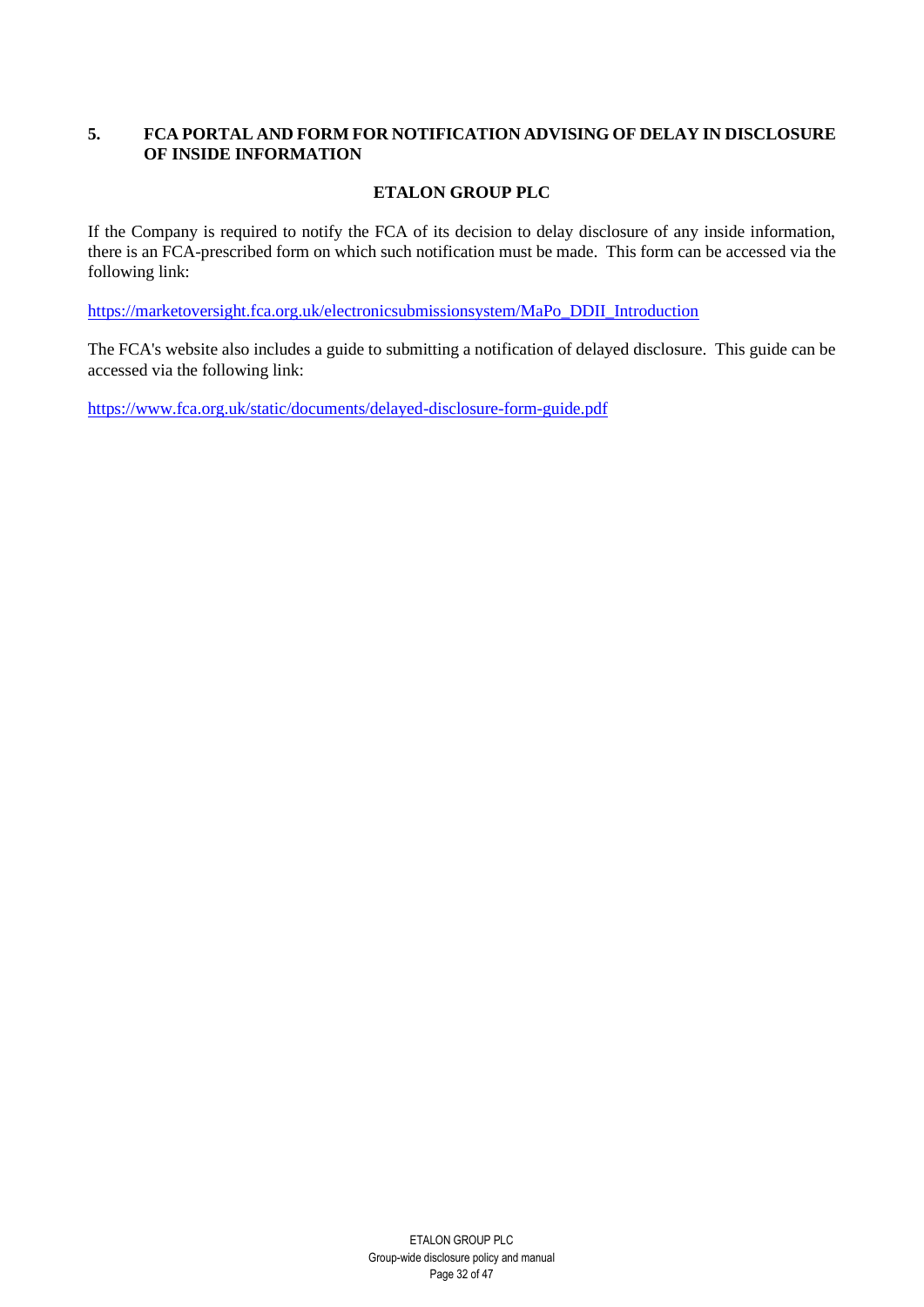# <span id="page-31-0"></span>**5. FCA PORTAL AND FORM FOR NOTIFICATION ADVISING OF DELAY IN DISCLOSURE OF INSIDE INFORMATION**

# **ETALON GROUP PLC**

If the Company is required to notify the FCA of its decision to delay disclosure of any inside information, there is an FCA-prescribed form on which such notification must be made. This form can be accessed via the following link:

[https://marketoversight.fca.org.uk/electronicsubmissionsystem/MaPo\\_DDII\\_Introduction](https://marketoversight.fca.org.uk/electronicsubmissionsystem/MaPo_DDII_Introduction) 

The FCA's website also includes a guide to submitting a notification of delayed disclosure. This guide can be accessed via the following link:

<https://www.fca.org.uk/static/documents/delayed-disclosure-form-guide.pdf>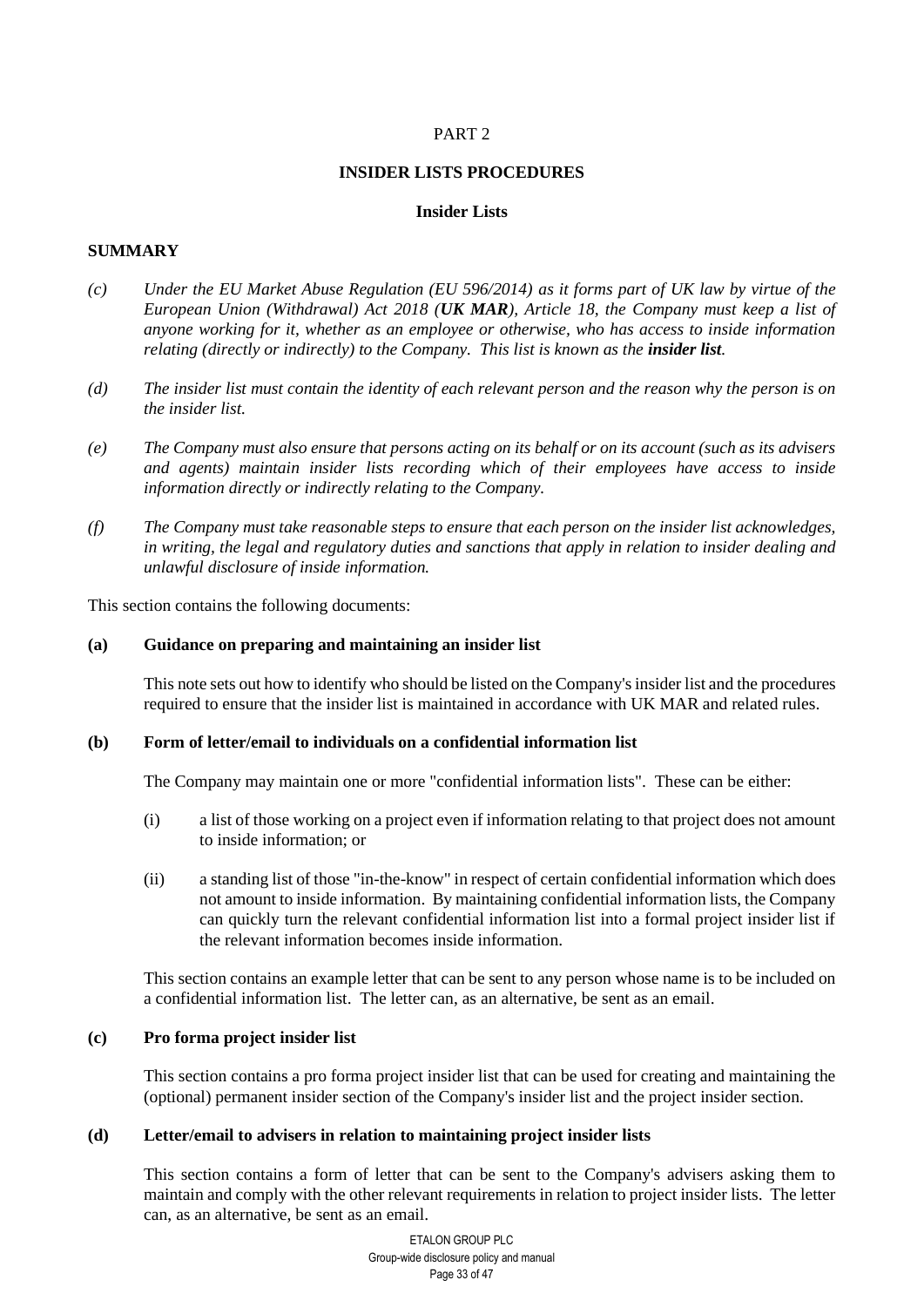# PART 2

#### **INSIDER LISTS PROCEDURES**

## **Insider Lists**

# <span id="page-32-1"></span><span id="page-32-0"></span>**SUMMARY**

- *(c) Under the EU Market Abuse Regulation (EU 596/2014) as it forms part of UK law by virtue of the European Union (Withdrawal) Act 2018 (UK MAR), Article 18, the Company must keep a list of anyone working for it, whether as an employee or otherwise, who has access to inside information relating (directly or indirectly) to the Company. This list is known as the insider list.*
- *(d) The insider list must contain the identity of each relevant person and the reason why the person is on the insider list.*
- *(e) The Company must also ensure that persons acting on its behalf or on its account (such as its advisers and agents) maintain insider lists recording which of their employees have access to inside information directly or indirectly relating to the Company.*
- *(f) The Company must take reasonable steps to ensure that each person on the insider list acknowledges, in writing, the legal and regulatory duties and sanctions that apply in relation to insider dealing and unlawful disclosure of inside information.*

This section contains the following documents:

#### **(a) Guidance on preparing and maintaining an insider list**

This note sets out how to identify who should be listed on the Company's insider list and the procedures required to ensure that the insider list is maintained in accordance with UK MAR and related rules.

#### **(b) Form of letter/email to individuals on a confidential information list**

The Company may maintain one or more "confidential information lists". These can be either:

- (i) a list of those working on a project even if information relating to that project does not amount to inside information; or
- (ii) a standing list of those "in-the-know" in respect of certain confidential information which does not amount to inside information. By maintaining confidential information lists, the Company can quickly turn the relevant confidential information list into a formal project insider list if the relevant information becomes inside information.

This section contains an example letter that can be sent to any person whose name is to be included on a confidential information list. The letter can, as an alternative, be sent as an email.

#### **(c) Pro forma project insider list**

This section contains a pro forma project insider list that can be used for creating and maintaining the (optional) permanent insider section of the Company's insider list and the project insider section.

#### **(d) Letter/email to advisers in relation to maintaining project insider lists**

This section contains a form of letter that can be sent to the Company's advisers asking them to maintain and comply with the other relevant requirements in relation to project insider lists. The letter can, as an alternative, be sent as an email.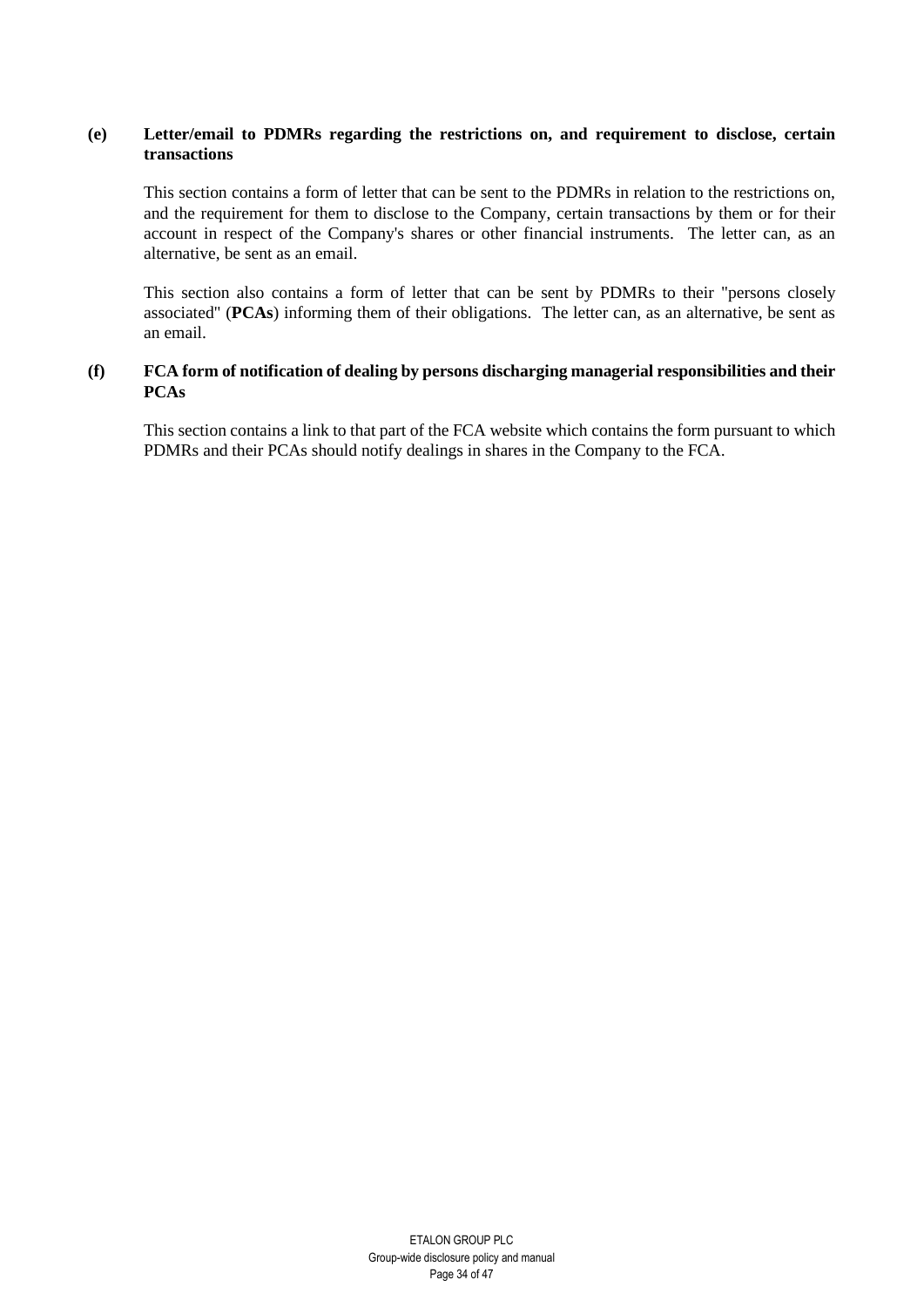## **(e) Letter/email to PDMRs regarding the restrictions on, and requirement to disclose, certain transactions**

This section contains a form of letter that can be sent to the PDMRs in relation to the restrictions on, and the requirement for them to disclose to the Company, certain transactions by them or for their account in respect of the Company's shares or other financial instruments. The letter can, as an alternative, be sent as an email.

This section also contains a form of letter that can be sent by PDMRs to their "persons closely associated" (**PCAs**) informing them of their obligations. The letter can, as an alternative, be sent as an email.

## **(f) FCA form of notification of dealing by persons discharging managerial responsibilities and their PCAs**

This section contains a link to that part of the FCA website which contains the form pursuant to which PDMRs and their PCAs should notify dealings in shares in the Company to the FCA.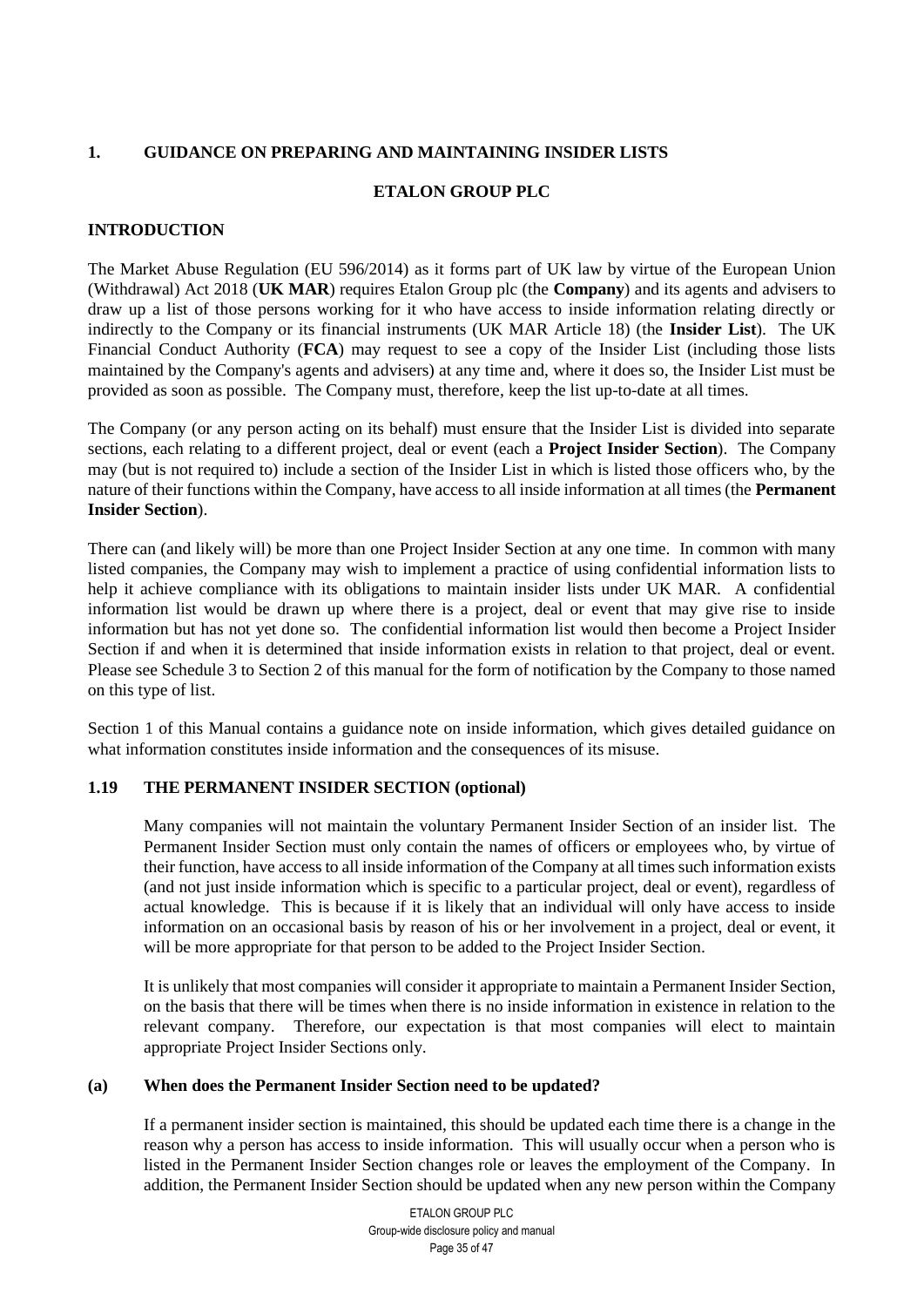# <span id="page-34-0"></span>**1. GUIDANCE ON PREPARING AND MAINTAINING INSIDER LISTS**

# **ETALON GROUP PLC**

# **INTRODUCTION**

The Market Abuse Regulation (EU 596/2014) as it forms part of UK law by virtue of the European Union (Withdrawal) Act 2018 (**UK MAR**) requires Etalon Group plc (the **Company**) and its agents and advisers to draw up a list of those persons working for it who have access to inside information relating directly or indirectly to the Company or its financial instruments (UK MAR Article 18) (the **Insider List**). The UK Financial Conduct Authority (**FCA**) may request to see a copy of the Insider List (including those lists maintained by the Company's agents and advisers) at any time and, where it does so, the Insider List must be provided as soon as possible. The Company must, therefore, keep the list up-to-date at all times.

The Company (or any person acting on its behalf) must ensure that the Insider List is divided into separate sections, each relating to a different project, deal or event (each a **Project Insider Section**). The Company may (but is not required to) include a section of the Insider List in which is listed those officers who, by the nature of their functions within the Company, have access to all inside information at all times (the **Permanent Insider Section**).

There can (and likely will) be more than one Project Insider Section at any one time. In common with many listed companies, the Company may wish to implement a practice of using confidential information lists to help it achieve compliance with its obligations to maintain insider lists under UK MAR. A confidential information list would be drawn up where there is a project, deal or event that may give rise to inside information but has not yet done so. The confidential information list would then become a Project Insider Section if and when it is determined that inside information exists in relation to that project, deal or event. Please see Schedule 3 to Section 2 of this manual for the form of notification by the Company to those named on this type of list.

Section 1 of this Manual contains a guidance note on inside information, which gives detailed guidance on what information constitutes inside information and the consequences of its misuse.

## **1.19 THE PERMANENT INSIDER SECTION (optional)**

Many companies will not maintain the voluntary Permanent Insider Section of an insider list. The Permanent Insider Section must only contain the names of officers or employees who, by virtue of their function, have access to all inside information of the Company at all times such information exists (and not just inside information which is specific to a particular project, deal or event), regardless of actual knowledge. This is because if it is likely that an individual will only have access to inside information on an occasional basis by reason of his or her involvement in a project, deal or event, it will be more appropriate for that person to be added to the Project Insider Section.

It is unlikely that most companies will consider it appropriate to maintain a Permanent Insider Section, on the basis that there will be times when there is no inside information in existence in relation to the relevant company. Therefore, our expectation is that most companies will elect to maintain appropriate Project Insider Sections only.

## **(a) When does the Permanent Insider Section need to be updated?**

If a permanent insider section is maintained, this should be updated each time there is a change in the reason why a person has access to inside information. This will usually occur when a person who is listed in the Permanent Insider Section changes role or leaves the employment of the Company. In addition, the Permanent Insider Section should be updated when any new person within the Company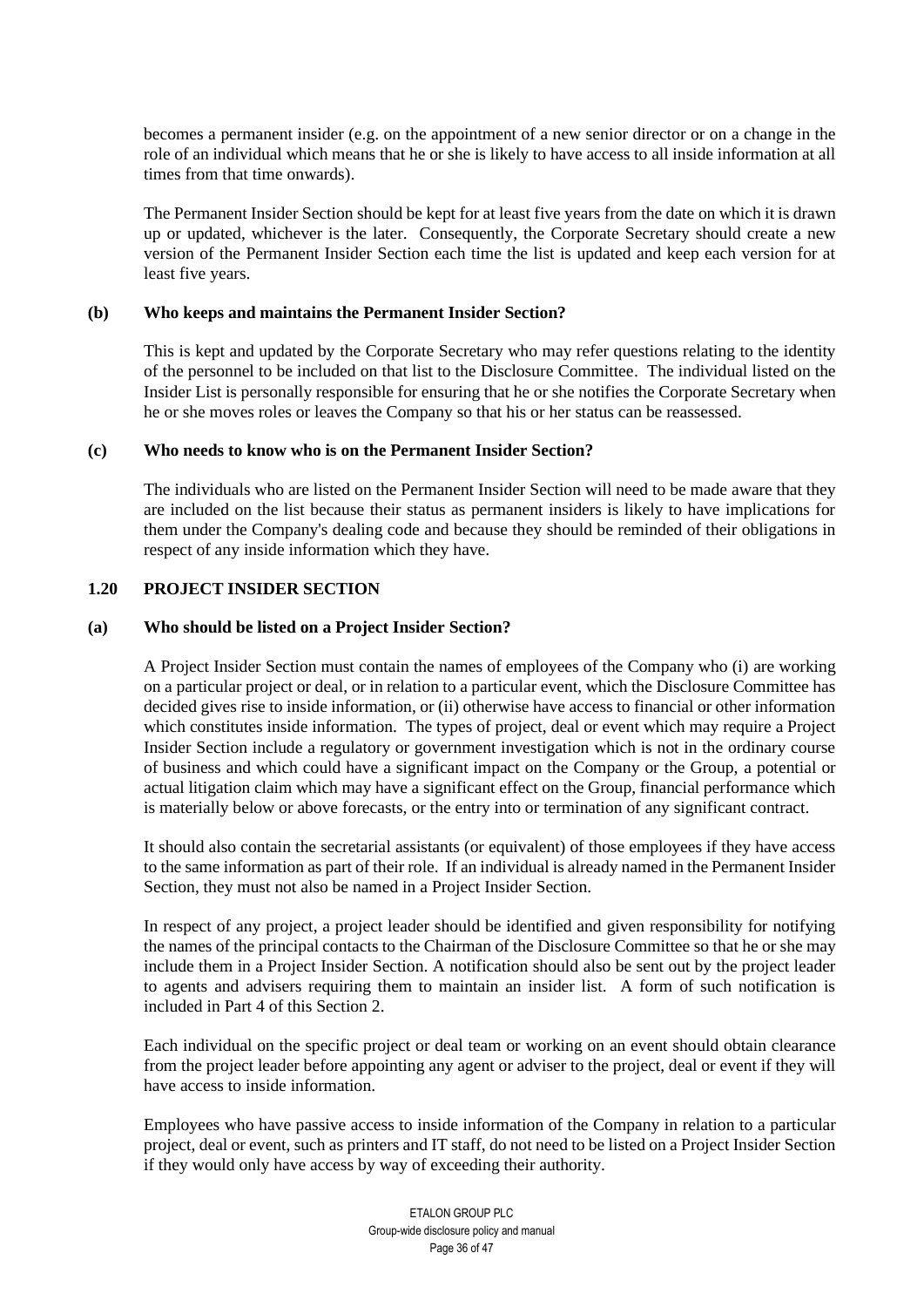becomes a permanent insider (e.g. on the appointment of a new senior director or on a change in the role of an individual which means that he or she is likely to have access to all inside information at all times from that time onwards).

The Permanent Insider Section should be kept for at least five years from the date on which it is drawn up or updated, whichever is the later. Consequently, the Corporate Secretary should create a new version of the Permanent Insider Section each time the list is updated and keep each version for at least five years.

#### **(b) Who keeps and maintains the Permanent Insider Section?**

This is kept and updated by the Corporate Secretary who may refer questions relating to the identity of the personnel to be included on that list to the Disclosure Committee. The individual listed on the Insider List is personally responsible for ensuring that he or she notifies the Corporate Secretary when he or she moves roles or leaves the Company so that his or her status can be reassessed.

#### **(c) Who needs to know who is on the Permanent Insider Section?**

The individuals who are listed on the Permanent Insider Section will need to be made aware that they are included on the list because their status as permanent insiders is likely to have implications for them under the Company's dealing code and because they should be reminded of their obligations in respect of any inside information which they have.

## **1.20 PROJECT INSIDER SECTION**

#### **(a) Who should be listed on a Project Insider Section?**

A Project Insider Section must contain the names of employees of the Company who (i) are working on a particular project or deal, or in relation to a particular event, which the Disclosure Committee has decided gives rise to inside information, or (ii) otherwise have access to financial or other information which constitutes inside information. The types of project, deal or event which may require a Project Insider Section include a regulatory or government investigation which is not in the ordinary course of business and which could have a significant impact on the Company or the Group, a potential or actual litigation claim which may have a significant effect on the Group, financial performance which is materially below or above forecasts, or the entry into or termination of any significant contract.

It should also contain the secretarial assistants (or equivalent) of those employees if they have access to the same information as part of their role. If an individual is already named in the Permanent Insider Section, they must not also be named in a Project Insider Section.

In respect of any project, a project leader should be identified and given responsibility for notifying the names of the principal contacts to the Chairman of the Disclosure Committee so that he or she may include them in a Project Insider Section. A notification should also be sent out by the project leader to agents and advisers requiring them to maintain an insider list. A form of such notification is included in Part 4 of this Section 2.

Each individual on the specific project or deal team or working on an event should obtain clearance from the project leader before appointing any agent or adviser to the project, deal or event if they will have access to inside information.

Employees who have passive access to inside information of the Company in relation to a particular project, deal or event, such as printers and IT staff, do not need to be listed on a Project Insider Section if they would only have access by way of exceeding their authority.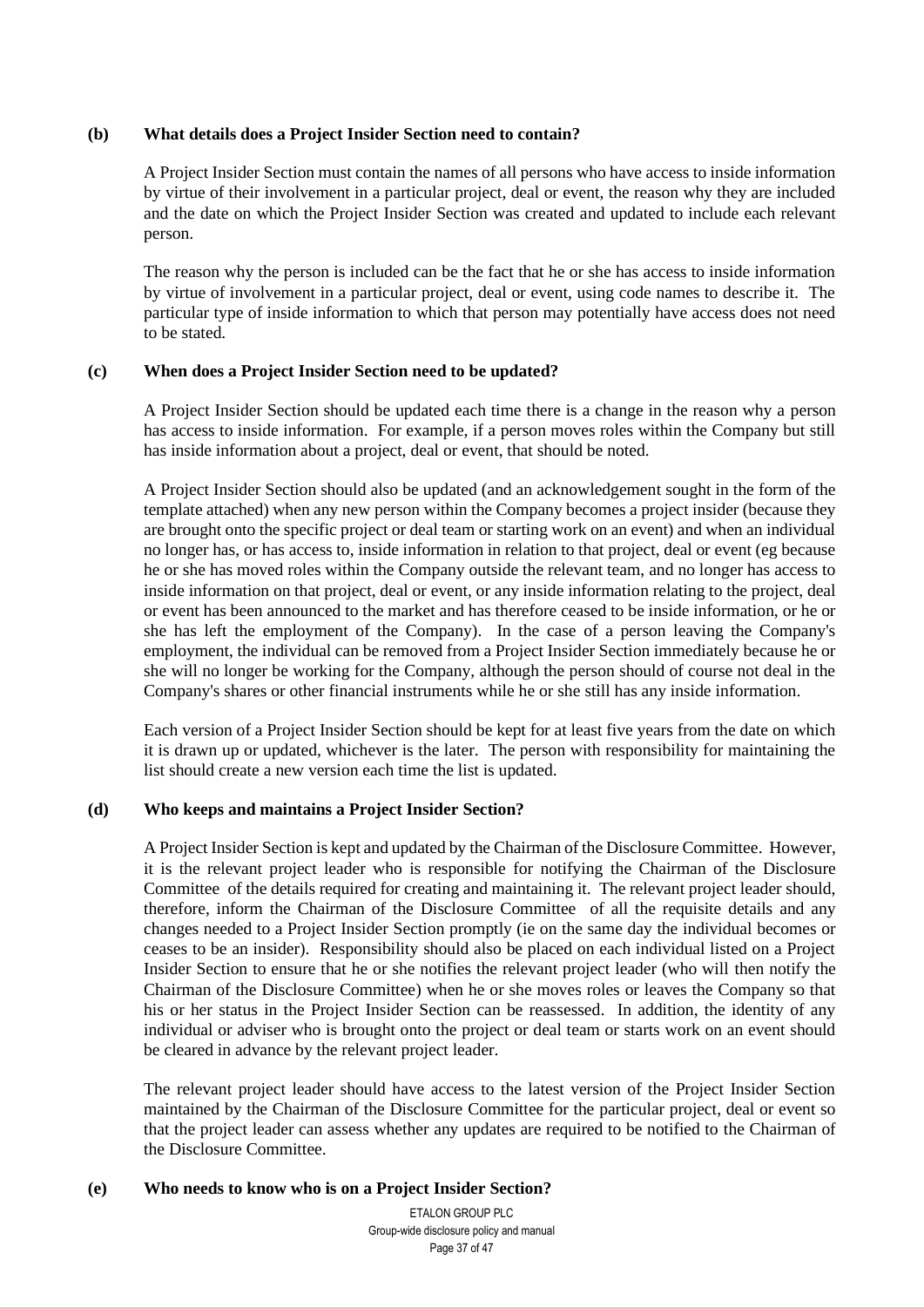## **(b) What details does a Project Insider Section need to contain?**

A Project Insider Section must contain the names of all persons who have access to inside information by virtue of their involvement in a particular project, deal or event, the reason why they are included and the date on which the Project Insider Section was created and updated to include each relevant person.

The reason why the person is included can be the fact that he or she has access to inside information by virtue of involvement in a particular project, deal or event, using code names to describe it. The particular type of inside information to which that person may potentially have access does not need to be stated.

#### **(c) When does a Project Insider Section need to be updated?**

A Project Insider Section should be updated each time there is a change in the reason why a person has access to inside information. For example, if a person moves roles within the Company but still has inside information about a project, deal or event, that should be noted.

A Project Insider Section should also be updated (and an acknowledgement sought in the form of the template attached) when any new person within the Company becomes a project insider (because they are brought onto the specific project or deal team or starting work on an event) and when an individual no longer has, or has access to, inside information in relation to that project, deal or event (eg because he or she has moved roles within the Company outside the relevant team, and no longer has access to inside information on that project, deal or event, or any inside information relating to the project, deal or event has been announced to the market and has therefore ceased to be inside information, or he or she has left the employment of the Company). In the case of a person leaving the Company's employment, the individual can be removed from a Project Insider Section immediately because he or she will no longer be working for the Company, although the person should of course not deal in the Company's shares or other financial instruments while he or she still has any inside information.

Each version of a Project Insider Section should be kept for at least five years from the date on which it is drawn up or updated, whichever is the later. The person with responsibility for maintaining the list should create a new version each time the list is updated.

## **(d) Who keeps and maintains a Project Insider Section?**

A Project Insider Section is kept and updated by the Chairman of the Disclosure Committee. However, it is the relevant project leader who is responsible for notifying the Chairman of the Disclosure Committee of the details required for creating and maintaining it. The relevant project leader should, therefore, inform the Chairman of the Disclosure Committee of all the requisite details and any changes needed to a Project Insider Section promptly (ie on the same day the individual becomes or ceases to be an insider). Responsibility should also be placed on each individual listed on a Project Insider Section to ensure that he or she notifies the relevant project leader (who will then notify the Chairman of the Disclosure Committee) when he or she moves roles or leaves the Company so that his or her status in the Project Insider Section can be reassessed. In addition, the identity of any individual or adviser who is brought onto the project or deal team or starts work on an event should be cleared in advance by the relevant project leader.

The relevant project leader should have access to the latest version of the Project Insider Section maintained by the Chairman of the Disclosure Committee for the particular project, deal or event so that the project leader can assess whether any updates are required to be notified to the Chairman of the Disclosure Committee.

#### **(e) Who needs to know who is on a Project Insider Section?**

ETALON GROUP PLC Group-wide disclosure policy and manual Page 37 of 47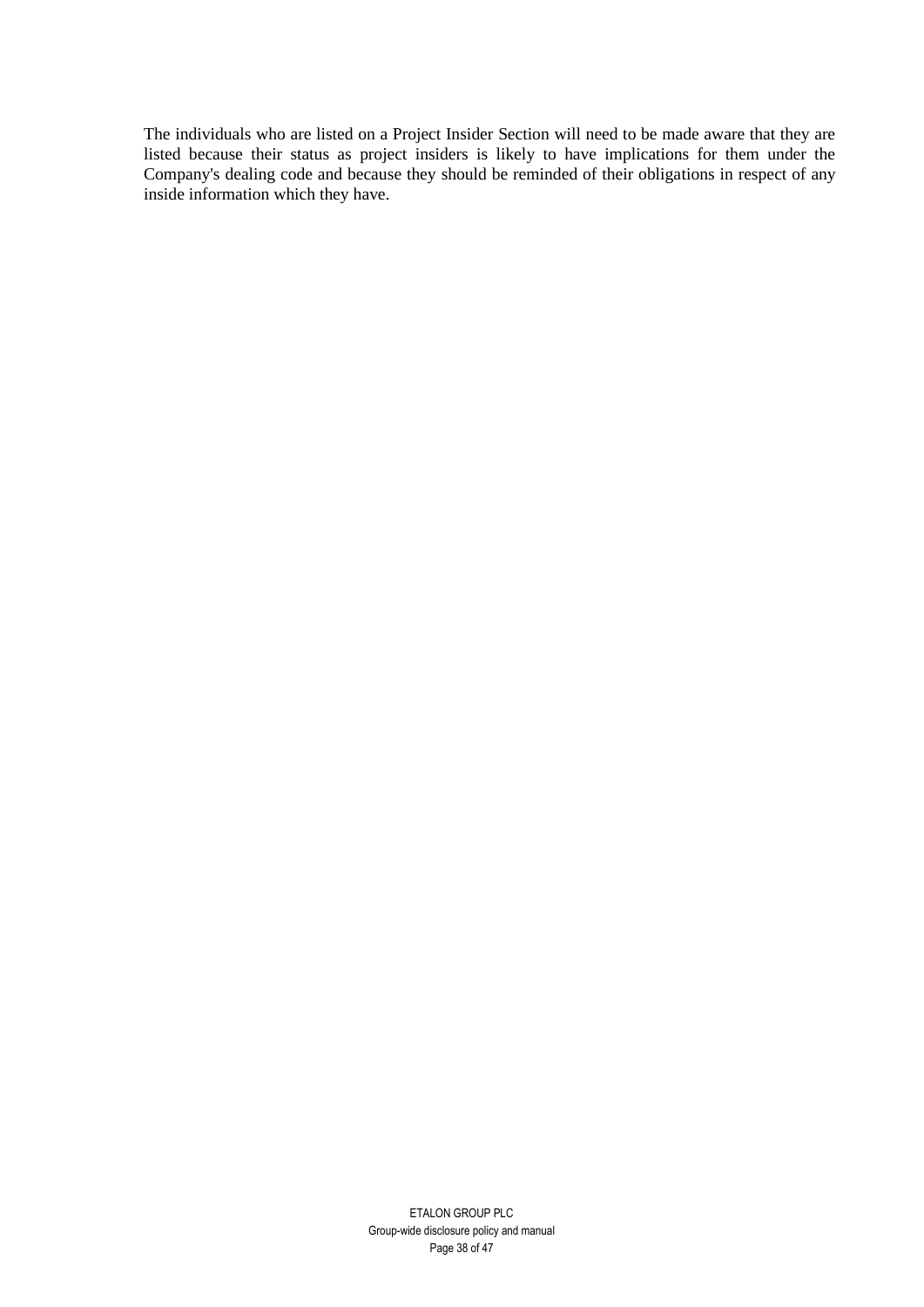The individuals who are listed on a Project Insider Section will need to be made aware that they are listed because their status as project insiders is likely to have implications for them under the Company's dealing code and because they should be reminded of their obligations in respect of any inside information which they have.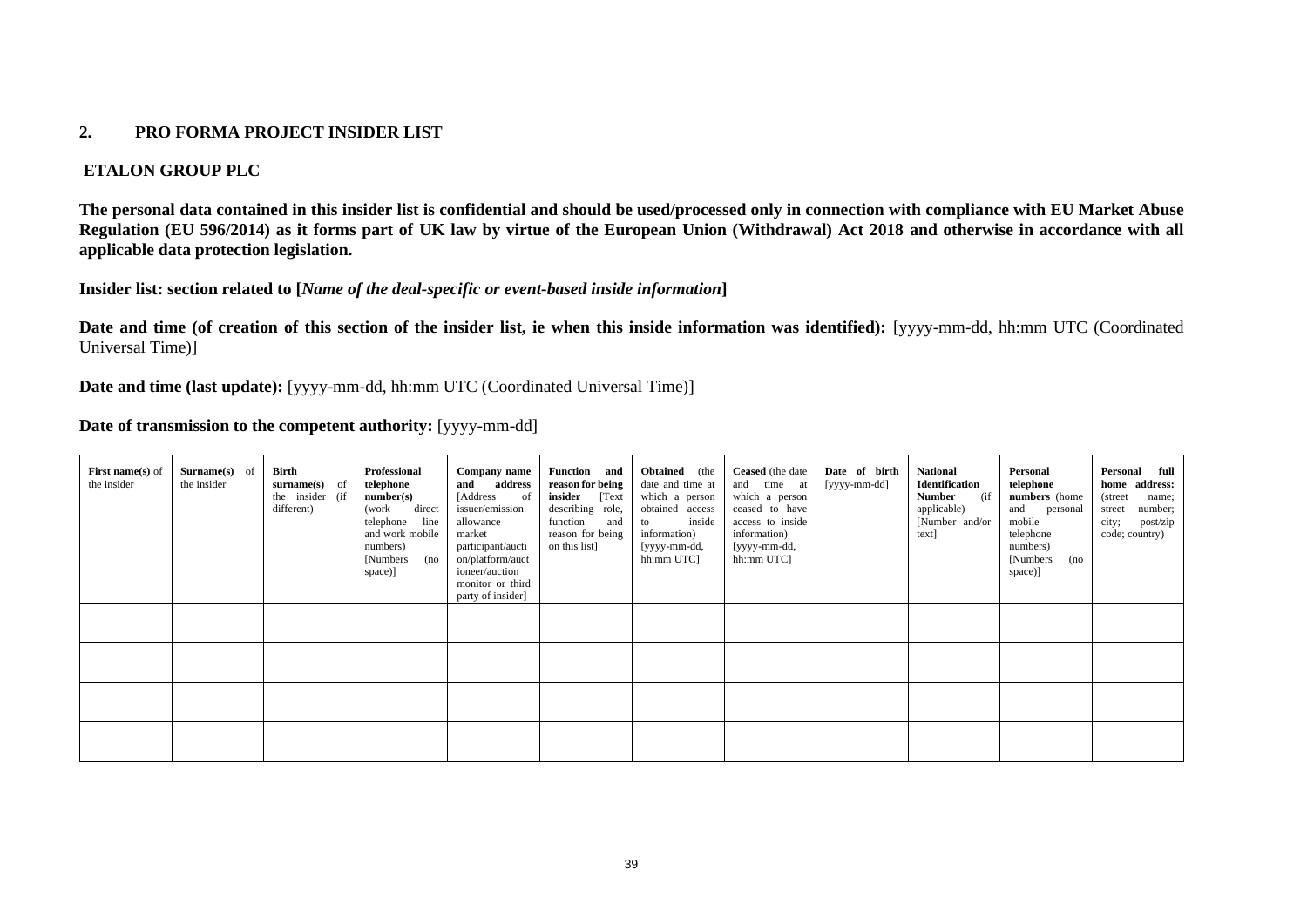## **2. PRO FORMA PROJECT INSIDER LIST**

## **ETALON GROUP PLC**

**The personal data contained in this insider list is confidential and should be used/processed only in connection with compliance with EU Market Abuse Regulation (EU 596/2014) as it forms part of UK law by virtue of the European Union (Withdrawal) Act 2018 and otherwise in accordance with all applicable data protection legislation.**

**Insider list: section related to [***Name of the deal-specific or event-based inside information***]** 

Date and time (of creation of this section of the insider list, ie when this inside information was identified): [yyyy-mm-dd, hh:mm UTC (Coordinated Universal Time)]

**Date and time (last update):** [yyyy-mm-dd, hh:mm UTC (Coordinated Universal Time)]

## **Date of transmission to the competent authority:** [yyyy-mm-dd]

<span id="page-38-0"></span>

| <b>First name(s)</b> of<br>the insider | <b>Surname(s)</b> of<br>the insider | Birth<br>surname(s) of<br>the insider (if<br>different) | Professional<br>telephone<br>number(s)<br>direct<br>(work<br>line<br>telephone<br>and work mobile<br>numbers)<br>[Numbers]<br>(no<br>space)] | Company name<br>address<br>and<br>[Address]<br><sub>of</sub><br>issuer/emission<br>allowance<br>market<br>participant/aucti<br>on/platform/auct<br>ioneer/auction<br>monitor or third<br>party of insider] | Function and<br>reason for being<br>insider<br>[Text<br>describing role,<br>function<br>and<br>reason for being<br>on this list] | <b>Obtained</b> (the<br>date and time at<br>which a person<br>obtained access<br>inside<br>to<br>information)<br>[yyyy-mm-dd,<br>hh:mm UTC] | <b>Ceased</b> (the date<br>and time at<br>which a person<br>ceased to have<br>access to inside<br>information)<br>[yyyy-mm-dd,<br>hh:mm UTC] | Date of birth<br>[yyyy-mm-dd] | National<br><b>Identification</b><br><b>Number</b><br>(if<br>applicable)<br>[Number and/or<br>text] | Personal<br>telephone<br>numbers (home<br>and personal<br>mobile<br>telephone<br>numbers)<br>[Numbers]<br>(no<br>space)] | Personal full<br>home address:<br>(street)<br>name;<br>number;<br>street<br>city;<br>post/zip<br>code; country) |
|----------------------------------------|-------------------------------------|---------------------------------------------------------|----------------------------------------------------------------------------------------------------------------------------------------------|------------------------------------------------------------------------------------------------------------------------------------------------------------------------------------------------------------|----------------------------------------------------------------------------------------------------------------------------------|---------------------------------------------------------------------------------------------------------------------------------------------|----------------------------------------------------------------------------------------------------------------------------------------------|-------------------------------|-----------------------------------------------------------------------------------------------------|--------------------------------------------------------------------------------------------------------------------------|-----------------------------------------------------------------------------------------------------------------|
|                                        |                                     |                                                         |                                                                                                                                              |                                                                                                                                                                                                            |                                                                                                                                  |                                                                                                                                             |                                                                                                                                              |                               |                                                                                                     |                                                                                                                          |                                                                                                                 |
|                                        |                                     |                                                         |                                                                                                                                              |                                                                                                                                                                                                            |                                                                                                                                  |                                                                                                                                             |                                                                                                                                              |                               |                                                                                                     |                                                                                                                          |                                                                                                                 |
|                                        |                                     |                                                         |                                                                                                                                              |                                                                                                                                                                                                            |                                                                                                                                  |                                                                                                                                             |                                                                                                                                              |                               |                                                                                                     |                                                                                                                          |                                                                                                                 |
|                                        |                                     |                                                         |                                                                                                                                              |                                                                                                                                                                                                            |                                                                                                                                  |                                                                                                                                             |                                                                                                                                              |                               |                                                                                                     |                                                                                                                          |                                                                                                                 |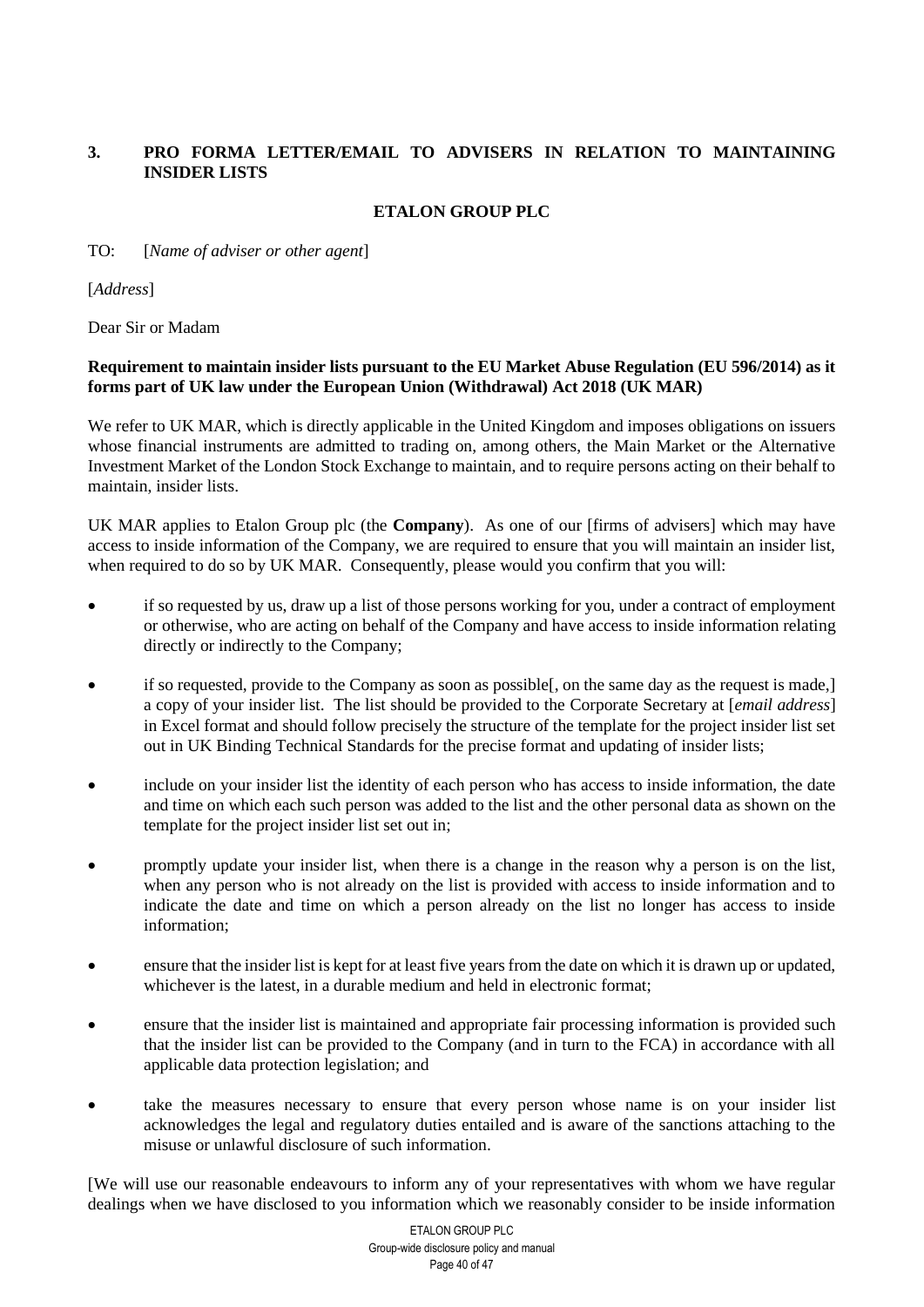# <span id="page-39-0"></span>**3. PRO FORMA LETTER/EMAIL TO ADVISERS IN RELATION TO MAINTAINING INSIDER LISTS**

# **ETALON GROUP PLC**

# TO: [*Name of adviser or other agent*]

[*Address*]

Dear Sir or Madam

# **Requirement to maintain insider lists pursuant to the EU Market Abuse Regulation (EU 596/2014) as it forms part of UK law under the European Union (Withdrawal) Act 2018 (UK MAR)**

We refer to UK MAR, which is directly applicable in the United Kingdom and imposes obligations on issuers whose financial instruments are admitted to trading on, among others, the Main Market or the Alternative Investment Market of the London Stock Exchange to maintain, and to require persons acting on their behalf to maintain, insider lists.

UK MAR applies to Etalon Group plc (the **Company**). As one of our [firms of advisers] which may have access to inside information of the Company, we are required to ensure that you will maintain an insider list, when required to do so by UK MAR. Consequently, please would you confirm that you will:

- if so requested by us, draw up a list of those persons working for you, under a contract of employment or otherwise, who are acting on behalf of the Company and have access to inside information relating directly or indirectly to the Company;
- if so requested, provide to the Company as soon as possible[, on the same day as the request is made,] a copy of your insider list. The list should be provided to the Corporate Secretary at [*email address*] in Excel format and should follow precisely the structure of the template for the project insider list set out in UK Binding Technical Standards for the precise format and updating of insider lists;
- include on your insider list the identity of each person who has access to inside information, the date and time on which each such person was added to the list and the other personal data as shown on the template for the project insider list set out in;
- promptly update your insider list, when there is a change in the reason why a person is on the list, when any person who is not already on the list is provided with access to inside information and to indicate the date and time on which a person already on the list no longer has access to inside information;
- ensure that the insider list is kept for at least five years from the date on which it is drawn up or updated, whichever is the latest, in a durable medium and held in electronic format:
- ensure that the insider list is maintained and appropriate fair processing information is provided such that the insider list can be provided to the Company (and in turn to the FCA) in accordance with all applicable data protection legislation; and
- take the measures necessary to ensure that every person whose name is on your insider list acknowledges the legal and regulatory duties entailed and is aware of the sanctions attaching to the misuse or unlawful disclosure of such information.

[We will use our reasonable endeavours to inform any of your representatives with whom we have regular dealings when we have disclosed to you information which we reasonably consider to be inside information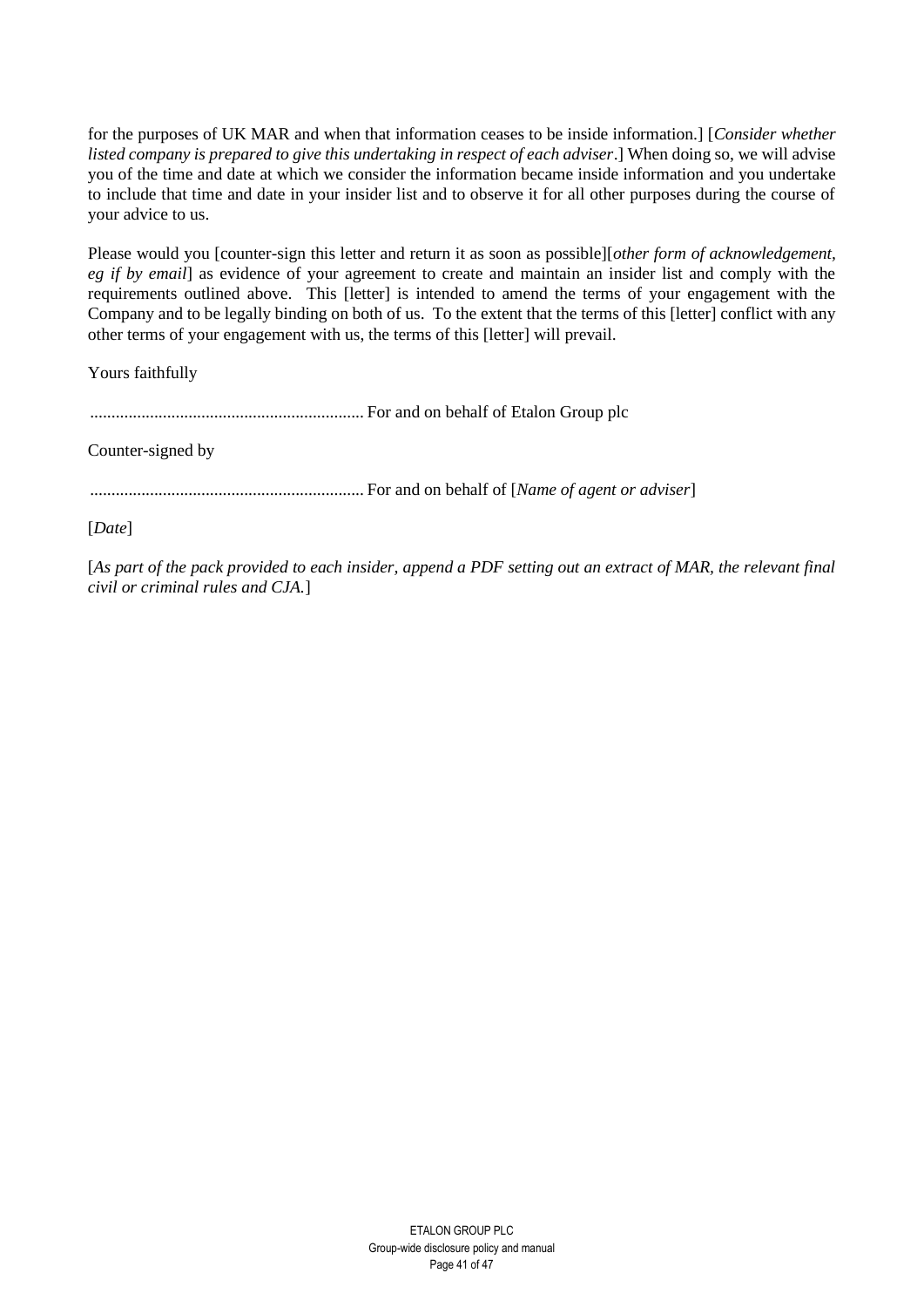for the purposes of UK MAR and when that information ceases to be inside information.] [*Consider whether listed company is prepared to give this undertaking in respect of each adviser*.] When doing so, we will advise you of the time and date at which we consider the information became inside information and you undertake to include that time and date in your insider list and to observe it for all other purposes during the course of your advice to us.

Please would you [counter-sign this letter and return it as soon as possible][*other form of acknowledgement, eg if by email*] as evidence of your agreement to create and maintain an insider list and comply with the requirements outlined above. This [letter] is intended to amend the terms of your engagement with the Company and to be legally binding on both of us. To the extent that the terms of this [letter] conflict with any other terms of your engagement with us, the terms of this [letter] will prevail.

Yours faithfully

................................................................ For and on behalf of Etalon Group plc

Counter-signed by

................................................................ For and on behalf of [*Name of agent or adviser*]

[*Date*]

[As part of the pack provided to each insider, append a PDF setting out an extract of MAR, the relevant final *civil or criminal rules and CJA.*]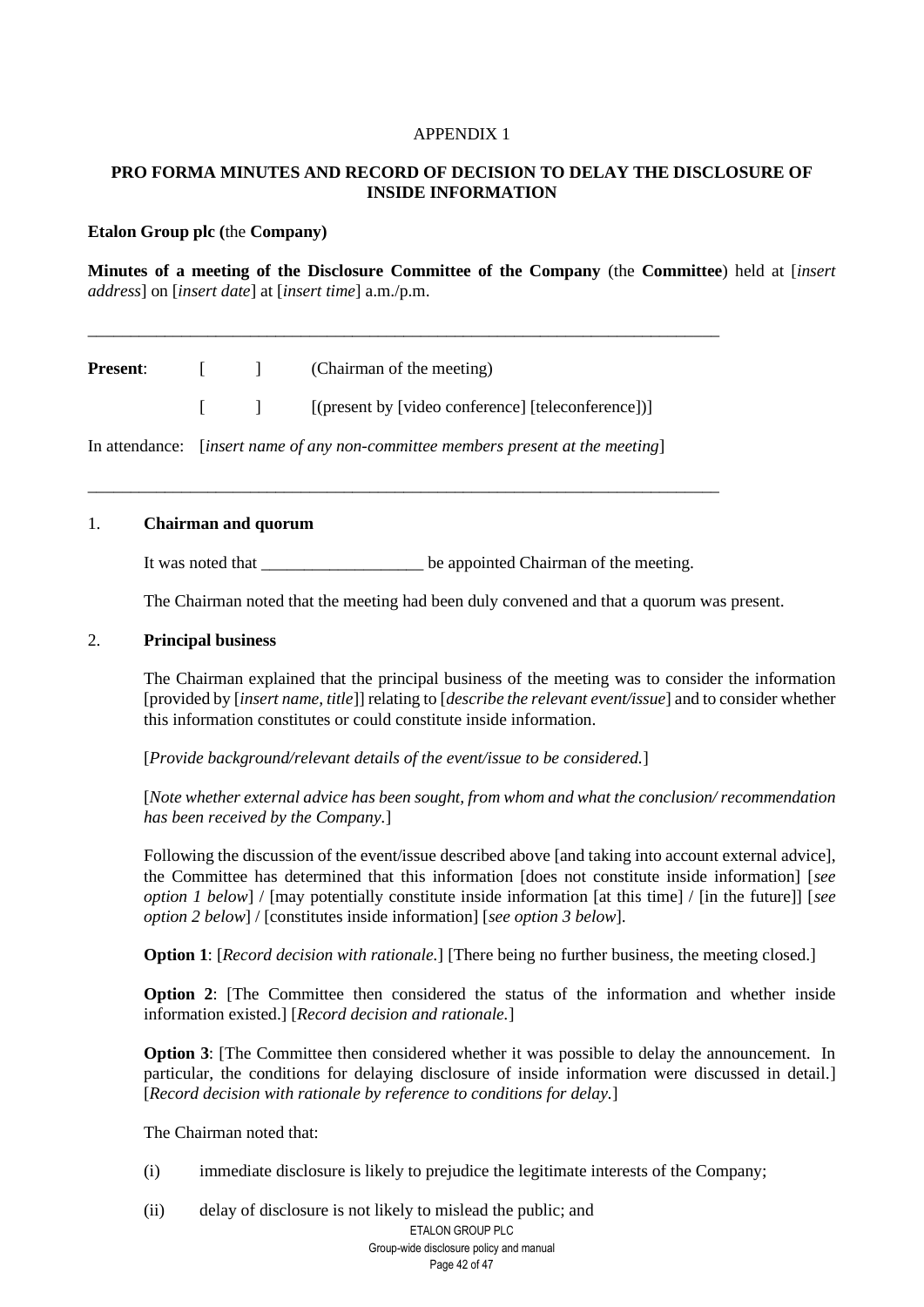## APPENDIX 1

# **PRO FORMA MINUTES AND RECORD OF DECISION TO DELAY THE DISCLOSURE OF INSIDE INFORMATION**

#### **Etalon Group plc (**the **Company)**

**Minutes of a meeting of the Disclosure Committee of the Company** (the **Committee**) held at [*insert address*] on [*insert date*] at [*insert time*] a.m./p.m.

|  | <b>Present:</b> [ ] (Chairman of the meeting)                                               |
|--|---------------------------------------------------------------------------------------------|
|  | $\lceil$   $\lceil$   $\lceil$   $\lceil$ (present by [video conference] [teleconference])] |

\_\_\_\_\_\_\_\_\_\_\_\_\_\_\_\_\_\_\_\_\_\_\_\_\_\_\_\_\_\_\_\_\_\_\_\_\_\_\_\_\_\_\_\_\_\_\_\_\_\_\_\_\_\_\_\_\_\_\_\_\_\_\_\_\_\_\_\_\_\_\_\_\_\_

\_\_\_\_\_\_\_\_\_\_\_\_\_\_\_\_\_\_\_\_\_\_\_\_\_\_\_\_\_\_\_\_\_\_\_\_\_\_\_\_\_\_\_\_\_\_\_\_\_\_\_\_\_\_\_\_\_\_\_\_\_\_\_\_\_\_\_\_\_\_\_\_\_\_

In attendance: [*insert name of any non-committee members present at the meeting*]

#### 1. **Chairman and quorum**

It was noted that \_\_\_\_\_\_\_\_\_\_\_\_\_\_\_\_\_\_\_ be appointed Chairman of the meeting.

The Chairman noted that the meeting had been duly convened and that a quorum was present.

#### 2. **Principal business**

The Chairman explained that the principal business of the meeting was to consider the information [provided by [*insert name, title*]] relating to [*describe the relevant event/issue*] and to consider whether this information constitutes or could constitute inside information.

[*Provide background/relevant details of the event/issue to be considered.*]

[*Note whether external advice has been sought, from whom and what the conclusion/ recommendation has been received by the Company.*]

Following the discussion of the event/issue described above [and taking into account external advice], the Committee has determined that this information [does not constitute inside information] [*see option 1 below*] / [may potentially constitute inside information [at this time] / [in the future]] [*see option 2 below*] / [constitutes inside information] [*see option 3 below*].

**Option 1**: [*Record decision with rationale.*] [There being no further business, the meeting closed.]

**Option 2:** [The Committee then considered the status of the information and whether inside information existed.] [*Record decision and rationale.*]

**Option 3**: [The Committee then considered whether it was possible to delay the announcement. In particular, the conditions for delaying disclosure of inside information were discussed in detail.] [*Record decision with rationale by reference to conditions for delay.*]

The Chairman noted that:

- (i) immediate disclosure is likely to prejudice the legitimate interests of the Company;
- ETALON GROUP PLC Group-wide disclosure policy and manual Page 42 of 47 (ii) delay of disclosure is not likely to mislead the public; and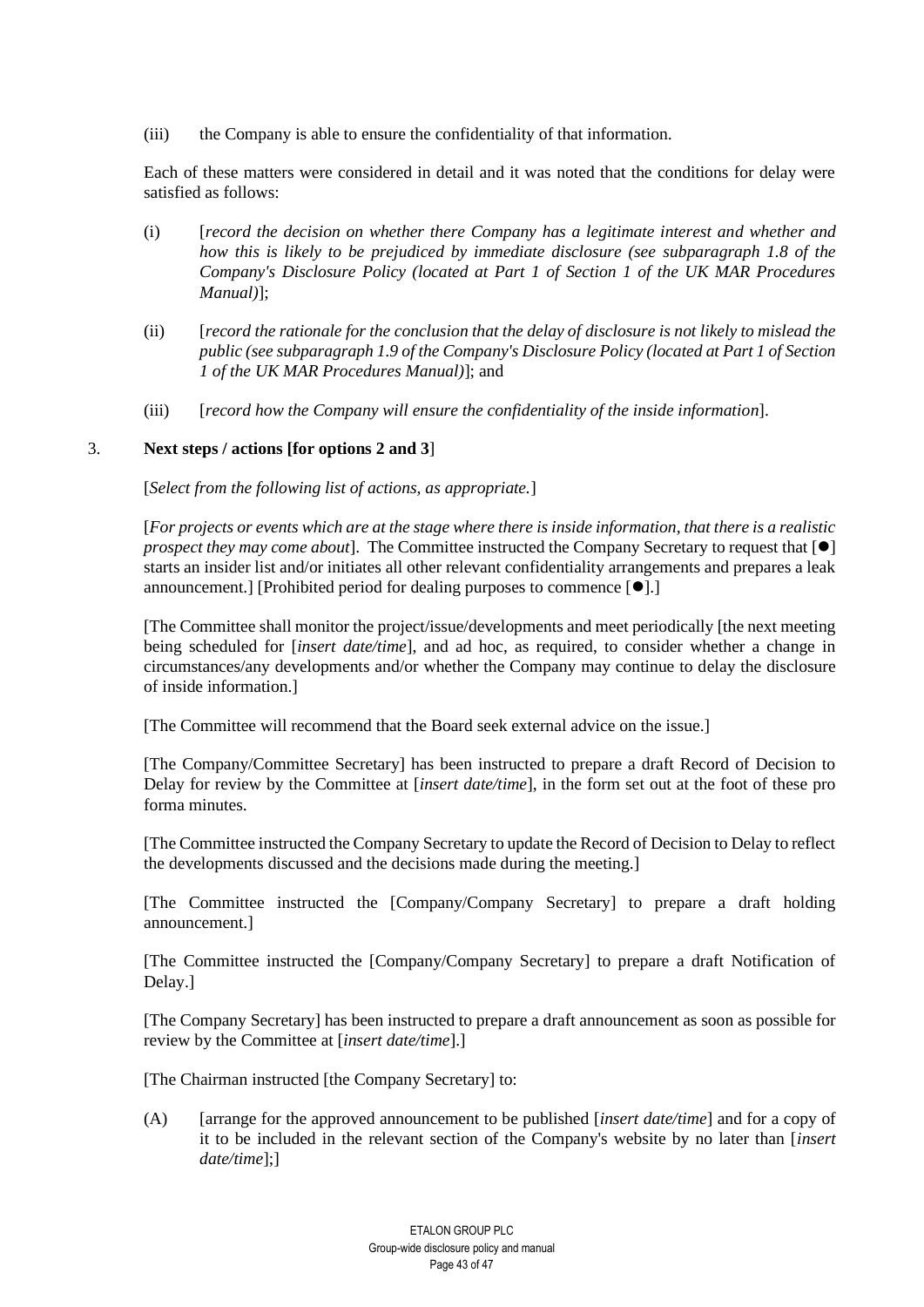(iii) the Company is able to ensure the confidentiality of that information.

Each of these matters were considered in detail and it was noted that the conditions for delay were satisfied as follows:

- (i) [*record the decision on whether there Company has a legitimate interest and whether and how this is likely to be prejudiced by immediate disclosure (see subparagraph 1.8 of the Company's Disclosure Policy (located at Part 1 of Section 1 of the UK MAR Procedures Manual)*];
- (ii) [*record the rationale for the conclusion that the delay of disclosure is not likely to mislead the public (see subparagraph 1.9 of the Company's Disclosure Policy (located at Part 1 of Section 1 of the UK MAR Procedures Manual)*]; and
- (iii) [*record how the Company will ensure the confidentiality of the inside information*].

## 3. **Next steps / actions [for options 2 and 3**]

[*Select from the following list of actions, as appropriate.*]

[*For projects or events which are at the stage where there is inside information, that there is a realistic prospect they may come about*]. The Committee instructed the Company Secretary to request that  $\lceil \bullet \rceil$ starts an insider list and/or initiates all other relevant confidentiality arrangements and prepares a leak announcement.] [Prohibited period for dealing purposes to commence [⚫].]

[The Committee shall monitor the project/issue/developments and meet periodically [the next meeting being scheduled for [*insert date/time*], and ad hoc, as required, to consider whether a change in circumstances/any developments and/or whether the Company may continue to delay the disclosure of inside information.]

[The Committee will recommend that the Board seek external advice on the issue.]

[The Company/Committee Secretary] has been instructed to prepare a draft Record of Decision to Delay for review by the Committee at [*insert date/time*], in the form set out at the foot of these pro forma minutes.

[The Committee instructed the Company Secretary to update the Record of Decision to Delay to reflect the developments discussed and the decisions made during the meeting.]

[The Committee instructed the [Company/Company Secretary] to prepare a draft holding announcement.]

[The Committee instructed the [Company/Company Secretary] to prepare a draft Notification of Delay.]

[The Company Secretary] has been instructed to prepare a draft announcement as soon as possible for review by the Committee at [*insert date/time*].]

[The Chairman instructed [the Company Secretary] to:

(A) [arrange for the approved announcement to be published [*insert date/time*] and for a copy of it to be included in the relevant section of the Company's website by no later than [*insert date/time*];]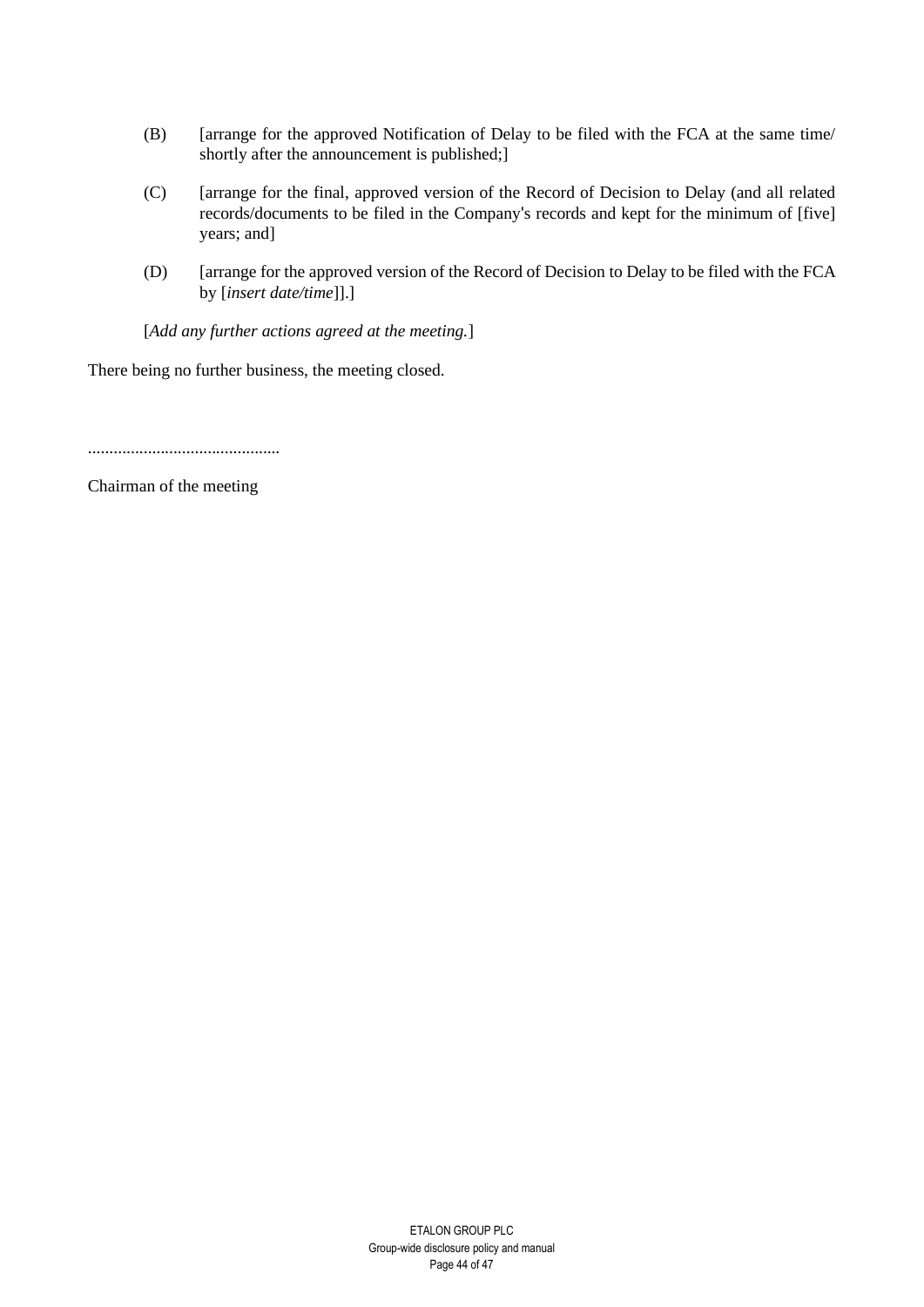- (B) [arrange for the approved Notification of Delay to be filed with the FCA at the same time/ shortly after the announcement is published;]
- (C) [arrange for the final, approved version of the Record of Decision to Delay (and all related records/documents to be filed in the Company's records and kept for the minimum of [five] years; and]
- (D) [arrange for the approved version of the Record of Decision to Delay to be filed with the FCA by [*insert date/time*]].]

[*Add any further actions agreed at the meeting.*]

There being no further business, the meeting closed.

.............................................

Chairman of the meeting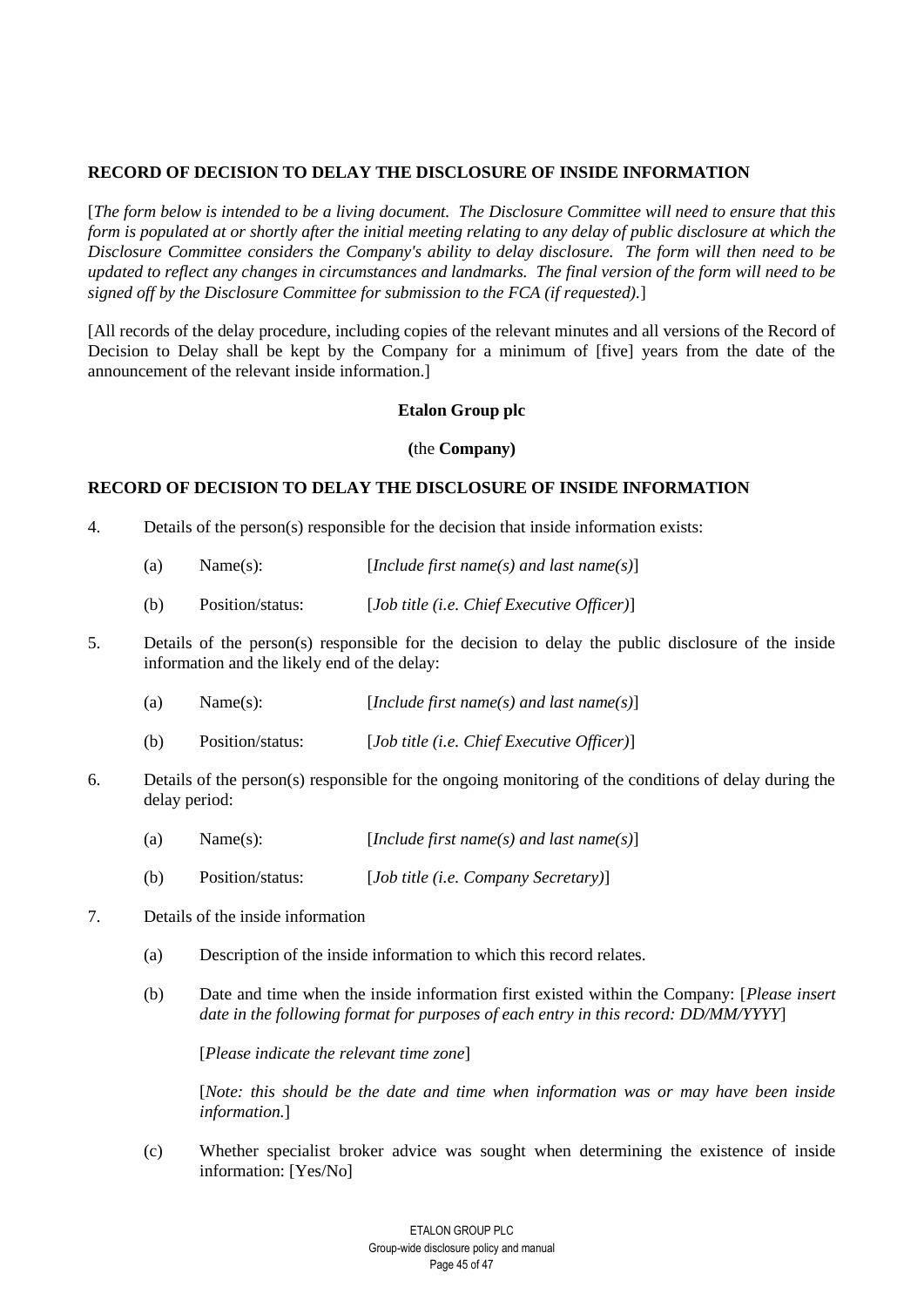# **RECORD OF DECISION TO DELAY THE DISCLOSURE OF INSIDE INFORMATION**

[*The form below is intended to be a living document. The Disclosure Committee will need to ensure that this form is populated at or shortly after the initial meeting relating to any delay of public disclosure at which the Disclosure Committee considers the Company's ability to delay disclosure. The form will then need to be updated to reflect any changes in circumstances and landmarks. The final version of the form will need to be signed off by the Disclosure Committee for submission to the FCA (if requested).*]

[All records of the delay procedure, including copies of the relevant minutes and all versions of the Record of Decision to Delay shall be kept by the Company for a minimum of [five] years from the date of the announcement of the relevant inside information.]

# **Etalon Group plc**

#### **(**the **Company)**

## **RECORD OF DECISION TO DELAY THE DISCLOSURE OF INSIDE INFORMATION**

- 4. Details of the person(s) responsible for the decision that inside information exists:
	- (a) Name(s): [*Include first name(s) and last name(s)*]
	- (b) Position/status: [*Job title (i.e. Chief Executive Officer)*]
- 5. Details of the person(s) responsible for the decision to delay the public disclosure of the inside information and the likely end of the delay:
	- (a) Name(s): [*Include first name(s) and last name(s)*]
	- (b) Position/status: [*Job title (i.e. Chief Executive Officer)*]
- 6. Details of the person(s) responsible for the ongoing monitoring of the conditions of delay during the delay period:
	- (a) Name(s): [*Include first name(s) and last name(s)*]
	- (b) Position/status: [*Job title (i.e. Company Secretary)*]
- 7. Details of the inside information
	- (a) Description of the inside information to which this record relates.
	- (b) Date and time when the inside information first existed within the Company: [*Please insert date in the following format for purposes of each entry in this record: DD/MM/YYYY*]

[*Please indicate the relevant time zone*]

[*Note: this should be the date and time when information was or may have been inside information.*]

(c) Whether specialist broker advice was sought when determining the existence of inside information: [Yes/No]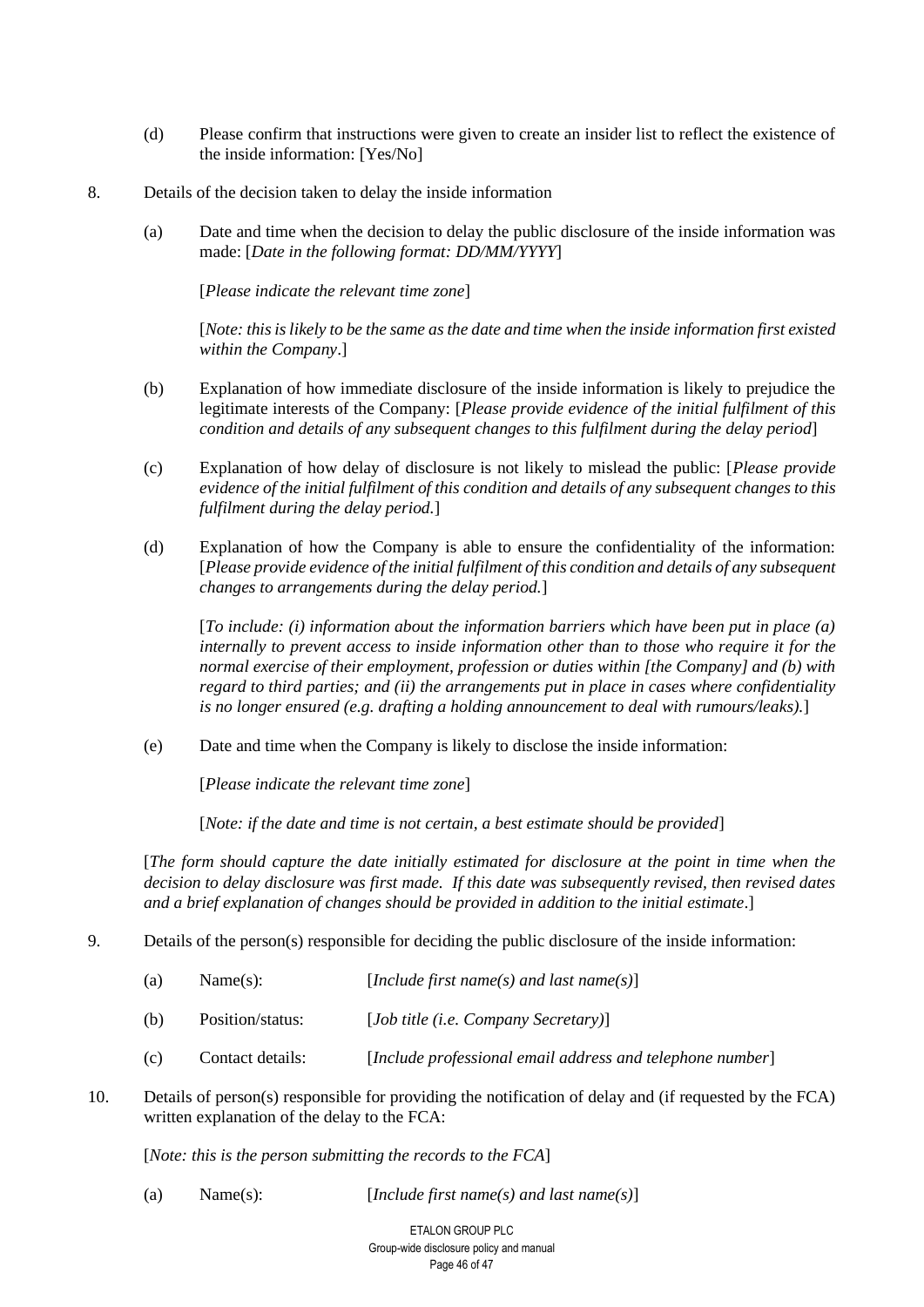- (d) Please confirm that instructions were given to create an insider list to reflect the existence of the inside information: [Yes/No]
- 8. Details of the decision taken to delay the inside information
	- (a) Date and time when the decision to delay the public disclosure of the inside information was made: [*Date in the following format: DD/MM/YYYY*]

[*Please indicate the relevant time zone*]

[*Note: this is likely to be the same as the date and time when the inside information first existed within the Company*.]

- (b) Explanation of how immediate disclosure of the inside information is likely to prejudice the legitimate interests of the Company: [*Please provide evidence of the initial fulfilment of this condition and details of any subsequent changes to this fulfilment during the delay period*]
- (c) Explanation of how delay of disclosure is not likely to mislead the public: [*Please provide evidence of the initial fulfilment of this condition and details of any subsequent changes to this fulfilment during the delay period.*]
- (d) Explanation of how the Company is able to ensure the confidentiality of the information: [*Please provide evidence of the initial fulfilment of this condition and details of any subsequent changes to arrangements during the delay period.*]

[*To include: (i) information about the information barriers which have been put in place (a) internally to prevent access to inside information other than to those who require it for the normal exercise of their employment, profession or duties within [the Company] and (b) with regard to third parties; and (ii) the arrangements put in place in cases where confidentiality is no longer ensured (e.g. drafting a holding announcement to deal with rumours/leaks).*]

(e) Date and time when the Company is likely to disclose the inside information:

[*Please indicate the relevant time zone*]

[*Note: if the date and time is not certain, a best estimate should be provided*]

[*The form should capture the date initially estimated for disclosure at the point in time when the decision to delay disclosure was first made. If this date was subsequently revised, then revised dates and a brief explanation of changes should be provided in addition to the initial estimate*.]

9. Details of the person(s) responsible for deciding the public disclosure of the inside information:

| (a) | Name(s): | [Include first name(s) and last name(s)] |  |
|-----|----------|------------------------------------------|--|
|-----|----------|------------------------------------------|--|

- (b) Position/status: [*Job title (i.e. Company Secretary)*]
- (c) Contact details: [*Include professional email address and telephone number*]
- 10. Details of person(s) responsible for providing the notification of delay and (if requested by the FCA) written explanation of the delay to the FCA:

[*Note: this is the person submitting the records to the FCA*]

(a) Name(s): [*Include first name(s) and last name(s)*]

ETALON GROUP PLC Group-wide disclosure policy and manual Page 46 of 47